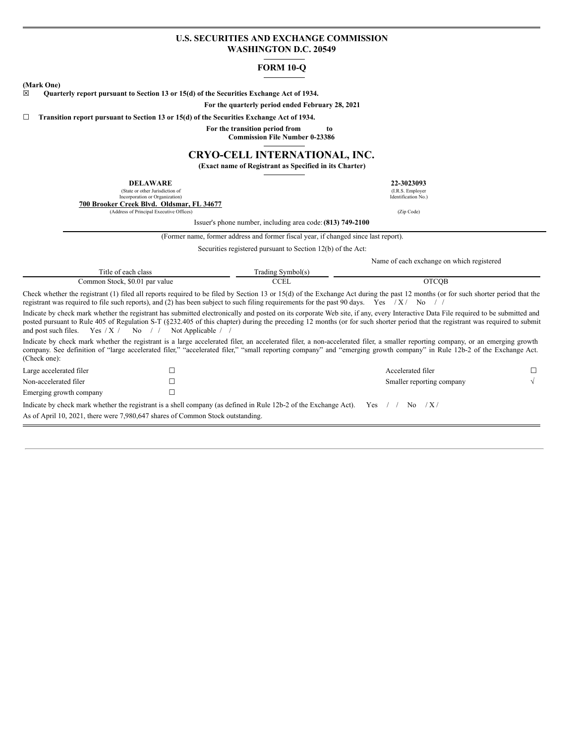# **U.S. SECURITIES AND EXCHANGE COMMISSION WASHINGTON D.C. 20549**

# **FORM 10-Q**

**(Mark One)**

**☒ Quarterly report pursuant to Section 13 or 15(d) of the Securities Exchange Act of 1934.**

**For the quarterly period ended February 28, 2021**

**☐ Transition report pursuant to Section 13 or 15(d) of the Securities Exchange Act of 1934.**

**For the transition period from to**

**Commission File Number 0-23386**

# **CRYO-CELL INTERNATIONAL, INC.**

**(Exact name of Registrant as Specified in its Charter)**

| <b>DELAWARE</b><br>(State or other Jurisdiction of<br>Incorporation or Organization)<br>700 Brooker Creek Blvd. Oldsmar, FL 34677<br>(Address of Principal Executive Offices)                                                                                                                                                                                                                                                   | 22-3023093<br>(I.R.S. Employer<br>Identification No.)<br>(Zip Code)                 |                                           |   |
|---------------------------------------------------------------------------------------------------------------------------------------------------------------------------------------------------------------------------------------------------------------------------------------------------------------------------------------------------------------------------------------------------------------------------------|-------------------------------------------------------------------------------------|-------------------------------------------|---|
|                                                                                                                                                                                                                                                                                                                                                                                                                                 | Issuer's phone number, including area code: (813) 749-2100                          |                                           |   |
|                                                                                                                                                                                                                                                                                                                                                                                                                                 | (Former name, former address and former fiscal year, if changed since last report). |                                           |   |
|                                                                                                                                                                                                                                                                                                                                                                                                                                 | Securities registered pursuant to Section 12(b) of the Act:                         |                                           |   |
|                                                                                                                                                                                                                                                                                                                                                                                                                                 |                                                                                     | Name of each exchange on which registered |   |
| Title of each class                                                                                                                                                                                                                                                                                                                                                                                                             | Trading Symbol(s)                                                                   |                                           |   |
| Common Stock, \$0.01 par value                                                                                                                                                                                                                                                                                                                                                                                                  | <b>OTCOB</b>                                                                        |                                           |   |
| Check whether the registrant (1) filed all reports required to be filed by Section 13 or 15(d) of the Exchange Act during the past 12 months (or for such shorter period that the<br>registrant was required to file such reports), and (2) has been subject to such filing requirements for the past 90 days. Yes /X/ No                                                                                                       |                                                                                     |                                           |   |
| Indicate by check mark whether the registrant has submitted electronically and posted on its corporate Web site, if any, every Interactive Data File required to be submitted and<br>posted pursuant to Rule 405 of Regulation S-T (§232.405 of this chapter) during the preceding 12 months (or for such shorter period that the registrant was required to submit<br>and post such files. Yes $/X /$ No $//$ Not Applicable / |                                                                                     |                                           |   |
| Indicate by check mark whether the registrant is a large accelerated filer, an accelerated filer, a non-accelerated filer, a smaller reporting company, or an emerging growth<br>company. See definition of "large accelerated filer," "accelerated filer," "small reporting company" and "emerging growth company" in Rule 12b-2 of the Exchange Act.<br>(Check one):                                                          |                                                                                     |                                           |   |
| □<br>Large accelerated filer                                                                                                                                                                                                                                                                                                                                                                                                    |                                                                                     | Accelerated filer                         |   |
| Non-accelerated filer                                                                                                                                                                                                                                                                                                                                                                                                           |                                                                                     | Smaller reporting company                 | V |
| $\Box$<br>Emerging growth company                                                                                                                                                                                                                                                                                                                                                                                               |                                                                                     |                                           |   |
| Indicate by check mark whether the registrant is a shell company (as defined in Rule 12b-2 of the Exchange Act).                                                                                                                                                                                                                                                                                                                |                                                                                     | /X/<br>No.<br>Yes                         |   |
| As of April 10, 2021, there were 7,980,647 shares of Common Stock outstanding.                                                                                                                                                                                                                                                                                                                                                  |                                                                                     |                                           |   |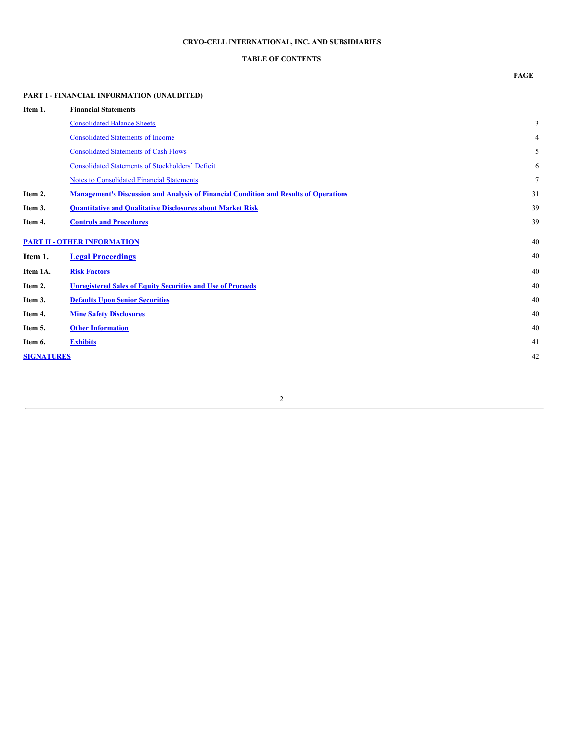# **CRYO-CELL INTERNATIONAL, INC. AND SUBSIDIARIES**

# **TABLE OF CONTENTS**

# **PART I - FINANCIAL INFORMATION (UNAUDITED)**

| Item 1.           | <b>Financial Statements</b>                                                                  |                |
|-------------------|----------------------------------------------------------------------------------------------|----------------|
|                   | <b>Consolidated Balance Sheets</b>                                                           | 3              |
|                   | <b>Consolidated Statements of Income</b>                                                     | $\overline{4}$ |
|                   | <b>Consolidated Statements of Cash Flows</b>                                                 | 5              |
|                   | <b>Consolidated Statements of Stockholders' Deficit</b>                                      | 6              |
|                   | <b>Notes to Consolidated Financial Statements</b>                                            | $\tau$         |
| Item 2.           | <b>Management's Discussion and Analysis of Financial Condition and Results of Operations</b> | 31             |
| Item 3.           | <b>Quantitative and Qualitative Disclosures about Market Risk</b>                            | 39             |
| Item 4.           | <b>Controls and Procedures</b>                                                               | 39             |
|                   | <b>PART II - OTHER INFORMATION</b>                                                           | 40             |
| Item 1.           | <b>Legal Proceedings</b>                                                                     | 40             |
| Item 1A.          | <b>Risk Factors</b>                                                                          | 40             |
| Item 2.           | <b>Unregistered Sales of Equity Securities and Use of Proceeds</b>                           | 40             |
| Item 3.           | <b>Defaults Upon Senior Securities</b>                                                       | 40             |
| Item 4.           | <b>Mine Safety Disclosures</b>                                                               | 40             |
| Item 5.           | <b>Other Information</b>                                                                     | 40             |
| Item 6.           | <b>Exhibits</b>                                                                              | 41             |
| <b>SIGNATURES</b> |                                                                                              | 42             |
|                   |                                                                                              |                |

**PAGE**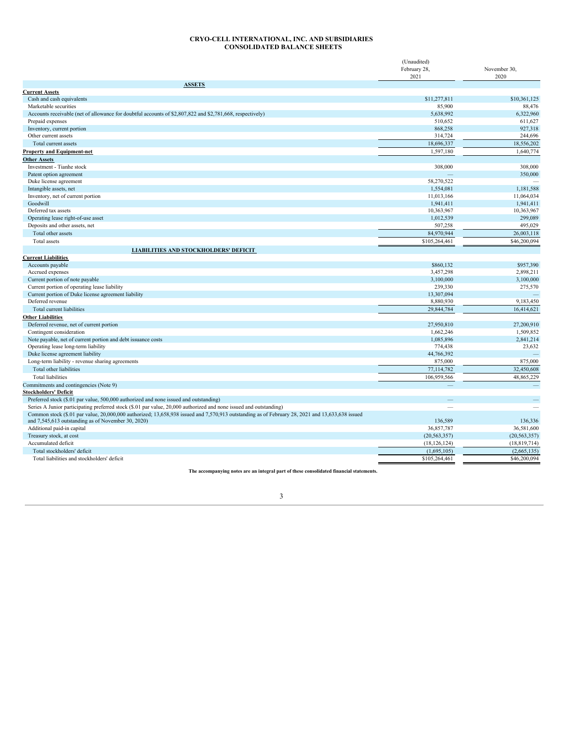#### <span id="page-2-0"></span>**CRYO-CELL INTERNATIONAL, INC. AND SUBSIDIARIES CONSOLIDATED BALANCE SHEETS**

|                                                                                                                                                 | (Unaudited)<br>February 28,<br>2021 | November 30,<br>2020         |
|-------------------------------------------------------------------------------------------------------------------------------------------------|-------------------------------------|------------------------------|
| <b>ASSETS</b>                                                                                                                                   |                                     |                              |
| <b>Current Assets</b>                                                                                                                           |                                     |                              |
| Cash and cash equivalents                                                                                                                       | \$11,277,811                        | \$10,361,125                 |
| Marketable securities                                                                                                                           | 85,900                              | 88.476                       |
| Accounts receivable (net of allowance for doubtful accounts of \$2,807,822 and \$2,781,668, respectively)                                       | 5,638,992                           | 6,322,960                    |
| Prepaid expenses                                                                                                                                | 510,652                             | 611,627                      |
| Inventory, current portion                                                                                                                      | 868,258                             | 927,318                      |
| Other current assets                                                                                                                            | 314,724                             | 244,696                      |
| Total current assets                                                                                                                            | 18,696,337                          | 18,556,202                   |
| <b>Property and Equipment-net</b>                                                                                                               | 1,597,180                           | 1,640,774                    |
| <b>Other Assets</b>                                                                                                                             |                                     |                              |
| Investment - Tianhe stock                                                                                                                       | 308,000                             | 308,000                      |
| Patent option agreement                                                                                                                         |                                     | 350,000                      |
| Duke license agreement                                                                                                                          | 58,270,522                          |                              |
| Intangible assets, net                                                                                                                          | 1,554,081                           | 1,181,588                    |
| Inventory, net of current portion                                                                                                               | 11,013,166                          | 11,064,034                   |
| Goodwill                                                                                                                                        | 1,941,411                           | 1,941,411                    |
| Deferred tax assets                                                                                                                             | 10,363,967                          | 10,363,967                   |
| Operating lease right-of-use asset                                                                                                              | 1,012,539                           | 299,089                      |
| Deposits and other assets, net                                                                                                                  | 507,258                             | 495,029                      |
| Total other assets                                                                                                                              | 84,970,944                          | 26,003,118                   |
| <b>Total</b> assets                                                                                                                             | \$105,264,461                       | \$46,200,094                 |
| <b>LIABILITIES AND STOCKHOLDERS' DEFICIT</b>                                                                                                    |                                     |                              |
| <b>Current Liabilities</b>                                                                                                                      |                                     |                              |
| Accounts payable                                                                                                                                | \$860,132                           | \$957,390                    |
| Accrued expenses                                                                                                                                | 3,457,298                           | 2,898,211                    |
| Current portion of note payable                                                                                                                 | 3,100,000                           | 3,100,000                    |
| Current portion of operating lease liability                                                                                                    | 239,330                             | 275,570                      |
| Current portion of Duke license agreement liability                                                                                             | 13,307,094                          |                              |
| Deferred revenue                                                                                                                                | 8,880,930                           | 9,183,450                    |
| Total current liabilities                                                                                                                       | 29,844,784                          | 16,414,621                   |
| <b>Other Liabilities</b>                                                                                                                        |                                     |                              |
| Deferred revenue, net of current portion                                                                                                        | 27,950,810                          | 27.200.910                   |
| Contingent consideration                                                                                                                        | 1,662,246                           | 1,509,852                    |
|                                                                                                                                                 | 1,085,896                           | 2,841,214                    |
| Note payable, net of current portion and debt issuance costs<br>Operating lease long-term liability                                             | 774,438                             | 23,632                       |
| Duke license agreement liability                                                                                                                | 44,766,392                          |                              |
| Long-term liability - revenue sharing agreements                                                                                                | 875,000                             | 875,000                      |
|                                                                                                                                                 |                                     | 32,450,608                   |
| Total other liabilities                                                                                                                         | 77,114,782                          |                              |
| <b>Total liabilities</b>                                                                                                                        | 106,959,566                         | 48,865,229                   |
| Commitments and contingencies (Note 9)                                                                                                          |                                     |                              |
| <b>Stockholders' Deficit</b>                                                                                                                    |                                     |                              |
| Preferred stock (\$.01 par value, 500,000 authorized and none issued and outstanding)                                                           |                                     |                              |
| Series A Junior participating preferred stock (\$.01 par value, 20,000 authorized and none issued and outstanding)                              |                                     |                              |
| Common stock (\$.01 par value, 20,000,000 authorized; 13,658,938 issued and 7,570,913 outstanding as of February 28, 2021 and 13,633,638 issued |                                     |                              |
| and 7,545,613 outstanding as of November 30, 2020)                                                                                              | 136,589                             | 136,336                      |
| Additional paid-in capital                                                                                                                      | 36,857,787<br>(20, 563, 357)        | 36,581,600<br>(20, 563, 357) |
| Treasury stock, at cost<br>Accumulated deficit                                                                                                  |                                     | (18, 819, 714)               |
|                                                                                                                                                 | (18, 126, 124)                      |                              |
| Total stockholders' deficit                                                                                                                     | (1,695,105)                         | (2,665,135)                  |
| Total liabilities and stockholders' deficit                                                                                                     | \$105,264,461                       | \$46,200,094                 |

**The accompanying notes are an integral part of these consolidated financial statements.**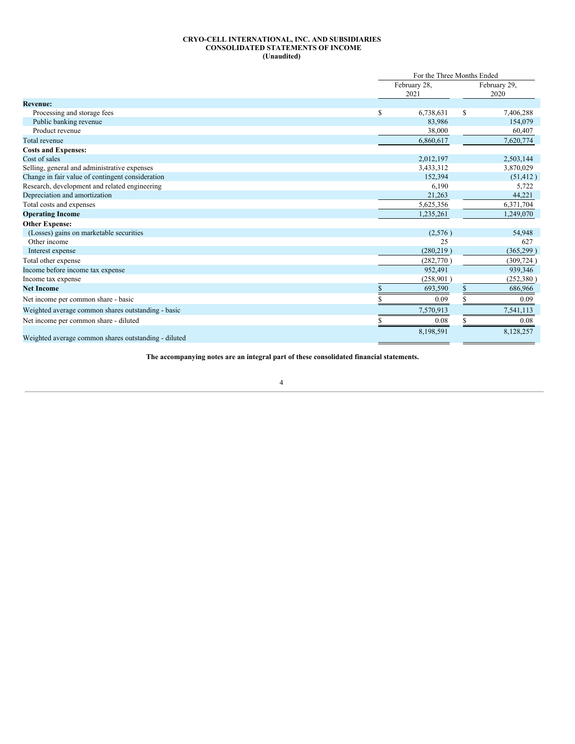### <span id="page-3-0"></span>**CRYO-CELL INTERNATIONAL, INC. AND SUBSIDIARIES CONSOLIDATED STATEMENTS OF INCOME (Unaudited)**

|                                                      |               | For the Three Months Ended |                      |            |
|------------------------------------------------------|---------------|----------------------------|----------------------|------------|
|                                                      |               | February 28,<br>2021       | February 29,<br>2020 |            |
| <b>Revenue:</b>                                      |               |                            |                      |            |
| Processing and storage fees                          | <sup>\$</sup> | 6,738,631                  | \$                   | 7,406,288  |
| Public banking revenue                               |               | 83,986                     |                      | 154,079    |
| Product revenue                                      |               | 38,000                     |                      | 60,407     |
| Total revenue                                        |               | 6,860,617                  |                      | 7,620,774  |
| <b>Costs and Expenses:</b>                           |               |                            |                      |            |
| Cost of sales                                        |               | 2,012,197                  |                      | 2,503,144  |
| Selling, general and administrative expenses         |               | 3,433,312                  |                      | 3,870,029  |
| Change in fair value of contingent consideration     |               | 152,394                    |                      | (51, 412)  |
| Research, development and related engineering        |               | 6,190                      |                      | 5,722      |
| Depreciation and amortization                        |               | 21,263                     |                      | 44,221     |
| Total costs and expenses                             |               | 5,625,356                  |                      | 6,371,704  |
| <b>Operating Income</b>                              |               | 1,235,261                  |                      | 1,249,070  |
| <b>Other Expense:</b>                                |               |                            |                      |            |
| (Losses) gains on marketable securities              |               | (2,576)                    |                      | 54,948     |
| Other income                                         |               | 25                         |                      | 627        |
| Interest expense                                     |               | (280, 219)                 |                      | (365,299)  |
| Total other expense                                  |               | (282,770)                  |                      | (309, 724) |
| Income before income tax expense                     |               | 952,491                    |                      | 939,346    |
| Income tax expense                                   |               | (258,901)                  |                      | (252, 380) |
| <b>Net Income</b>                                    |               | 693,590                    | \$                   | 686,966    |
| Net income per common share - basic                  |               | 0.09                       |                      | 0.09       |
| Weighted average common shares outstanding - basic   |               | 7,570,913                  |                      | 7,541,113  |
| Net income per common share - diluted                |               | 0.08                       |                      | 0.08       |
| Weighted average common shares outstanding - diluted |               | 8,198,591                  |                      | 8,128,257  |

**The accompanying notes are an integral part of these consolidated financial statements.**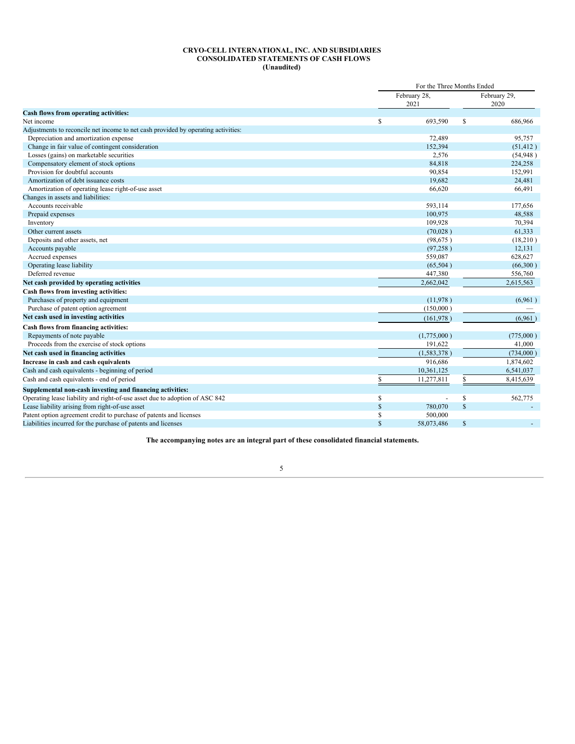#### <span id="page-4-0"></span>**CRYO-CELL INTERNATIONAL, INC. AND SUBSIDIARIES CONSOLIDATED STATEMENTS OF CASH FLOWS (Unaudited)**

| February 28,<br>February 29,<br>2020<br>2021<br>Cash flows from operating activities:<br>686,966<br>Net income<br>S<br>693,590<br>\$<br>Adjustments to reconcile net income to net cash provided by operating activities:<br>Depreciation and amortization expense<br>72,489<br>95,757<br>Change in fair value of contingent consideration<br>152,394<br>(51, 412)<br>Losses (gains) on marketable securities<br>(54,948)<br>2,576<br>Compensatory element of stock options<br>84,818<br>224,258<br>Provision for doubtful accounts<br>90,854<br>152,991<br>Amortization of debt issuance costs<br>19,682<br>24,481<br>Amortization of operating lease right-of-use asset<br>66,620<br>66,491<br>Changes in assets and liabilities:<br>Accounts receivable<br>593,114<br>177,656<br>100,975<br>Prepaid expenses<br>48,588<br>109,928<br>70,394<br>Inventory<br>Other current assets<br>(70,028)<br>61,333<br>Deposits and other assets, net<br>(98,675)<br>(18,210)<br>(97, 258)<br>12,131<br>Accounts payable<br>Accrued expenses<br>559,087<br>628,627<br>Operating lease liability<br>(65,504)<br>(66,300)<br>Deferred revenue<br>447,380<br>556,760<br>2,615,563<br>Net cash provided by operating activities<br>2,662,042<br>Cash flows from investing activities:<br>Purchases of property and equipment<br>(11,978)<br>(6,961)<br>Purchase of patent option agreement<br>(150,000)<br>Net cash used in investing activities<br>(6,961)<br>(161, 978)<br>Cash flows from financing activities:<br>Repayments of note payable<br>(1,775,000)<br>(775,000)<br>Proceeds from the exercise of stock options<br>191,622<br>41,000<br>(734,000)<br>Net cash used in financing activities<br>(1,583,378)<br>Increase in cash and cash equivalents<br>916,686<br>1,874,602<br>Cash and cash equivalents - beginning of period<br>10,361,125<br>6,541,037<br>$\mathbb{S}$<br>11,277,811<br>\$<br>Cash and cash equivalents - end of period<br>8,415,639<br>Supplemental non-cash investing and financing activities:<br>Operating lease liability and right-of-use asset due to adoption of ASC 842<br>562,775<br>S<br>\$<br>Lease liability arising from right-of-use asset<br>$\mathbb{S}$<br>780,070<br>$\mathbb{S}$<br>Patent option agreement credit to purchase of patents and licenses<br>S<br>500,000 |                                                               | For the Three Months Ended |            |    |  |  |
|------------------------------------------------------------------------------------------------------------------------------------------------------------------------------------------------------------------------------------------------------------------------------------------------------------------------------------------------------------------------------------------------------------------------------------------------------------------------------------------------------------------------------------------------------------------------------------------------------------------------------------------------------------------------------------------------------------------------------------------------------------------------------------------------------------------------------------------------------------------------------------------------------------------------------------------------------------------------------------------------------------------------------------------------------------------------------------------------------------------------------------------------------------------------------------------------------------------------------------------------------------------------------------------------------------------------------------------------------------------------------------------------------------------------------------------------------------------------------------------------------------------------------------------------------------------------------------------------------------------------------------------------------------------------------------------------------------------------------------------------------------------------------------------------------------------------------------------------------------------------------------------------------------------------------------------------------------------------------------------------------------------------------------------------------------------------------------------------------------------------------------------------------------------------------------------------------------------------------------------------------------------------------------------------------------|---------------------------------------------------------------|----------------------------|------------|----|--|--|
|                                                                                                                                                                                                                                                                                                                                                                                                                                                                                                                                                                                                                                                                                                                                                                                                                                                                                                                                                                                                                                                                                                                                                                                                                                                                                                                                                                                                                                                                                                                                                                                                                                                                                                                                                                                                                                                                                                                                                                                                                                                                                                                                                                                                                                                                                                            |                                                               |                            |            |    |  |  |
|                                                                                                                                                                                                                                                                                                                                                                                                                                                                                                                                                                                                                                                                                                                                                                                                                                                                                                                                                                                                                                                                                                                                                                                                                                                                                                                                                                                                                                                                                                                                                                                                                                                                                                                                                                                                                                                                                                                                                                                                                                                                                                                                                                                                                                                                                                            |                                                               |                            |            |    |  |  |
|                                                                                                                                                                                                                                                                                                                                                                                                                                                                                                                                                                                                                                                                                                                                                                                                                                                                                                                                                                                                                                                                                                                                                                                                                                                                                                                                                                                                                                                                                                                                                                                                                                                                                                                                                                                                                                                                                                                                                                                                                                                                                                                                                                                                                                                                                                            |                                                               |                            |            |    |  |  |
|                                                                                                                                                                                                                                                                                                                                                                                                                                                                                                                                                                                                                                                                                                                                                                                                                                                                                                                                                                                                                                                                                                                                                                                                                                                                                                                                                                                                                                                                                                                                                                                                                                                                                                                                                                                                                                                                                                                                                                                                                                                                                                                                                                                                                                                                                                            |                                                               |                            |            |    |  |  |
|                                                                                                                                                                                                                                                                                                                                                                                                                                                                                                                                                                                                                                                                                                                                                                                                                                                                                                                                                                                                                                                                                                                                                                                                                                                                                                                                                                                                                                                                                                                                                                                                                                                                                                                                                                                                                                                                                                                                                                                                                                                                                                                                                                                                                                                                                                            |                                                               |                            |            |    |  |  |
|                                                                                                                                                                                                                                                                                                                                                                                                                                                                                                                                                                                                                                                                                                                                                                                                                                                                                                                                                                                                                                                                                                                                                                                                                                                                                                                                                                                                                                                                                                                                                                                                                                                                                                                                                                                                                                                                                                                                                                                                                                                                                                                                                                                                                                                                                                            |                                                               |                            |            |    |  |  |
|                                                                                                                                                                                                                                                                                                                                                                                                                                                                                                                                                                                                                                                                                                                                                                                                                                                                                                                                                                                                                                                                                                                                                                                                                                                                                                                                                                                                                                                                                                                                                                                                                                                                                                                                                                                                                                                                                                                                                                                                                                                                                                                                                                                                                                                                                                            |                                                               |                            |            |    |  |  |
|                                                                                                                                                                                                                                                                                                                                                                                                                                                                                                                                                                                                                                                                                                                                                                                                                                                                                                                                                                                                                                                                                                                                                                                                                                                                                                                                                                                                                                                                                                                                                                                                                                                                                                                                                                                                                                                                                                                                                                                                                                                                                                                                                                                                                                                                                                            |                                                               |                            |            |    |  |  |
|                                                                                                                                                                                                                                                                                                                                                                                                                                                                                                                                                                                                                                                                                                                                                                                                                                                                                                                                                                                                                                                                                                                                                                                                                                                                                                                                                                                                                                                                                                                                                                                                                                                                                                                                                                                                                                                                                                                                                                                                                                                                                                                                                                                                                                                                                                            |                                                               |                            |            |    |  |  |
|                                                                                                                                                                                                                                                                                                                                                                                                                                                                                                                                                                                                                                                                                                                                                                                                                                                                                                                                                                                                                                                                                                                                                                                                                                                                                                                                                                                                                                                                                                                                                                                                                                                                                                                                                                                                                                                                                                                                                                                                                                                                                                                                                                                                                                                                                                            |                                                               |                            |            |    |  |  |
|                                                                                                                                                                                                                                                                                                                                                                                                                                                                                                                                                                                                                                                                                                                                                                                                                                                                                                                                                                                                                                                                                                                                                                                                                                                                                                                                                                                                                                                                                                                                                                                                                                                                                                                                                                                                                                                                                                                                                                                                                                                                                                                                                                                                                                                                                                            |                                                               |                            |            |    |  |  |
|                                                                                                                                                                                                                                                                                                                                                                                                                                                                                                                                                                                                                                                                                                                                                                                                                                                                                                                                                                                                                                                                                                                                                                                                                                                                                                                                                                                                                                                                                                                                                                                                                                                                                                                                                                                                                                                                                                                                                                                                                                                                                                                                                                                                                                                                                                            |                                                               |                            |            |    |  |  |
|                                                                                                                                                                                                                                                                                                                                                                                                                                                                                                                                                                                                                                                                                                                                                                                                                                                                                                                                                                                                                                                                                                                                                                                                                                                                                                                                                                                                                                                                                                                                                                                                                                                                                                                                                                                                                                                                                                                                                                                                                                                                                                                                                                                                                                                                                                            |                                                               |                            |            |    |  |  |
|                                                                                                                                                                                                                                                                                                                                                                                                                                                                                                                                                                                                                                                                                                                                                                                                                                                                                                                                                                                                                                                                                                                                                                                                                                                                                                                                                                                                                                                                                                                                                                                                                                                                                                                                                                                                                                                                                                                                                                                                                                                                                                                                                                                                                                                                                                            |                                                               |                            |            |    |  |  |
|                                                                                                                                                                                                                                                                                                                                                                                                                                                                                                                                                                                                                                                                                                                                                                                                                                                                                                                                                                                                                                                                                                                                                                                                                                                                                                                                                                                                                                                                                                                                                                                                                                                                                                                                                                                                                                                                                                                                                                                                                                                                                                                                                                                                                                                                                                            |                                                               |                            |            |    |  |  |
|                                                                                                                                                                                                                                                                                                                                                                                                                                                                                                                                                                                                                                                                                                                                                                                                                                                                                                                                                                                                                                                                                                                                                                                                                                                                                                                                                                                                                                                                                                                                                                                                                                                                                                                                                                                                                                                                                                                                                                                                                                                                                                                                                                                                                                                                                                            |                                                               |                            |            |    |  |  |
|                                                                                                                                                                                                                                                                                                                                                                                                                                                                                                                                                                                                                                                                                                                                                                                                                                                                                                                                                                                                                                                                                                                                                                                                                                                                                                                                                                                                                                                                                                                                                                                                                                                                                                                                                                                                                                                                                                                                                                                                                                                                                                                                                                                                                                                                                                            |                                                               |                            |            |    |  |  |
|                                                                                                                                                                                                                                                                                                                                                                                                                                                                                                                                                                                                                                                                                                                                                                                                                                                                                                                                                                                                                                                                                                                                                                                                                                                                                                                                                                                                                                                                                                                                                                                                                                                                                                                                                                                                                                                                                                                                                                                                                                                                                                                                                                                                                                                                                                            |                                                               |                            |            |    |  |  |
|                                                                                                                                                                                                                                                                                                                                                                                                                                                                                                                                                                                                                                                                                                                                                                                                                                                                                                                                                                                                                                                                                                                                                                                                                                                                                                                                                                                                                                                                                                                                                                                                                                                                                                                                                                                                                                                                                                                                                                                                                                                                                                                                                                                                                                                                                                            |                                                               |                            |            |    |  |  |
|                                                                                                                                                                                                                                                                                                                                                                                                                                                                                                                                                                                                                                                                                                                                                                                                                                                                                                                                                                                                                                                                                                                                                                                                                                                                                                                                                                                                                                                                                                                                                                                                                                                                                                                                                                                                                                                                                                                                                                                                                                                                                                                                                                                                                                                                                                            |                                                               |                            |            |    |  |  |
|                                                                                                                                                                                                                                                                                                                                                                                                                                                                                                                                                                                                                                                                                                                                                                                                                                                                                                                                                                                                                                                                                                                                                                                                                                                                                                                                                                                                                                                                                                                                                                                                                                                                                                                                                                                                                                                                                                                                                                                                                                                                                                                                                                                                                                                                                                            |                                                               |                            |            |    |  |  |
|                                                                                                                                                                                                                                                                                                                                                                                                                                                                                                                                                                                                                                                                                                                                                                                                                                                                                                                                                                                                                                                                                                                                                                                                                                                                                                                                                                                                                                                                                                                                                                                                                                                                                                                                                                                                                                                                                                                                                                                                                                                                                                                                                                                                                                                                                                            |                                                               |                            |            |    |  |  |
|                                                                                                                                                                                                                                                                                                                                                                                                                                                                                                                                                                                                                                                                                                                                                                                                                                                                                                                                                                                                                                                                                                                                                                                                                                                                                                                                                                                                                                                                                                                                                                                                                                                                                                                                                                                                                                                                                                                                                                                                                                                                                                                                                                                                                                                                                                            |                                                               |                            |            |    |  |  |
|                                                                                                                                                                                                                                                                                                                                                                                                                                                                                                                                                                                                                                                                                                                                                                                                                                                                                                                                                                                                                                                                                                                                                                                                                                                                                                                                                                                                                                                                                                                                                                                                                                                                                                                                                                                                                                                                                                                                                                                                                                                                                                                                                                                                                                                                                                            |                                                               |                            |            |    |  |  |
|                                                                                                                                                                                                                                                                                                                                                                                                                                                                                                                                                                                                                                                                                                                                                                                                                                                                                                                                                                                                                                                                                                                                                                                                                                                                                                                                                                                                                                                                                                                                                                                                                                                                                                                                                                                                                                                                                                                                                                                                                                                                                                                                                                                                                                                                                                            |                                                               |                            |            |    |  |  |
|                                                                                                                                                                                                                                                                                                                                                                                                                                                                                                                                                                                                                                                                                                                                                                                                                                                                                                                                                                                                                                                                                                                                                                                                                                                                                                                                                                                                                                                                                                                                                                                                                                                                                                                                                                                                                                                                                                                                                                                                                                                                                                                                                                                                                                                                                                            |                                                               |                            |            |    |  |  |
|                                                                                                                                                                                                                                                                                                                                                                                                                                                                                                                                                                                                                                                                                                                                                                                                                                                                                                                                                                                                                                                                                                                                                                                                                                                                                                                                                                                                                                                                                                                                                                                                                                                                                                                                                                                                                                                                                                                                                                                                                                                                                                                                                                                                                                                                                                            |                                                               |                            |            |    |  |  |
|                                                                                                                                                                                                                                                                                                                                                                                                                                                                                                                                                                                                                                                                                                                                                                                                                                                                                                                                                                                                                                                                                                                                                                                                                                                                                                                                                                                                                                                                                                                                                                                                                                                                                                                                                                                                                                                                                                                                                                                                                                                                                                                                                                                                                                                                                                            |                                                               |                            |            |    |  |  |
|                                                                                                                                                                                                                                                                                                                                                                                                                                                                                                                                                                                                                                                                                                                                                                                                                                                                                                                                                                                                                                                                                                                                                                                                                                                                                                                                                                                                                                                                                                                                                                                                                                                                                                                                                                                                                                                                                                                                                                                                                                                                                                                                                                                                                                                                                                            |                                                               |                            |            |    |  |  |
|                                                                                                                                                                                                                                                                                                                                                                                                                                                                                                                                                                                                                                                                                                                                                                                                                                                                                                                                                                                                                                                                                                                                                                                                                                                                                                                                                                                                                                                                                                                                                                                                                                                                                                                                                                                                                                                                                                                                                                                                                                                                                                                                                                                                                                                                                                            |                                                               |                            |            |    |  |  |
|                                                                                                                                                                                                                                                                                                                                                                                                                                                                                                                                                                                                                                                                                                                                                                                                                                                                                                                                                                                                                                                                                                                                                                                                                                                                                                                                                                                                                                                                                                                                                                                                                                                                                                                                                                                                                                                                                                                                                                                                                                                                                                                                                                                                                                                                                                            |                                                               |                            |            |    |  |  |
|                                                                                                                                                                                                                                                                                                                                                                                                                                                                                                                                                                                                                                                                                                                                                                                                                                                                                                                                                                                                                                                                                                                                                                                                                                                                                                                                                                                                                                                                                                                                                                                                                                                                                                                                                                                                                                                                                                                                                                                                                                                                                                                                                                                                                                                                                                            |                                                               |                            |            |    |  |  |
|                                                                                                                                                                                                                                                                                                                                                                                                                                                                                                                                                                                                                                                                                                                                                                                                                                                                                                                                                                                                                                                                                                                                                                                                                                                                                                                                                                                                                                                                                                                                                                                                                                                                                                                                                                                                                                                                                                                                                                                                                                                                                                                                                                                                                                                                                                            |                                                               |                            |            |    |  |  |
|                                                                                                                                                                                                                                                                                                                                                                                                                                                                                                                                                                                                                                                                                                                                                                                                                                                                                                                                                                                                                                                                                                                                                                                                                                                                                                                                                                                                                                                                                                                                                                                                                                                                                                                                                                                                                                                                                                                                                                                                                                                                                                                                                                                                                                                                                                            |                                                               |                            |            |    |  |  |
|                                                                                                                                                                                                                                                                                                                                                                                                                                                                                                                                                                                                                                                                                                                                                                                                                                                                                                                                                                                                                                                                                                                                                                                                                                                                                                                                                                                                                                                                                                                                                                                                                                                                                                                                                                                                                                                                                                                                                                                                                                                                                                                                                                                                                                                                                                            |                                                               |                            |            |    |  |  |
|                                                                                                                                                                                                                                                                                                                                                                                                                                                                                                                                                                                                                                                                                                                                                                                                                                                                                                                                                                                                                                                                                                                                                                                                                                                                                                                                                                                                                                                                                                                                                                                                                                                                                                                                                                                                                                                                                                                                                                                                                                                                                                                                                                                                                                                                                                            |                                                               |                            |            |    |  |  |
|                                                                                                                                                                                                                                                                                                                                                                                                                                                                                                                                                                                                                                                                                                                                                                                                                                                                                                                                                                                                                                                                                                                                                                                                                                                                                                                                                                                                                                                                                                                                                                                                                                                                                                                                                                                                                                                                                                                                                                                                                                                                                                                                                                                                                                                                                                            |                                                               |                            |            |    |  |  |
|                                                                                                                                                                                                                                                                                                                                                                                                                                                                                                                                                                                                                                                                                                                                                                                                                                                                                                                                                                                                                                                                                                                                                                                                                                                                                                                                                                                                                                                                                                                                                                                                                                                                                                                                                                                                                                                                                                                                                                                                                                                                                                                                                                                                                                                                                                            |                                                               |                            |            |    |  |  |
|                                                                                                                                                                                                                                                                                                                                                                                                                                                                                                                                                                                                                                                                                                                                                                                                                                                                                                                                                                                                                                                                                                                                                                                                                                                                                                                                                                                                                                                                                                                                                                                                                                                                                                                                                                                                                                                                                                                                                                                                                                                                                                                                                                                                                                                                                                            | Liabilities incurred for the purchase of patents and licenses | <sup>\$</sup>              | 58,073,486 | \$ |  |  |

**The accompanying notes are an integral part of these consolidated financial statements.**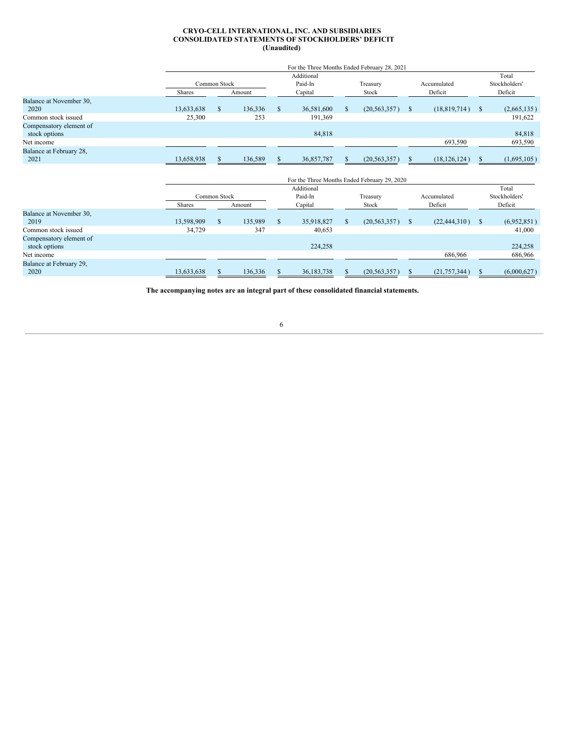#### <span id="page-5-0"></span>**CRYO-CELL INTERNATIONAL, INC. AND SUBSIDIARIES CONSOLIDATED STATEMENTS OF STOCKHOLDERS' DEFICIT (Unaudited)**

|                         | For the Three Months Ended February 28, 2021 |              |         |  |            |  |                |    |                |    |               |
|-------------------------|----------------------------------------------|--------------|---------|--|------------|--|----------------|----|----------------|----|---------------|
|                         |                                              | Additional   |         |  |            |  |                |    |                |    |               |
|                         |                                              | Common Stock |         |  | Paid-In    |  | Treasury       |    | Accumulated    |    | Stockholders' |
|                         | Shares                                       |              | Amount  |  | Capital    |  | Stock          |    | Deficit        |    | Deficit       |
| Balance at November 30, |                                              |              |         |  |            |  |                |    |                |    |               |
| 2020                    | 13,633,638                                   | S            | 136,336 |  | 36,581,600 |  | (20, 563, 357) | \$ | (18, 819, 714) | \$ | (2,665,135)   |
| Common stock issued     | 25,300                                       |              | 253     |  | 191,369    |  |                |    |                |    | 191,622       |
| Compensatory element of |                                              |              |         |  |            |  |                |    |                |    |               |
| stock options           |                                              |              |         |  | 84,818     |  |                |    |                |    | 84,818        |
| Net income              |                                              |              |         |  |            |  |                |    | 693,590        |    | 693,590       |
| Balance at February 28, |                                              |              |         |  |            |  |                |    |                |    |               |
| 2021                    | 13,658,938                                   |              | 136,589 |  | 36,857,787 |  | (20, 563, 357) |    | (18, 126, 124) |    | (1,695,105)   |
|                         |                                              |              |         |  |            |  |                |    |                |    |               |

|                                 | For the Three Months Ended February 29, 2020 |              |         |  |              |  |                |    |                |    |               |
|---------------------------------|----------------------------------------------|--------------|---------|--|--------------|--|----------------|----|----------------|----|---------------|
|                                 |                                              | Additional   |         |  |              |  |                |    |                |    |               |
|                                 |                                              | Common Stock |         |  | Paid-In      |  | Treasury       |    | Accumulated    |    | Stockholders' |
|                                 | Shares                                       |              | Amount  |  | Capital      |  | Stock          |    | Deficit        |    | Deficit       |
| Balance at November 30,         |                                              |              |         |  |              |  |                |    |                |    |               |
| 2019                            | 13.598.909                                   | S            | 135,989 |  | 35,918,827   |  | (20, 563, 357) | \$ | (22, 444, 310) | \$ | (6,952,851)   |
| Common stock issued             | 34,729                                       |              | 347     |  | 40,653       |  |                |    |                |    | 41,000        |
| Compensatory element of         |                                              |              |         |  |              |  |                |    |                |    |               |
| stock options                   |                                              |              |         |  | 224,258      |  |                |    |                |    | 224,258       |
| Net income                      |                                              |              |         |  |              |  |                |    | 686,966        |    | 686,966       |
| Balance at February 29,<br>2020 | 13,633,638                                   | Ś            | 136,336 |  | 36, 183, 738 |  | (20, 563, 357) |    | (21, 757, 344) |    | (6,000,627)   |

**The accompanying notes are an integral part of these consolidated financial statements.**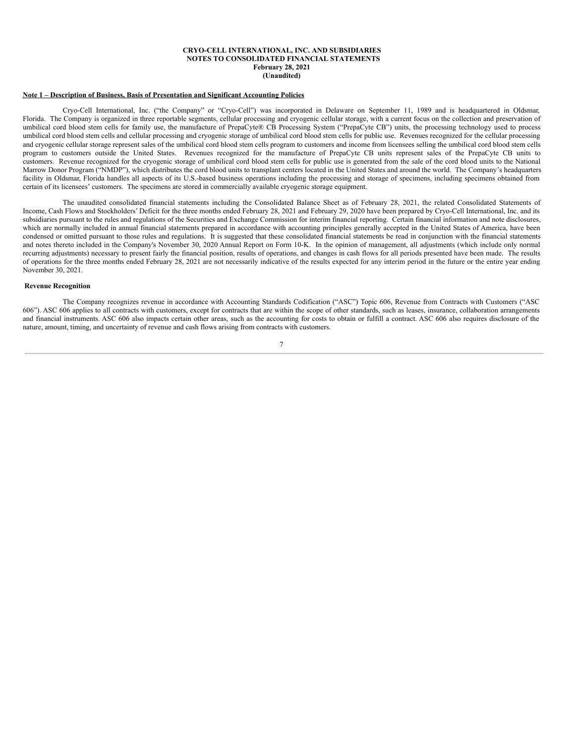#### <span id="page-6-0"></span>**CRYO-CELL INTERNATIONAL, INC. AND SUBSIDIARIES NOTES TO CONSOLIDATED FINANCIAL STATEMENTS February 28, 2021 (Unaudited)**

### **Note 1 – Description of Business, Basis of Presentation and Significant Accounting Policies**

Cryo-Cell International, Inc. ("the Company" or "Cryo-Cell") was incorporated in Delaware on September 11, 1989 and is headquartered in Oldsmar, Florida. The Company is organized in three reportable segments, cellular processing and cryogenic cellular storage, with a current focus on the collection and preservation of umbilical cord blood stem cells for family use, the manufacture of PrepaCyte® CB Processing System ("PrepaCyte CB") units, the processing technology used to process umbilical cord blood stem cells and cellular processing and cryogenic storage of umbilical cord blood stem cells for public use. Revenues recognized for the cellular processing and cryogenic cellular storage represent sales of the umbilical cord blood stem cells program to customers and income from licensees selling the umbilical cord blood stem cells program to customers outside the United States. Revenues recognized for the manufacture of PrepaCyte CB units represent sales of the PrepaCyte CB units to customers. Revenue recognized for the cryogenic storage of umbilical cord blood stem cells for public use is generated from the sale of the cord blood units to the National Marrow Donor Program ("NMDP"), which distributes the cord blood units to transplant centers located in the United States and around the world. The Company's headquarters facility in Oldsmar, Florida handles all aspects of its U.S.-based business operations including the processing and storage of specimens, including specimens obtained from certain of its licensees' customers. The specimens are stored in commercially available cryogenic storage equipment.

The unaudited consolidated financial statements including the Consolidated Balance Sheet as of February 28, 2021, the related Consolidated Statements of Income, Cash Flows and Stockholders' Deficit for the three months ended February 28, 2021 and February 29, 2020 have been prepared by Cryo-Cell International, Inc. and its subsidiaries pursuant to the rules and regulations of the Securities and Exchange Commission for interim financial reporting. Certain financial information and note disclosures, which are normally included in annual financial statements prepared in accordance with accounting principles generally accepted in the United States of America, have been condensed or omitted pursuant to those rules and regulations. It is suggested that these consolidated financial statements be read in conjunction with the financial statements and notes thereto included in the Company's November 30, 2020 Annual Report on Form 10-K. In the opinion of management, all adjustments (which include only normal recurring adjustments) necessary to present fairly the financial position, results of operations, and changes in cash flows for all periods presented have been made. The results of operations for the three months ended February 28, 2021 are not necessarily indicative of the results expected for any interim period in the future or the entire year ending November 30, 2021.

## **Revenue Recognition**

The Company recognizes revenue in accordance with Accounting Standards Codification ("ASC") Topic 606, Revenue from Contracts with Customers ("ASC 606"). ASC 606 applies to all contracts with customers, except for contracts that are within the scope of other standards, such as leases, insurance, collaboration arrangements and financial instruments. ASC 606 also impacts certain other areas, such as the accounting for costs to obtain or fulfill a contract. ASC 606 also requires disclosure of the nature, amount, timing, and uncertainty of revenue and cash flows arising from contracts with customers.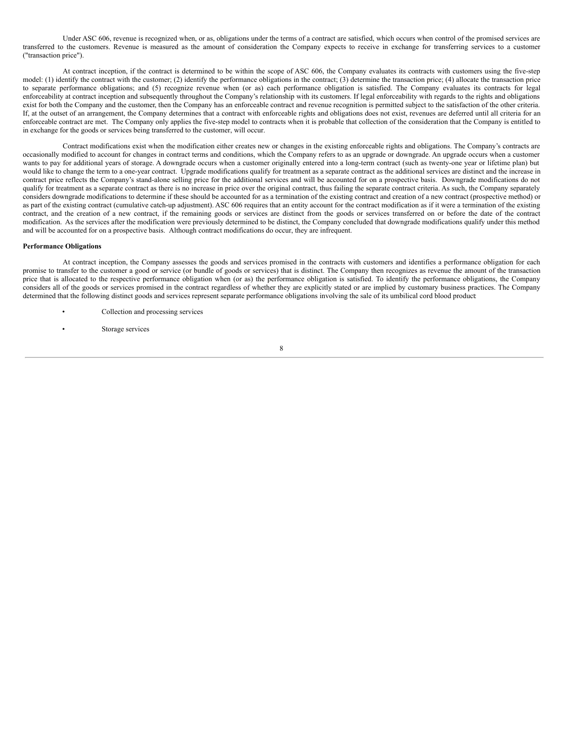Under ASC 606, revenue is recognized when, or as, obligations under the terms of a contract are satisfied, which occurs when control of the promised services are transferred to the customers. Revenue is measured as the amount of consideration the Company expects to receive in exchange for transferring services to a customer ("transaction price").

At contract inception, if the contract is determined to be within the scope of ASC 606, the Company evaluates its contracts with customers using the five-step model: (1) identify the contract with the customer; (2) identify the performance obligations in the contract; (3) determine the transaction price; (4) allocate the transaction price to separate performance obligations; and (5) recognize revenue when (or as) each performance obligation is satisfied. The Company evaluates its contracts for legal enforceability at contract inception and subsequently throughout the Company's relationship with its customers. If legal enforceability with regards to the rights and obligations exist for both the Company and the customer, then the Company has an enforceable contract and revenue recognition is permitted subject to the satisfaction of the other criteria. If, at the outset of an arrangement, the Company determines that a contract with enforceable rights and obligations does not exist, revenues are deferred until all criteria for an enforceable contract are met. The Company only applies the five-step model to contracts when it is probable that collection of the consideration that the Company is entitled to in exchange for the goods or services being transferred to the customer, will occur.

Contract modifications exist when the modification either creates new or changes in the existing enforceable rights and obligations. The Company's contracts are occasionally modified to account for changes in contract terms and conditions, which the Company refers to as an upgrade or downgrade. An upgrade occurs when a customer wants to pay for additional years of storage. A downgrade occurs when a customer originally entered into a long-term contract (such as twenty-one year or lifetime plan) but would like to change the term to a one-year contract. Upgrade modifications qualify for treatment as a separate contract as the additional services are distinct and the increase in contract price reflects the Company's stand-alone selling price for the additional services and will be accounted for on a prospective basis. Downgrade modifications do not qualify for treatment as a separate contract as there is no increase in price over the original contract, thus failing the separate contract criteria. As such, the Company separately considers downgrade modifications to determine if these should be accounted for as a termination of the existing contract and creation of a new contract (prospective method) or as part of the existing contract (cumulative catch-up adjustment). ASC 606 requires that an entity account for the contract modification as if it were a termination of the existing contract, and the creation of a new contract, if the remaining goods or services are distinct from the goods or services transferred on or before the date of the contract modification. As the services after the modification were previously determined to be distinct, the Company concluded that downgrade modifications qualify under this method and will be accounted for on a prospective basis. Although contract modifications do occur, they are infrequent.

## **Performance Obligations**

At contract inception, the Company assesses the goods and services promised in the contracts with customers and identifies a performance obligation for each promise to transfer to the customer a good or service (or bundle of goods or services) that is distinct. The Company then recognizes as revenue the amount of the transaction price that is allocated to the respective performance obligation when (or as) the performance obligation is satisfied. To identify the performance obligations, the Company considers all of the goods or services promised in the contract regardless of whether they are explicitly stated or are implied by customary business practices. The Company determined that the following distinct goods and services represent separate performance obligations involving the sale of its umbilical cord blood product:

- Collection and processing services
- Storage services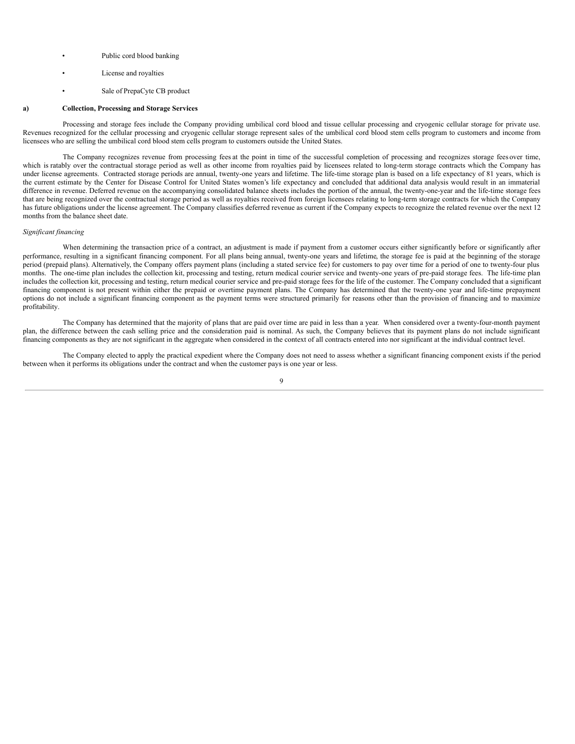- Public cord blood banking
- License and royalties
- Sale of PrepaCyte CB product

### **a) Collection, Processing and Storage Services**

Processing and storage fees include the Company providing umbilical cord blood and tissue cellular processing and cryogenic cellular storage for private use. Revenues recognized for the cellular processing and cryogenic cellular storage represent sales of the umbilical cord blood stem cells program to customers and income from licensees who are selling the umbilical cord blood stem cells program to customers outside the United States.

The Company recognizes revenue from processing fees at the point in time of the successful completion of processing and recognizes storage fees over time, which is ratably over the contractual storage period as well as other income from royalties paid by licensees related to long-term storage contracts which the Company has under license agreements. Contracted storage periods are annual, twenty-one years and lifetime. The life-time storage plan is based on a life expectancy of 81 years, which is the current estimate by the Center for Disease Control for United States women's life expectancy and concluded that additional data analysis would result in an immaterial difference in revenue. Deferred revenue on the accompanying consolidated balance sheets includes the portion of the annual, the twenty-one-year and the life-time storage fees that are being recognized over the contractual storage period as well as royalties received from foreign licensees relating to long-term storage contracts for which the Company has future obligations under the license agreement. The Company classifies deferred revenue as current if the Company expects to recognize the related revenue over the next 12 months from the balance sheet date.

### *Significant financing*

When determining the transaction price of a contract, an adjustment is made if payment from a customer occurs either significantly before or significantly after performance, resulting in a significant financing component. For all plans being annual, twenty-one years and lifetime, the storage fee is paid at the beginning of the storage period (prepaid plans). Alternatively, the Company offers payment plans (including a stated service fee) for customers to pay over time for a period of one to twenty-four plus months. The one-time plan includes the collection kit, processing and testing, return medical courier service and twenty-one years of pre-paid storage fees. The life-time plan includes the collection kit, processing and testing, return medical courier service and pre-paid storage fees for the life of the customer. The Company concluded that a significant financing component is not present within either the prepaid or overtime payment plans. The Company has determined that the twenty-one year and life-time prepayment options do not include a significant financing component as the payment terms were structured primarily for reasons other than the provision of financing and to maximize profitability.

The Company has determined that the majority of plans that are paid over time are paid in less than a year. When considered over a twenty-four-month payment plan, the difference between the cash selling price and the consideration paid is nominal. As such, the Company believes that its payment plans do not include significant financing components as they are not significant in the aggregate when considered in the context of all contracts entered into nor significant at the individual contract level.

The Company elected to apply the practical expedient where the Company does not need to assess whether a significant financing component exists if the period between when it performs its obligations under the contract and when the customer pays is one year or less.

 $\circ$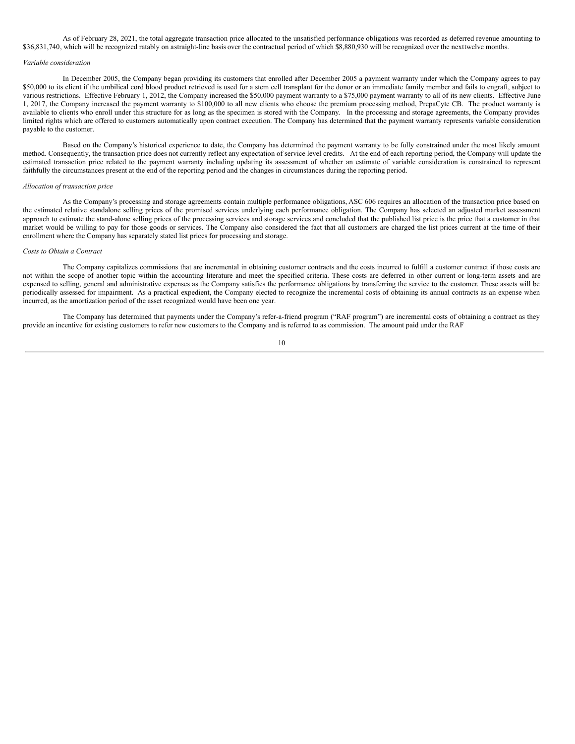As of February 28, 2021, the total aggregate transaction price allocated to the unsatisfied performance obligations was recorded as deferred revenue amounting to \$36,831,740, which will be recognized ratably on astraight-line basis over the contractual period of which \$8,880,930 will be recognized over the nexttwelve months.

# *Variable consideration*

In December 2005, the Company began providing its customers that enrolled after December 2005 a payment warranty under which the Company agrees to pay \$50,000 to its client if the umbilical cord blood product retrieved is used for a stem cell transplant for the donor or an immediate family member and fails to engraft, subject to various restrictions. Effective February 1, 2012, the Company increased the \$50,000 payment warranty to a \$75,000 payment warranty to all of its new clients. Effective June 1, 2017, the Company increased the payment warranty to \$100,000 to all new clients who choose the premium processing method, PrepaCyte CB. The product warranty is available to clients who enroll under this structure for as long as the specimen is stored with the Company. In the processing and storage agreements, the Company provides limited rights which are offered to customers automatically upon contract execution. The Company has determined that the payment warranty represents variable consideration payable to the customer.

Based on the Company's historical experience to date, the Company has determined the payment warranty to be fully constrained under the most likely amount method. Consequently, the transaction price does not currently reflect any expectation of service level credits. At the end of each reporting period, the Company will update the estimated transaction price related to the payment warranty including updating its assessment of whether an estimate of variable consideration is constrained to represent faithfully the circumstances present at the end of the reporting period and the changes in circumstances during the reporting period.

### *Allocation of transaction price*

As the Company's processing and storage agreements contain multiple performance obligations, ASC 606 requires an allocation of the transaction price based on the estimated relative standalone selling prices of the promised services underlying each performance obligation. The Company has selected an adjusted market assessment approach to estimate the stand-alone selling prices of the processing services and storage services and concluded that the published list price is the price that a customer in that market would be willing to pay for those goods or services. The Company also considered the fact that all customers are charged the list prices current at the time of their enrollment where the Company has separately stated list prices for processing and storage.

# *Costs to Obtain a Contract*

The Company capitalizes commissions that are incremental in obtaining customer contracts and the costs incurred to fulfill a customer contract if those costs are not within the scope of another topic within the accounting literature and meet the specified criteria. These costs are deferred in other current or long-term assets and are expensed to selling, general and administrative expenses as the Company satisfies the performance obligations by transferring the service to the customer. These assets will be periodically assessed for impairment. As a practical expedient, the Company elected to recognize the incremental costs of obtaining its annual contracts as an expense when incurred, as the amortization period of the asset recognized would have been one year.

The Company has determined that payments under the Company's refer-a-friend program ("RAF program") are incremental costs of obtaining a contract as they provide an incentive for existing customers to refer new customers to the Company and is referred to as commission. The amount paid under the RAF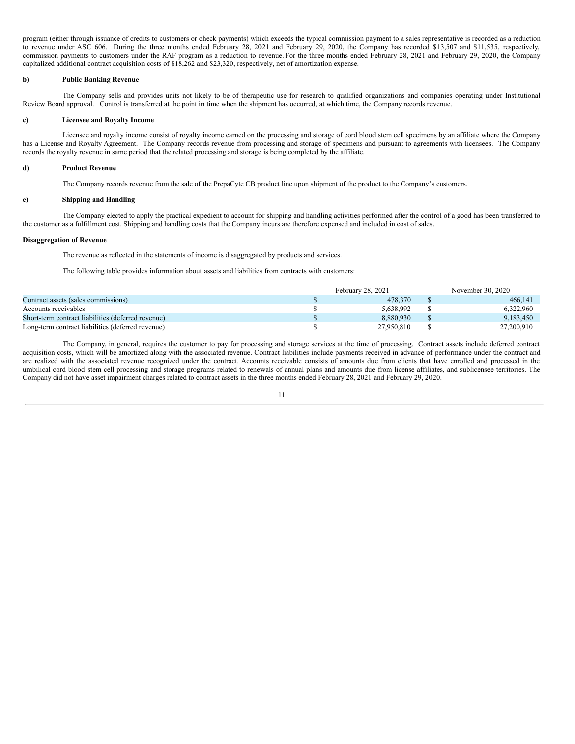program (either through issuance of credits to customers or check payments) which exceeds the typical commission payment to a sales representative is recorded as a reduction to revenue under ASC 606. During the three months ended February 28, 2021 and February 29, 2020, the Company has recorded \$13,507 and \$11,535, respectively, commission payments to customers under the RAF program as a reduction to revenue. For the three months ended February 28, 2021 and February 29, 2020, the Company capitalized additional contract acquisition costs of \$18,262 and \$23,320, respectively, net of amortization expense.

#### **b) Public Banking Revenue**

The Company sells and provides units not likely to be of therapeutic use for research to qualified organizations and companies operating under Institutional Review Board approval. Control is transferred at the point in time when the shipment has occurred, at which time, the Company records revenue.

### **c) Licensee and Royalty Income**

Licensee and royalty income consist of royalty income earned on the processing and storage of cord blood stem cell specimens by an affiliate where the Company has a License and Royalty Agreement. The Company records revenue from processing and storage of specimens and pursuant to agreements with licensees. The Company records the royalty revenue in same period that the related processing and storage is being completed by the affiliate.

#### **d) Product Revenue**

The Company records revenue from the sale of the PrepaCyte CB product line upon shipment of the product to the Company's customers.

### **e) Shipping and Handling**

The Company elected to apply the practical expedient to account for shipping and handling activities performed after the control of a good has been transferred to the customer as a fulfillment cost. Shipping and handling costs that the Company incurs are therefore expensed and included in cost of sales.

#### **Disaggregation of Revenue**

The revenue as reflected in the statements of income is disaggregated by products and services.

The following table provides information about assets and liabilities from contracts with customers:

|                                                    | February 28, 2021 |            |  | November 30, 2020 |
|----------------------------------------------------|-------------------|------------|--|-------------------|
| Contract assets (sales commissions)                |                   | 478,370    |  | 466.141           |
| Accounts receivables                               |                   | 5.638.992  |  | 6.322.960         |
| Short-term contract liabilities (deferred revenue) |                   | 8.880.930  |  | 9.183.450         |
| Long-term contract liabilities (deferred revenue)  |                   | 27,950,810 |  | 27,200,910        |

The Company, in general, requires the customer to pay for processing and storage services at the time of processing. Contract assets include deferred contract acquisition costs, which will be amortized along with the associated revenue. Contract liabilities include payments received in advance of performance under the contract and are realized with the associated revenue recognized under the contract. Accounts receivable consists of amounts due from clients that have enrolled and processed in the umbilical cord blood stem cell processing and storage programs related to renewals of annual plans and amounts due from license affiliates, and sublicensee territories. The Company did not have asset impairment charges related to contract assets in the three months ended February 28, 2021 and February 29, 2020.

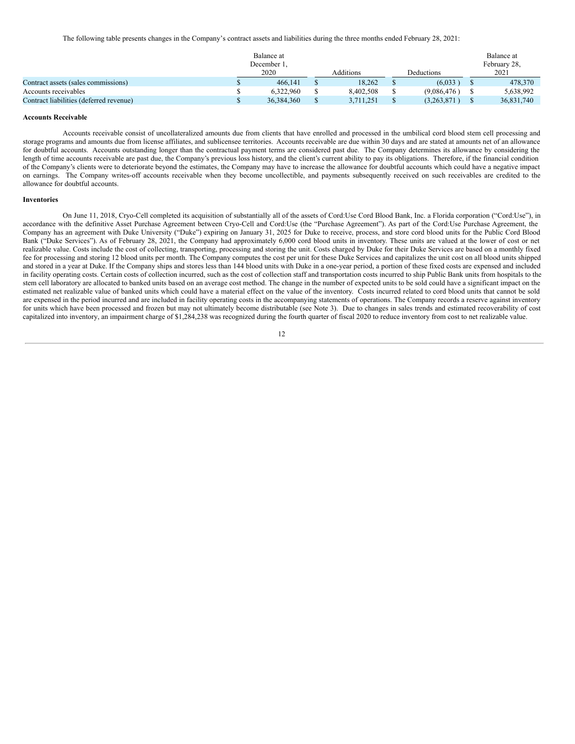The following table presents changes in the Company's contract assets and liabilities during the three months ended February 28, 2021:

|                                         | Balance at  |           |             | Balance at   |
|-----------------------------------------|-------------|-----------|-------------|--------------|
|                                         | December 1. |           |             | February 28, |
|                                         | 2020        | Additions | Deductions  | 2021         |
| Contract assets (sales commissions)     | 466.141     | 18.262    | (6.033)     | 478,370      |
| Accounts receivables                    | 6.322.960   | 8.402.508 | (9.086.476) | 5,638,992    |
| Contract liabilities (deferred revenue) | 36,384,360  | 3,711,251 | (3,263,871) | 36,831,740   |

# **Accounts Receivable**

Accounts receivable consist of uncollateralized amounts due from clients that have enrolled and processed in the umbilical cord blood stem cell processing and storage programs and amounts due from license affiliates, and sublicensee territories. Accounts receivable are due within 30 days and are stated at amounts net of an allowance for doubtful accounts. Accounts outstanding longer than the contractual payment terms are considered past due. The Company determines its allowance by considering the length of time accounts receivable are past due, the Company's previous loss history, and the client's current ability to pay its obligations. Therefore, if the financial condition of the Company's clients were to deteriorate beyond the estimates, the Company may have to increase the allowance for doubtful accounts which could have a negative impact on earnings. The Company writes-off accounts receivable when they become uncollectible, and payments subsequently received on such receivables are credited to the allowance for doubtful accounts.

#### **Inventories**

On June 11, 2018, Cryo-Cell completed its acquisition of substantially all of the assets of Cord:Use Cord Blood Bank, Inc. a Florida corporation ("Cord:Use"), in accordance with the definitive Asset Purchase Agreement between Cryo-Cell and Cord:Use (the "Purchase Agreement"). As part of the Cord:Use Purchase Agreement, the Company has an agreement with Duke University ("Duke") expiring on January 31, 2025 for Duke to receive, process, and store cord blood units for the Public Cord Blood Bank ("Duke Services"). As of February 28, 2021, the Company had approximately 6,000 cord blood units in inventory. These units are valued at the lower of cost or net realizable value. Costs include the cost of collecting, transporting, processing and storing the unit. Costs charged by Duke for their Duke Services are based on a monthly fixed fee for processing and storing 12 blood units per month. The Company computes the cost per unit for these Duke Services and capitalizes the unit cost on all blood units shipped and stored in a year at Duke. If the Company ships and stores less than 144 blood units with Duke in a one-year period, a portion of these fixed costs are expensed and included in facility operating costs. Certain costs of collection incurred, such as the cost of collection staff and transportation costs incurred to ship Public Bank units from hospitals to the stem cell laboratory are allocated to banked units based on an average cost method. The change in the number of expected units to be sold could have a significant impact on the estimated net realizable value of banked units which could have a material effect on the value of the inventory. Costs incurred related to cord blood units that cannot be sold are expensed in the period incurred and are included in facility operating costs in the accompanying statements of operations. The Company records a reserve against inventory for units which have been processed and frozen but may not ultimately become distributable (see Note 3). Due to changes in sales trends and estimated recoverability of cost capitalized into inventory, an impairment charge of \$1,284,238 was recognized during the fourth quarter of fiscal 2020 to reduce inventory from cost to net realizable value.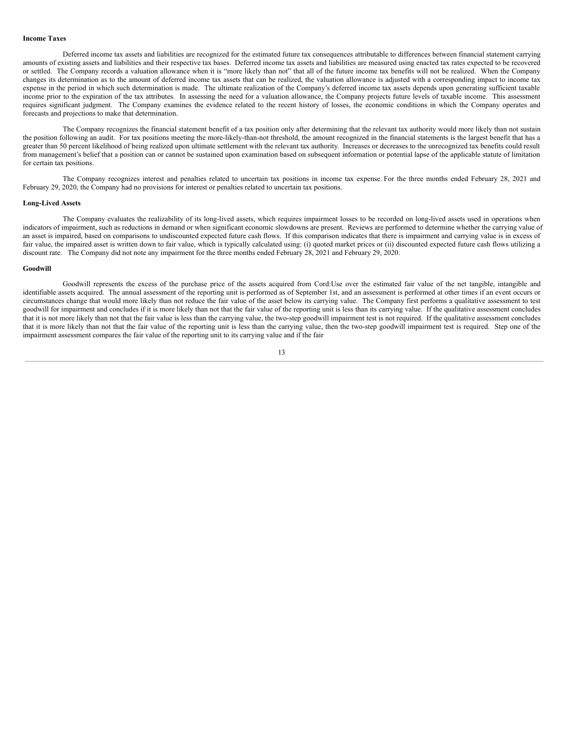#### **Income Taxes**

Deferred income tax assets and liabilities are recognized for the estimated future tax consequences attributable to differences between financial statement carrying amounts of existing assets and liabilities and their respective tax bases. Deferred income tax assets and liabilities are measured using enacted tax rates expected to be recovered or settled. The Company records a valuation allowance when it is "more likely than not" that all of the future income tax benefits will not be realized. When the Company changes its determination as to the amount of deferred income tax assets that can be realized, the valuation allowance is adjusted with a corresponding impact to income tax expense in the period in which such determination is made. The ultimate realization of the Company's deferred income tax assets depends upon generating sufficient taxable income prior to the expiration of the tax attributes. In assessing the need for a valuation allowance, the Company projects future levels of taxable income. This assessment requires significant judgment. The Company examines the evidence related to the recent history of losses, the economic conditions in which the Company operates and forecasts and projections to make that determination.

The Company recognizes the financial statement benefit of a tax position only after determining that the relevant tax authority would more likely than not sustain the position following an audit. For tax positions meeting the more-likely-than-not threshold, the amount recognized in the financial statements is the largest benefit that has a greater than 50 percent likelihood of being realized upon ultimate settlement with the relevant tax authority. Increases or decreases to the unrecognized tax benefits could result from management's belief that a position can or cannot be sustained upon examination based on subsequent information or potential lapse of the applicable statute of limitation for certain tax positions.

The Company recognizes interest and penalties related to uncertain tax positions in income tax expense. For the three months ended February 28, 2021 and February 29, 2020, the Company had no provisions for interest or penalties related to uncertain tax positions.

# **Long-Lived Assets**

The Company evaluates the realizability of its long-lived assets, which requires impairment losses to be recorded on long-lived assets used in operations when indicators of impairment, such as reductions in demand or when significant economic slowdowns are present. Reviews are performed to determine whether the carrying value of an asset is impaired, based on comparisons to undiscounted expected future cash flows. If this comparison indicates that there is impairment and carrying value is in excess of fair value, the impaired asset is written down to fair value, which is typically calculated using: (i) quoted market prices or (ii) discounted expected future cash flows utilizing a discount rate. The Company did not note any impairment for the three months ended February 28, 2021 and February 29, 2020.

#### **Goodwill**

Goodwill represents the excess of the purchase price of the assets acquired from Cord:Use over the estimated fair value of the net tangible, intangible and identifiable assets acquired. The annual assessment of the reporting unit is performed as of September 1st, and an assessment is performed at other times if an event occurs or circumstances change that would more likely than not reduce the fair value of the asset below its carrying value. The Company first performs a qualitative assessment to test goodwill for impairment and concludes if it is more likely than not that the fair value of the reporting unit is less than its carrying value. If the qualitative assessment concludes that it is not more likely than not that the fair value is less than the carrying value, the two-step goodwill impairment test is not required. If the qualitative assessment concludes that it is more likely than not that the fair value of the reporting unit is less than the carrying value, then the two-step goodwill impairment test is required. Step one of the impairment assessment compares the fair value of the reporting unit to its carrying value and if the fair

13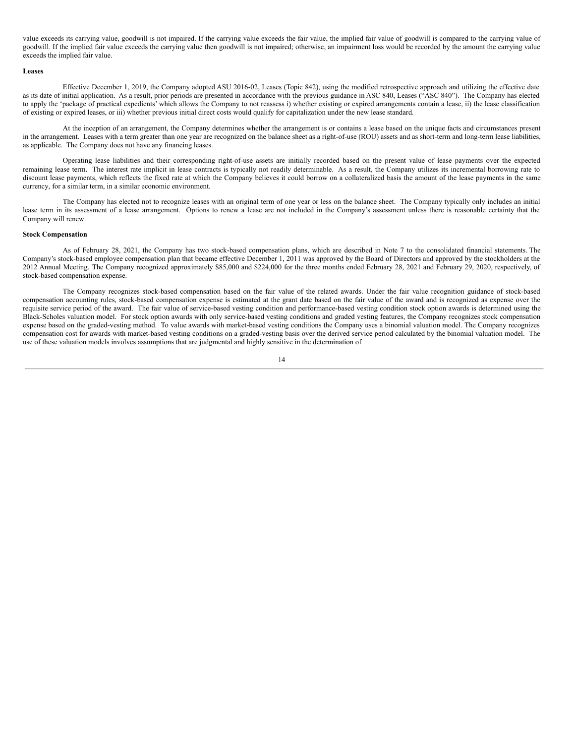value exceeds its carrying value, goodwill is not impaired. If the carrying value exceeds the fair value, the implied fair value of goodwill is compared to the carrying value of goodwill. If the implied fair value exceeds the carrying value then goodwill is not impaired; otherwise, an impairment loss would be recorded by the amount the carrying value exceeds the implied fair value.

# **Leases**

Effective December 1, 2019, the Company adopted ASU 2016-02, Leases (Topic 842), using the modified retrospective approach and utilizing the effective date as its date of initial application. As a result, prior periods are presented in accordance with the previous guidance in ASC 840, Leases ("ASC 840"). The Company has elected to apply the 'package of practical expedients' which allows the Company to not reassess i) whether existing or expired arrangements contain a lease, ii) the lease classification of existing or expired leases, or iii) whether previous initial direct costs would qualify for capitalization under the new lease standard.

At the inception of an arrangement, the Company determines whether the arrangement is or contains a lease based on the unique facts and circumstances present in the arrangement. Leases with a term greater than one year are recognized on the balance sheet as a right-of-use (ROU) assets and as short-term and long-term lease liabilities, as applicable. The Company does not have any financing leases.

Operating lease liabilities and their corresponding right-of-use assets are initially recorded based on the present value of lease payments over the expected remaining lease term. The interest rate implicit in lease contracts is typically not readily determinable. As a result, the Company utilizes its incremental borrowing rate to discount lease payments, which reflects the fixed rate at which the Company believes it could borrow on a collateralized basis the amount of the lease payments in the same currency, for a similar term, in a similar economic environment.

The Company has elected not to recognize leases with an original term of one year or less on the balance sheet. The Company typically only includes an initial lease term in its assessment of a lease arrangement. Options to renew a lease are not included in the Company's assessment unless there is reasonable certainty that the Company will renew.

# **Stock Compensation**

As of February 28, 2021, the Company has two stock-based compensation plans, which are described in Note 7 to the consolidated financial statements. The Company's stock-based employee compensation plan that became effective December 1, 2011 was approved by the Board of Directors and approved by the stockholders at the 2012 Annual Meeting. The Company recognized approximately \$85,000 and \$224,000 for the three months ended February 28, 2021 and February 29, 2020, respectively, of stock-based compensation expense.

The Company recognizes stock-based compensation based on the fair value of the related awards. Under the fair value recognition guidance of stock-based compensation accounting rules, stock-based compensation expense is estimated at the grant date based on the fair value of the award and is recognized as expense over the requisite service period of the award. The fair value of service-based vesting condition and performance-based vesting condition stock option awards is determined using the Black-Scholes valuation model. For stock option awards with only service-based vesting conditions and graded vesting features, the Company recognizes stock compensation expense based on the graded-vesting method. To value awards with market-based vesting conditions the Company uses a binomial valuation model. The Company recognizes compensation cost for awards with market-based vesting conditions on a graded-vesting basis over the derived service period calculated by the binomial valuation model. The use of these valuation models involves assumptions that are judgmental and highly sensitive in the determination of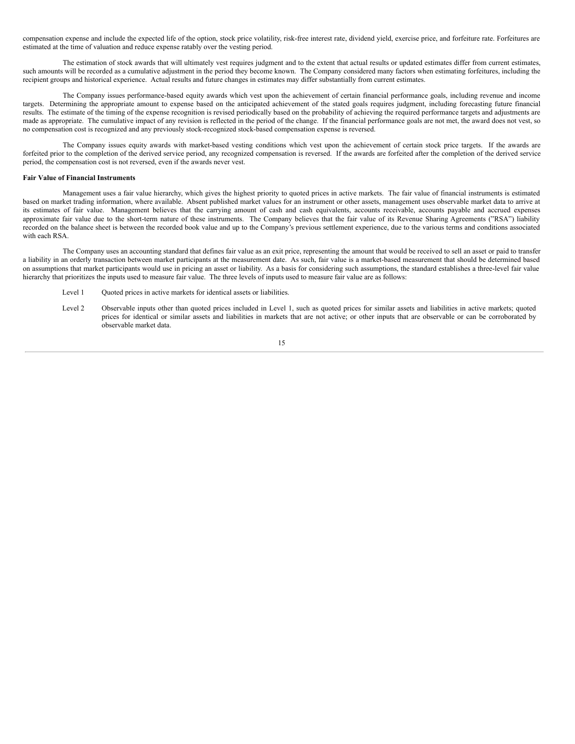compensation expense and include the expected life of the option, stock price volatility, risk-free interest rate, dividend yield, exercise price, and forfeiture rate. Forfeitures are estimated at the time of valuation and reduce expense ratably over the vesting period.

The estimation of stock awards that will ultimately vest requires judgment and to the extent that actual results or updated estimates differ from current estimates, such amounts will be recorded as a cumulative adjustment in the period they become known. The Company considered many factors when estimating forfeitures, including the recipient groups and historical experience. Actual results and future changes in estimates may differ substantially from current estimates.

The Company issues performance-based equity awards which vest upon the achievement of certain financial performance goals, including revenue and income targets. Determining the appropriate amount to expense based on the anticipated achievement of the stated goals requires judgment, including forecasting future financial results. The estimate of the timing of the expense recognition is revised periodically based on the probability of achieving the required performance targets and adjustments are made as appropriate. The cumulative impact of any revision is reflected in the period of the change. If the financial performance goals are not met, the award does not vest, so no compensation cost is recognized and any previously stock-recognized stock-based compensation expense is reversed.

The Company issues equity awards with market-based vesting conditions which vest upon the achievement of certain stock price targets. If the awards are forfeited prior to the completion of the derived service period, any recognized compensation is reversed. If the awards are forfeited after the completion of the derived service period, the compensation cost is not reversed, even if the awards never vest.

#### **Fair Value of Financial Instruments**

Management uses a fair value hierarchy, which gives the highest priority to quoted prices in active markets. The fair value of financial instruments is estimated based on market trading information, where available. Absent published market values for an instrument or other assets, management uses observable market data to arrive at its estimates of fair value. Management believes that the carrying amount of cash and cash equivalents, accounts receivable, accounts payable and accrued expenses approximate fair value due to the short-term nature of these instruments. The Company believes that the fair value of its Revenue Sharing Agreements ("RSA") liability recorded on the balance sheet is between the recorded book value and up to the Company's previous settlement experience, due to the various terms and conditions associated with each RSA

The Company uses an accounting standard that defines fair value as an exit price, representing the amount that would be received to sell an asset or paid to transfer a liability in an orderly transaction between market participants at the measurement date. As such, fair value is a market-based measurement that should be determined based on assumptions that market participants would use in pricing an asset or liability. As a basis for considering such assumptions, the standard establishes a three-level fair value hierarchy that prioritizes the inputs used to measure fair value. The three levels of inputs used to measure fair value are as follows:

- Level 1 Quoted prices in active markets for identical assets or liabilities.
- Level 2 Observable inputs other than quoted prices included in Level 1, such as quoted prices for similar assets and liabilities in active markets; quoted prices for identical or similar assets and liabilities in markets that are not active; or other inputs that are observable or can be corroborated by observable market data.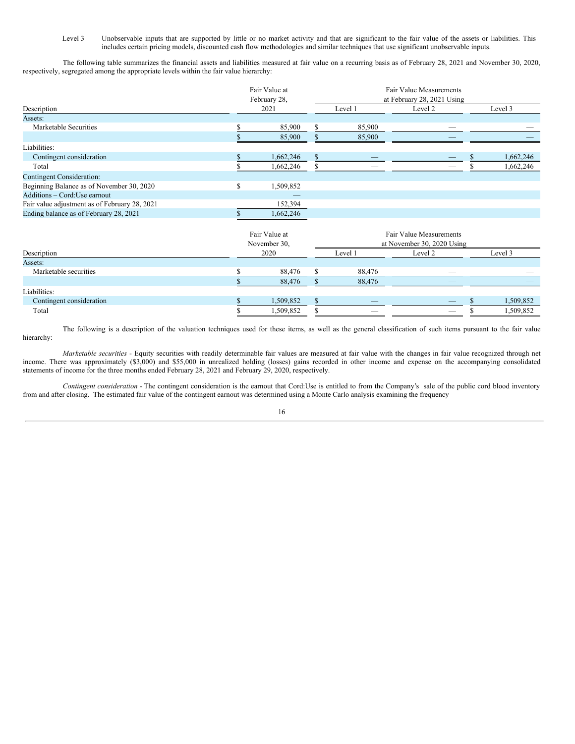Level 3 Unobservable inputs that are supported by little or no market activity and that are significant to the fair value of the assets or liabilities. This includes certain pricing models, discounted cash flow methodologies and similar techniques that use significant unobservable inputs.

The following table summarizes the financial assets and liabilities measured at fair value on a recurring basis as of February 28, 2021 and November 30, 2020, respectively, segregated among the appropriate levels within the fair value hierarchy:

|                                               | Fair Value at<br>February 28, | Fair Value Measurements<br>at February 28, 2021 Using |         |         |  |           |  |
|-----------------------------------------------|-------------------------------|-------------------------------------------------------|---------|---------|--|-----------|--|
| Description                                   | 2021                          |                                                       | Level 1 | Level 2 |  | Level 3   |  |
| Assets:                                       |                               |                                                       |         |         |  |           |  |
| Marketable Securities                         | 85,900                        |                                                       | 85,900  |         |  |           |  |
|                                               | 85,900                        |                                                       | 85,900  |         |  |           |  |
| Liabilities:                                  |                               |                                                       |         |         |  |           |  |
| Contingent consideration                      | 1,662,246                     |                                                       |         |         |  | 1,662,246 |  |
| Total                                         | 1,662,246                     |                                                       |         |         |  | 1,662,246 |  |
| <b>Contingent Consideration:</b>              |                               |                                                       |         |         |  |           |  |
| Beginning Balance as of November 30, 2020     | 1,509,852                     |                                                       |         |         |  |           |  |
| Additions – Cord: Use earnout                 |                               |                                                       |         |         |  |           |  |
| Fair value adjustment as of February 28, 2021 | 152,394                       |                                                       |         |         |  |           |  |
| Ending balance as of February 28, 2021        | 1,662,246                     |                                                       |         |         |  |           |  |
|                                               |                               |                                                       |         |         |  |           |  |

|                          | Fair Value at<br>November 30, | Fair Value Measurements<br>at November 30, 2020 Using |                                 |                          |  |           |  |  |
|--------------------------|-------------------------------|-------------------------------------------------------|---------------------------------|--------------------------|--|-----------|--|--|
| Description              | 2020                          |                                                       | Level 1                         | Level 2                  |  | Level 3   |  |  |
| Assets:                  |                               |                                                       |                                 |                          |  |           |  |  |
| Marketable securities    | 88,476                        |                                                       | 88,476                          | $\overline{\phantom{a}}$ |  |           |  |  |
|                          | 88,476                        |                                                       | 88,476                          |                          |  |           |  |  |
| Liabilities:             |                               |                                                       |                                 |                          |  |           |  |  |
| Contingent consideration | 1,509,852                     |                                                       | $\hspace{0.1mm}-\hspace{0.1mm}$ | $-$                      |  | 1,509,852 |  |  |
| Total                    | 1,509,852                     |                                                       | $\overline{\phantom{a}}$        | $\overline{\phantom{a}}$ |  | 1,509,852 |  |  |

The following is a description of the valuation techniques used for these items, as well as the general classification of such items pursuant to the fair value hierarchy:

*Marketable securities* - Equity securities with readily determinable fair values are measured at fair value with the changes in fair value recognized through net income. There was approximately (\$3,000) and \$55,000 in unrealized holding (losses) gains recorded in other income and expense on the accompanying consolidated statements of income for the three months ended February 28, 2021 and February 29, 2020, respectively.

*Contingent consideration -* The contingent consideration is the earnout that Cord:Use is entitled to from the Company's sale of the public cord blood inventory from and after closing. The estimated fair value of the contingent earnout was determined using a Monte Carlo analysis examining the frequency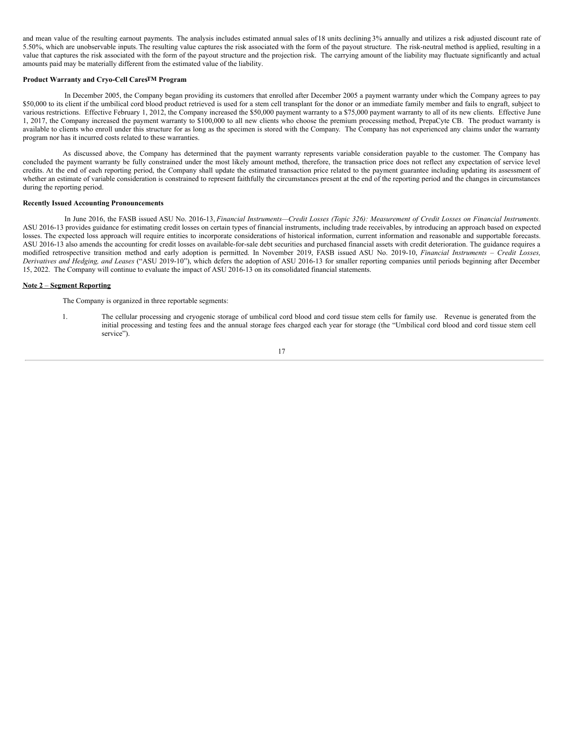and mean value of the resulting earnout payments. The analysis includes estimated annual sales of 18 units declining 3% annually and utilizes a risk adjusted discount rate of 5.50%, which are unobservable inputs. The resulting value captures the risk associated with the form of the payout structure. The risk-neutral method is applied, resulting in a value that captures the risk associated with the form of the payout structure and the projection risk. The carrying amount of the liability may fluctuate significantly and actual amounts paid may be materially different from the estimated value of the liability.

# **Product Warranty and Cryo-Cell CaresTM Program**

In December 2005, the Company began providing its customers that enrolled after December 2005 a payment warranty under which the Company agrees to pay \$50,000 to its client if the umbilical cord blood product retrieved is used for a stem cell transplant for the donor or an immediate family member and fails to engraft, subject to various restrictions. Effective February 1, 2012, the Company increased the \$50,000 payment warranty to a \$75,000 payment warranty to all of its new clients. Effective June 1, 2017, the Company increased the payment warranty to \$100,000 to all new clients who choose the premium processing method, PrepaCyte CB. The product warranty is available to clients who enroll under this structure for as long as the specimen is stored with the Company. The Company has not experienced any claims under the warranty program nor has it incurred costs related to these warranties.

As discussed above, the Company has determined that the payment warranty represents variable consideration payable to the customer. The Company has concluded the payment warranty be fully constrained under the most likely amount method, therefore, the transaction price does not reflect any expectation of service level credits. At the end of each reporting period, the Company shall update the estimated transaction price related to the payment guarantee including updating its assessment of whether an estimate of variable consideration is constrained to represent faithfully the circumstances present at the end of the reporting period and the changes in circumstances during the reporting period.

# **Recently Issued Accounting Pronouncements**

In June 2016, the FASB issued ASU No. 2016-13, Financial Instruments-Credit Losses (Topic 326): Measurement of Credit Losses on Financial Instruments. ASU 2016-13 provides guidance for estimating credit losses on certain types of financial instruments, including trade receivables, by introducing an approach based on expected losses. The expected loss approach will require entities to incorporate considerations of historical information, current information and reasonable and supportable forecasts. ASU 2016-13 also amends the accounting for credit losses on available-for-sale debt securities and purchased financial assets with credit deterioration. The guidance requires a modified retrospective transition method and early adoption is permitted. In November 2019, FASB issued ASU No. 2019-10, *Financial Instruments – Credit Losses, Derivatives and Hedging, and Leases* ("ASU 2019-10"), which defers the adoption of ASU 2016-13 for smaller reporting companies until periods beginning after December 15, 2022. The Company will continue to evaluate the impact of ASU 2016-13 on its consolidated financial statements.

# **Note 2** – **Segment Reporting**

The Company is organized in three reportable segments:

1. The cellular processing and cryogenic storage of umbilical cord blood and cord tissue stem cells for family use. Revenue is generated from the initial processing and testing fees and the annual storage fees charged each year for storage (the "Umbilical cord blood and cord tissue stem cell service").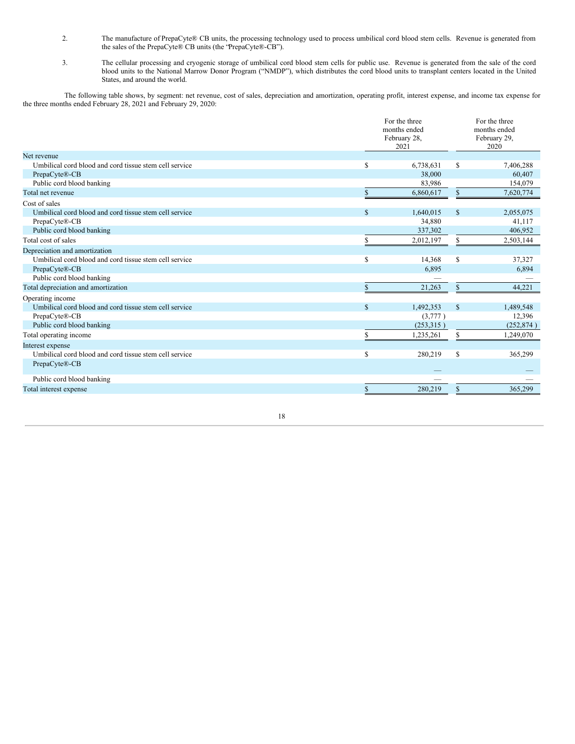- 2. The manufacture of PrepaCyte® CB units, the processing technology used to process umbilical cord blood stem cells. Revenue is generated from the sales of the PrepaCyte® CB units (the "PrepaCyte®-CB").
- 3. The cellular processing and cryogenic storage of umbilical cord blood stem cells for public use. Revenue is generated from the sale of the cord blood units to the National Marrow Donor Program ("NMDP"), which distributes the cord blood units to transplant centers located in the United States, and around the world.

The following table shows, by segment: net revenue, cost of sales, depreciation and amortization, operating profit, interest expense, and income tax expense for the three months ended February 28, 2021 and February 29, 2020:

|                                                        | months ended<br>February 28, | For the three<br>months ended<br>February 29,<br>2020 |               |            |
|--------------------------------------------------------|------------------------------|-------------------------------------------------------|---------------|------------|
| Net revenue                                            |                              |                                                       |               |            |
| Umbilical cord blood and cord tissue stem cell service | S                            | 6,738,631                                             | S             | 7,406,288  |
| PrepaCyte®-CB                                          |                              | 38,000                                                |               | 60,407     |
| Public cord blood banking                              |                              | 83,986                                                |               | 154,079    |
| Total net revenue                                      | \$                           | 6,860,617                                             | \$            | 7,620,774  |
| Cost of sales                                          |                              |                                                       |               |            |
| Umbilical cord blood and cord tissue stem cell service | $\mathbf S$                  | 1,640,015                                             | <sup>\$</sup> | 2,055,075  |
| PrepaCyte®-CB                                          |                              | 34,880                                                |               | 41,117     |
| Public cord blood banking                              |                              | 337,302                                               |               | 406,952    |
| Total cost of sales                                    |                              | 2,012,197                                             | S             | 2,503,144  |
| Depreciation and amortization                          |                              |                                                       |               |            |
| Umbilical cord blood and cord tissue stem cell service | \$                           | 14,368                                                | \$            | 37,327     |
| PrepaCyte®-CB                                          |                              | 6,895                                                 |               | 6,894      |
| Public cord blood banking                              |                              |                                                       |               |            |
| Total depreciation and amortization                    | \$                           | 21,263                                                | $\mathbb{S}$  | 44,221     |
| Operating income                                       |                              |                                                       |               |            |
| Umbilical cord blood and cord tissue stem cell service | <sup>\$</sup>                | 1,492,353                                             | <sup>\$</sup> | 1,489,548  |
| PrepaCyte®-CB                                          |                              | (3,777)                                               |               | 12,396     |
| Public cord blood banking                              |                              | (253, 315)                                            |               | (252, 874) |
| Total operating income                                 |                              | 1,235,261                                             | \$            | 1,249,070  |
| Interest expense                                       |                              |                                                       |               |            |
| Umbilical cord blood and cord tissue stem cell service | S                            | 280,219                                               | S             | 365,299    |
| PrepaCyte®-CB                                          |                              |                                                       |               |            |
| Public cord blood banking                              |                              |                                                       |               |            |
| Total interest expense                                 | \$                           | 280,219                                               | <sup>\$</sup> | 365,299    |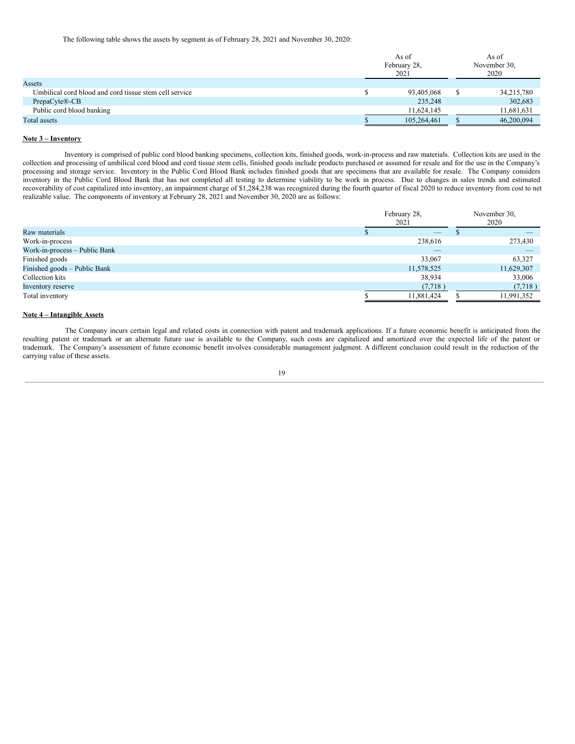The following table shows the assets by segment as of February 28, 2021 and November 30, 2020:

|                                                        | As of<br>February 28,<br>2021 | As of<br>November 30,<br>2020 |            |  |
|--------------------------------------------------------|-------------------------------|-------------------------------|------------|--|
| Assets                                                 |                               |                               |            |  |
| Umbilical cord blood and cord tissue stem cell service | 93,405,068                    |                               | 34,215,780 |  |
| PrepaCyte®-CB                                          | 235,248                       |                               | 302,683    |  |
| Public cord blood banking                              | 11,624,145                    |                               | 11,681,631 |  |
| Total assets                                           | 105.264.461                   |                               | 46,200,094 |  |

# **Note 3 – Inventory**

Inventory is comprised of public cord blood banking specimens, collection kits, finished goods, work-in-process and raw materials. Collection kits are used in the collection and processing of umbilical cord blood and cord tissue stem cells, finished goods include products purchased or assumed for resale and for the use in the Company's processing and storage service. Inventory in the Public Cord Blood Bank includes finished goods that are specimens that are available for resale. The Company considers inventory in the Public Cord Blood Bank that has not completed all testing to determine viability to be work in process. Due to changes in sales trends and estimated recoverability of cost capitalized into inventory, an impairment charge of \$1,284,238 was recognized during the fourth quarter of fiscal 2020 to reduce inventory from cost to net realizable value. The components of inventory at February 28, 2021 and November 30, 2020 are as follows:

|                               | February 28,<br>2021            | November 30,<br>2020 |            |  |
|-------------------------------|---------------------------------|----------------------|------------|--|
| Raw materials                 | $\hspace{0.1mm}-\hspace{0.1mm}$ |                      |            |  |
| Work-in-process               | 238,616                         |                      | 273,430    |  |
| Work-in-process – Public Bank | $-$                             |                      |            |  |
| Finished goods                | 33,067                          |                      | 63,327     |  |
| Finished goods – Public Bank  | 11,578,525                      |                      | 11,629,307 |  |
| Collection kits               | 38,934                          |                      | 33,006     |  |
| Inventory reserve             | (7,718)                         |                      | (7,718)    |  |
| Total inventory               | 11,881,424                      |                      | 11,991,352 |  |

# **Note 4 – Intangible Assets**

The Company incurs certain legal and related costs in connection with patent and trademark applications. If a future economic benefit is anticipated from the resulting patent or trademark or an alternate future use is available to the Company, such costs are capitalized and amortized over the expected life of the patent or trademark. The Company's assessment of future economic benefit involves considerable management judgment. A different conclusion could result in the reduction of the carrying value of these assets.

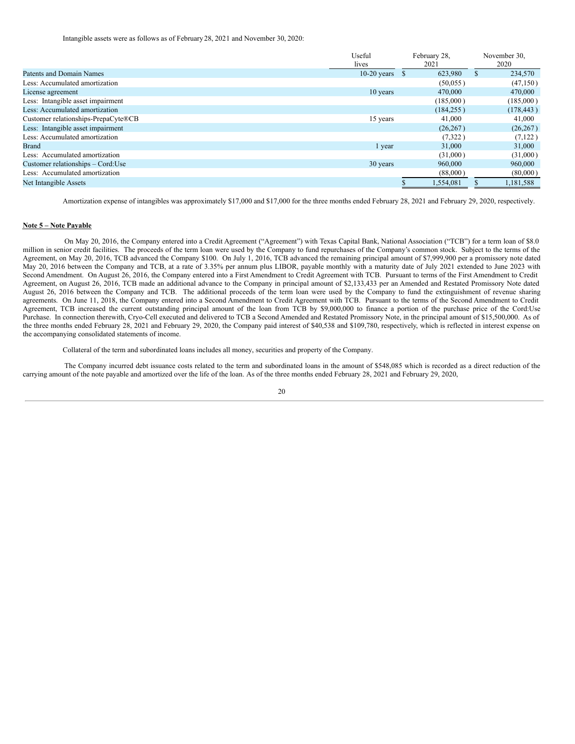Intangible assets were as follows as of February 28, 2021 and November 30, 2020:

|                                     | Useful<br>lives   | February 28,<br>2021 |    | November 30,<br>2020 |
|-------------------------------------|-------------------|----------------------|----|----------------------|
| Patents and Domain Names            | 10-20 years $\$\$ | 623,980              | S. | 234,570              |
| Less: Accumulated amortization      |                   | (50,055)             |    | (47,150)             |
| License agreement                   | 10 years          | 470,000              |    | 470,000              |
| Less: Intangible asset impairment   |                   | (185,000)            |    | (185,000)            |
| Less: Accumulated amortization      |                   | (184, 255)           |    | (178, 443)           |
| Customer relationships-PrepaCyte®CB | 15 years          | 41,000               |    | 41,000               |
| Less: Intangible asset impairment   |                   | (26, 267)            |    | (26, 267)            |
| Less: Accumulated amortization      |                   | (7,322)              |    | (7,122)              |
| <b>Brand</b>                        | 1 year            | 31,000               |    | 31,000               |
| Less: Accumulated amortization      |                   | (31,000)             |    | (31,000)             |
| Customer relationships - Cord: Use  | 30 years          | 960,000              |    | 960,000              |
| Less: Accumulated amortization      |                   | (88,000)             |    | (80,000)             |
| Net Intangible Assets               |                   | 1,554,081            |    | 1,181,588            |

Amortization expense of intangibles was approximately \$17,000 and \$17,000 for the three months ended February 28, 2021 and February 29, 2020, respectively.

# **Note 5 – Note Payable**

On May 20, 2016, the Company entered into a Credit Agreement ("Agreement") with Texas Capital Bank, National Association ("TCB") for a term loan of \$8.0 million in senior credit facilities. The proceeds of the term loan were used by the Company to fund repurchases of the Company's common stock. Subject to the terms of the Agreement, on May 20, 2016, TCB advanced the Company \$100. On July 1, 2016, TCB advanced the remaining principal amount of \$7,999,900 per a promissory note dated May 20, 2016 between the Company and TCB, at a rate of 3.35% per annum plus LIBOR, payable monthly with a maturity date of July 2021 extended to June 2023 with Second Amendment. On August 26, 2016, the Company entered into a First Amendment to Credit Agreement with TCB. Pursuant to terms of the First Amendment to Credit Agreement, on August 26, 2016, TCB made an additional advance to the Company in principal amount of \$2,133,433 per an Amended and Restated Promissory Note dated August 26, 2016 between the Company and TCB. The additional proceeds of the term loan were used by the Company to fund the extinguishment of revenue sharing agreements. On June 11, 2018, the Company entered into a Second Amendment to Credit Agreement with TCB. Pursuant to the terms of the Second Amendment to Credit Agreement, TCB increased the current outstanding principal amount of the loan from TCB by \$9,000,000 to finance a portion of the purchase price of the Cord:Use Purchase. In connection therewith, Cryo-Cell executed and delivered to TCB a Second Amended and Restated Promissory Note, in the principal amount of \$15,500,000. As of the three months ended February 28, 2021 and February 29, 2020, the Company paid interest of \$40,538 and \$109,780, respectively, which is reflected in interest expense on the accompanying consolidated statements of income.

Collateral of the term and subordinated loans includes all money, securities and property of the Company.

The Company incurred debt issuance costs related to the term and subordinated loans in the amount of \$548,085 which is recorded as a direct reduction of the carrying amount of the note payable and amortized over the life of the loan. As of the three months ended February 28, 2021 and February 29, 2020,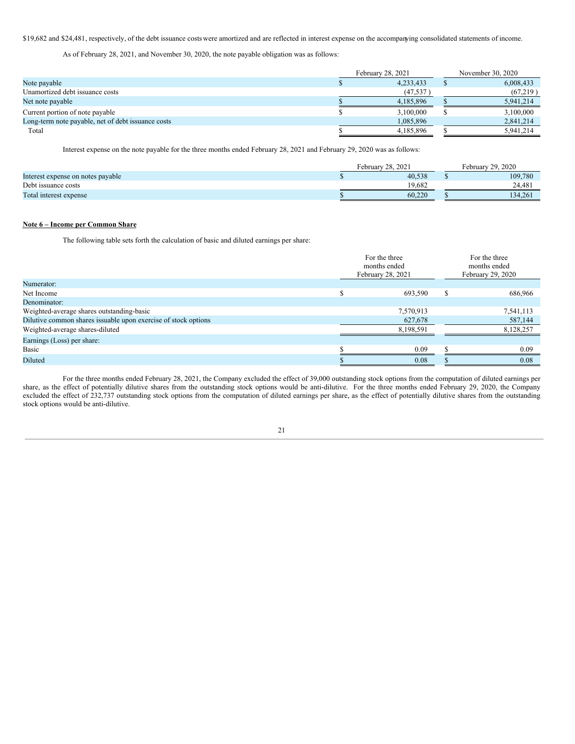\$19,682 and \$24,481, respectively, of the debt issuance costswere amortized and are reflected in interest expense on the accompanying consolidated statements of income.

As of February 28, 2021, and November 30, 2020, the note payable obligation was as follows:

|                                                    |  | February 28, 2021 |           | November 30, 2020 |  |
|----------------------------------------------------|--|-------------------|-----------|-------------------|--|
| Note payable                                       |  |                   | 4,233,433 | 6,008,433         |  |
| Unamortized debt issuance costs                    |  |                   | (47, 537) | (67,219)          |  |
| Net note payable                                   |  |                   | 4.185.896 | 5,941,214         |  |
| Current portion of note payable                    |  |                   | 3.100.000 | 3,100,000         |  |
| Long-term note payable, net of debt issuance costs |  |                   | 1.085.896 | 2,841,214         |  |
| Total                                              |  |                   | 4,185,896 | 5,941,214         |  |

Interest expense on the note payable for the three months ended February 28, 2021 and February 29, 2020 was as follows:

|                                   | February 28, 2021 |        | February 29, 2020 |         |  |
|-----------------------------------|-------------------|--------|-------------------|---------|--|
| Interest expense on notes payable |                   | 40.538 |                   | 109.780 |  |
| Debt issuance costs               |                   | 19.682 |                   | 24.481  |  |
| Total interest expense            |                   | 60.220 |                   | 134.261 |  |

# **Note 6 – Income per Common Share**

The following table sets forth the calculation of basic and diluted earnings per share:

|                                                                | For the three<br>months ended<br>February 28, 2021 |   | For the three<br>months ended<br>February 29, 2020 |  |  |
|----------------------------------------------------------------|----------------------------------------------------|---|----------------------------------------------------|--|--|
| Numerator:                                                     |                                                    |   |                                                    |  |  |
| Net Income                                                     | 693,590                                            | S | 686,966                                            |  |  |
| Denominator:                                                   |                                                    |   |                                                    |  |  |
| Weighted-average shares outstanding-basic                      | 7,570,913                                          |   | 7,541,113                                          |  |  |
| Dilutive common shares issuable upon exercise of stock options | 627,678                                            |   | 587,144                                            |  |  |
| Weighted-average shares-diluted                                | 8,198,591                                          |   | 8,128,257                                          |  |  |
| Earnings (Loss) per share:                                     |                                                    |   |                                                    |  |  |
| Basic                                                          | 0.09                                               |   | 0.09                                               |  |  |
| Diluted                                                        | 0.08                                               |   | 0.08                                               |  |  |

For the three months ended February 28, 2021, the Company excluded the effect of 39,000 outstanding stock options from the computation of diluted earnings per share, as the effect of potentially dilutive shares from the outstanding stock options would be anti-dilutive. For the three months ended February 29, 2020, the Company excluded the effect of 232,737 outstanding stock options from the computation of diluted earnings per share, as the effect of potentially dilutive shares from the outstanding stock options would be anti-dilutive.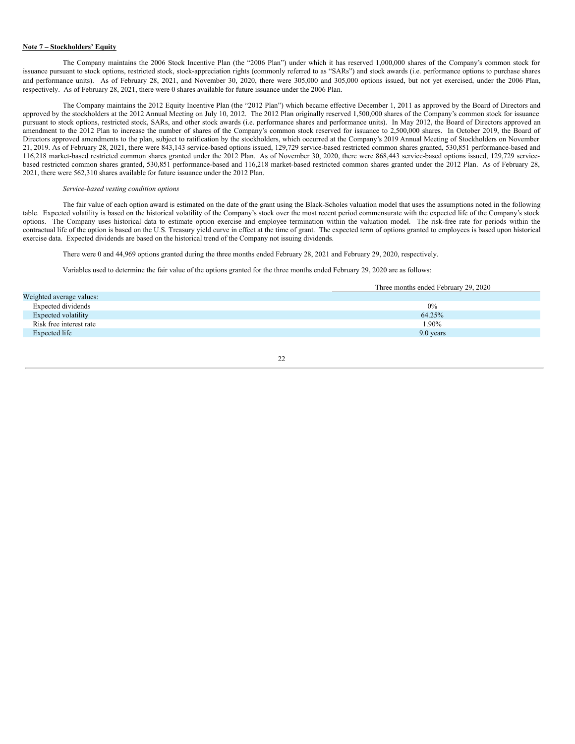# **Note 7 – Stockholders' Equity**

The Company maintains the 2006 Stock Incentive Plan (the "2006 Plan") under which it has reserved 1,000,000 shares of the Company's common stock for issuance pursuant to stock options, restricted stock, stock-appreciation rights (commonly referred to as "SARs") and stock awards (i.e. performance options to purchase shares and performance units). As of February 28, 2021, and November 30, 2020, there were 305,000 and 305,000 options issued, but not yet exercised, under the 2006 Plan, respectively. As of February 28, 2021, there were 0 shares available for future issuance under the 2006 Plan.

The Company maintains the 2012 Equity Incentive Plan (the "2012 Plan") which became effective December 1, 2011 as approved by the Board of Directors and approved by the stockholders at the 2012 Annual Meeting on July 10, 2012. The 2012 Plan originally reserved 1,500,000 shares of the Company's common stock for issuance pursuant to stock options, restricted stock, SARs, and other stock awards (i.e. performance shares and performance units). In May 2012, the Board of Directors approved an amendment to the 2012 Plan to increase the number of shares of the Company's common stock reserved for issuance to 2,500,000 shares. In October 2019, the Board of Directors approved amendments to the plan, subject to ratification by the stockholders, which occurred at the Company's 2019 Annual Meeting of Stockholders on November 21, 2019. As of February 28, 2021, there were 843,143 service-based options issued, 129,729 service-based restricted common shares granted, 530,851 performance-based and 116,218 market-based restricted common shares granted under the 2012 Plan. As of November 30, 2020, there were 868,443 service-based options issued, 129,729 servicebased restricted common shares granted, 530,851 performance-based and 116,218 market-based restricted common shares granted under the 2012 Plan. As of February 28, 2021, there were 562,310 shares available for future issuance under the 2012 Plan.

#### *Service-based vesting condition options*

The fair value of each option award is estimated on the date of the grant using the Black-Scholes valuation model that uses the assumptions noted in the following table. Expected volatility is based on the historical volatility of the Company's stock over the most recent period commensurate with the expected life of the Company's stock options. The Company uses historical data to estimate option exercise and employee termination within the valuation model. The risk-free rate for periods within the contractual life of the option is based on the U.S. Treasury yield curve in effect at the time of grant. The expected term of options granted to employees is based upon historical exercise data. Expected dividends are based on the historical trend of the Company not issuing dividends.

There were 0 and 44,969 options granted during the three months ended February 28, 2021 and February 29, 2020, respectively.

Variables used to determine the fair value of the options granted for the three months ended February 29, 2020 are as follows:

|                          | Three months ended February 29, 2020 |
|--------------------------|--------------------------------------|
| Weighted average values: |                                      |
| Expected dividends       | $0\%$                                |
| Expected volatility      | 64.25%                               |
| Risk free interest rate  | 1.90%                                |
| Expected life            | 9.0 years                            |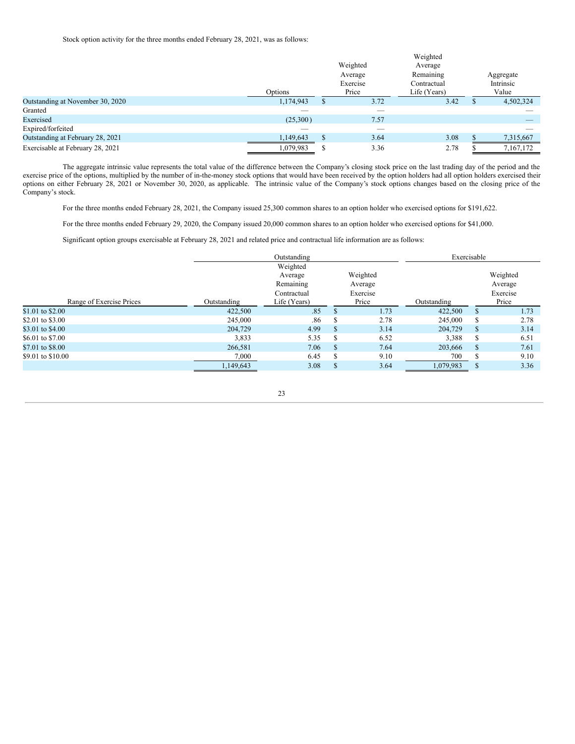Stock option activity for the three months ended February 28, 2021, was as follows:

|                                  |                          |    |          | Weighted     |           |
|----------------------------------|--------------------------|----|----------|--------------|-----------|
|                                  |                          |    | Weighted | Average      |           |
|                                  |                          |    | Average  | Remaining    | Aggregate |
|                                  |                          |    | Exercise | Contractual  | Intrinsic |
|                                  | Options                  |    | Price    | Life (Years) | Value     |
| Outstanding at November 30, 2020 | 1,174,943                | ж  | 3.72     | 3.42         | 4,502,324 |
| Granted                          |                          |    |          |              |           |
| Exercised                        | (25,300)                 |    | 7.57     |              |           |
| Expired/forfeited                | $\overline{\phantom{a}}$ |    | _        |              |           |
| Outstanding at February 28, 2021 | 1,149,643                | \$ | 3.64     | 3.08         | 7,315,667 |
| Exercisable at February 28, 2021 | 1,079,983                |    | 3.36     | 2.78         | 7,167,172 |

The aggregate intrinsic value represents the total value of the difference between the Company's closing stock price on the last trading day of the period and the exercise price of the options, multiplied by the number of in-the-money stock options that would have been received by the option holders had all option holders exercised their options on either February 28, 2021 or November 30, 2020, as applicable. The intrinsic value of the Company's stock options changes based on the closing price of the Company's stock.

For the three months ended February 28, 2021, the Company issued 25,300 common shares to an option holder who exercised options for \$191,622.

For the three months ended February 29, 2020, the Company issued 20,000 common shares to an option holder who exercised options for \$41,000.

Significant option groups exercisable at February 28, 2021 and related price and contractual life information are as follows:

|                          |             | Outstanding  |    |          | Exercisable |               |          |
|--------------------------|-------------|--------------|----|----------|-------------|---------------|----------|
|                          |             | Weighted     |    |          |             |               |          |
|                          |             | Average      |    | Weighted |             |               | Weighted |
|                          |             | Remaining    |    | Average  |             |               | Average  |
|                          |             | Contractual  |    | Exercise |             |               | Exercise |
| Range of Exercise Prices | Outstanding | Life (Years) |    | Price    | Outstanding |               | Price    |
| \$1.01 to \$2.00         | 422,500     | .85          | ъ  | 1.73     | 422,500     | <b>S</b>      | 1.73     |
| \$2.01 to \$3.00         | 245,000     | .86          | S  | 2.78     | 245,000     | S             | 2.78     |
| \$3.01 to \$4.00         | 204,729     | 4.99         | S. | 3.14     | 204,729     | \$.           | 3.14     |
| \$6.01 to \$7.00         | 3,833       | 5.35         | S  | 6.52     | 3,388       | S             | 6.51     |
| \$7.01 to \$8.00         | 266,581     | 7.06         | S  | 7.64     | 203,666     | <sup>\$</sup> | 7.61     |
| \$9.01 to \$10.00        | 7,000       | 6.45         | S  | 9.10     | 700         | S.            | 9.10     |
|                          | 1,149,643   | 3.08         | S  | 3.64     | 1,079,983   |               | 3.36     |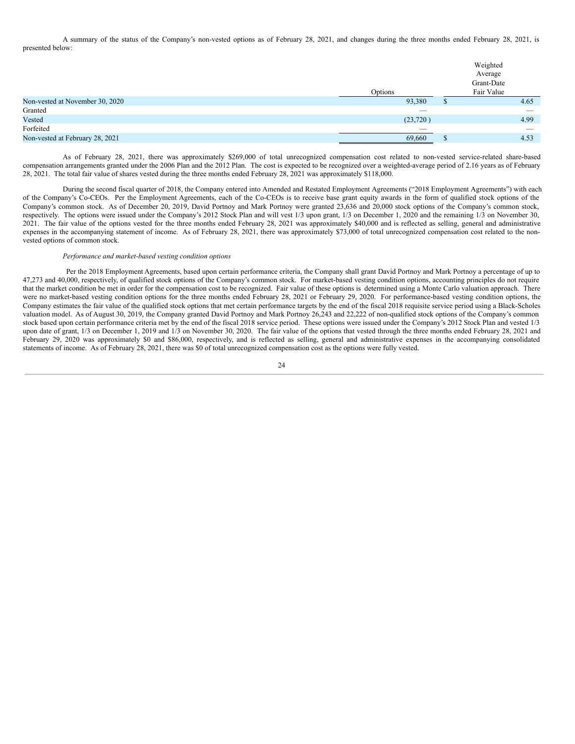A summary of the status of the Company's non-vested options as of February 28, 2021, and changes during the three months ended February 28, 2021, is presented below:

|                                 | Options                  | Weighted<br>Average<br>Grant-Date<br>Fair Value |                          |
|---------------------------------|--------------------------|-------------------------------------------------|--------------------------|
| Non-vested at November 30, 2020 | 93,380                   |                                                 | 4.65                     |
| Granted                         | $\overline{\phantom{a}}$ |                                                 | __                       |
| Vested                          | (23,720)                 |                                                 | 4.99                     |
| Forfeited                       | $\qquad \qquad$          |                                                 | $\overline{\phantom{a}}$ |
| Non-vested at February 28, 2021 | 69,660                   |                                                 | 4.53                     |

As of February 28, 2021, there was approximately \$269,000 of total unrecognized compensation cost related to non-vested service-related share-based compensation arrangements granted under the 2006 Plan and the 2012 Plan. The cost is expected to be recognized over a weighted-average period of 2.16 years as of February 28, 2021. The total fair value of shares vested during the three months ended February 28, 2021 was approximately \$118,000.

During the second fiscal quarter of 2018, the Company entered into Amended and Restated Employment Agreements ("2018 Employment Agreements") with each of the Company's Co-CEOs. Per the Employment Agreements, each of the Co-CEOs is to receive base grant equity awards in the form of qualified stock options of the Company's common stock. As of December 20, 2019, David Portnoy and Mark Portnoy were granted 23,636 and 20,000 stock options of the Company's common stock, respectively. The options were issued under the Company's 2012 Stock Plan and will vest 1/3 upon grant, 1/3 on December 1, 2020 and the remaining 1/3 on November 30, 2021. The fair value of the options vested for the three months ended February 28, 2021 was approximately \$40,000 and is reflected as selling, general and administrative expenses in the accompanying statement of income. As of February 28, 2021, there was approximately \$73,000 of total unrecognized compensation cost related to the nonvested options of common stock.

### *Performance and market-based vesting condition options*

Per the 2018 Employment Agreements, based upon certain performance criteria, the Company shall grant David Portnoy and Mark Portnoy a percentage of up to 47,273 and 40,000, respectively, of qualified stock options of the Company's common stock. For market-based vesting condition options, accounting principles do not require that the market condition be met in order for the compensation cost to be recognized. Fair value of these options is determined using a Monte Carlo valuation approach. There were no market-based vesting condition options for the three months ended February 28, 2021 or February 29, 2020. For performance-based vesting condition options, the Company estimates the fair value of the qualified stock options that met certain performance targets by the end of the fiscal 2018 requisite service period using a Black-Scholes valuation model. As of August 30, 2019, the Company granted David Portnoy and Mark Portnoy 26,243 and 22,222 of non-qualified stock options of the Company's common stock based upon certain performance criteria met by the end of the fiscal 2018 service period. These options were issued under the Company's 2012 Stock Plan and vested 1/3 upon date of grant, 1/3 on December 1, 2019 and 1/3 on November 30, 2020. The fair value of the options that vested through the three months ended February 28, 2021 and February 29, 2020 was approximately \$0 and \$86,000, respectively, and is reflected as selling, general and administrative expenses in the accompanying consolidated statements of income. As of February 28, 2021, there was \$0 of total unrecognized compensation cost as the options were fully vested.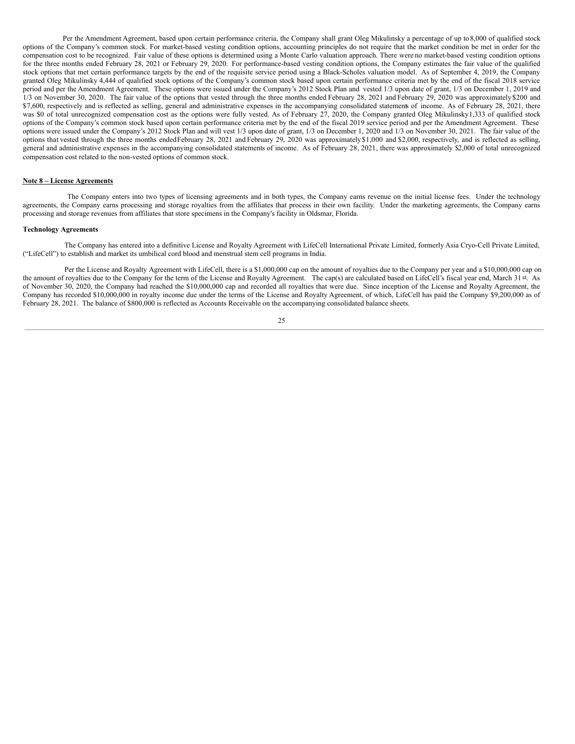Per the Amendment Agreement, based upon certain performance criteria, the Company shall grant Oleg Mikulinsky a percentage of up to8,000 of qualified stock options of the Company's common stock. For market-based vesting condition options, accounting principles do not require that the market condition be met in order for the compensation cost to be recognized. Fair value of these options is determined using a Monte Carlo valuation approach. There were no market-based vesting condition options for the three months ended February 28, 2021 or February 29, 2020. For performance-based vesting condition options, the Company estimates the fair value of the qualified stock options that met certain performance targets by the end of the requisite service period using a Black-Scholes valuation model. As of September 4, 2019, the Company granted Oleg Mikulinsky 4,444 of qualified stock options of the Company's common stock based upon certain performance criteria met by the end of the fiscal 2018 service period and per the Amendment Agreement. These options were issued under the Company's 2012 Stock Plan and vested 1/3 upon date of grant, 1/3 on December 1, 2019 and 1/3 on November 30, 2020. The fair value of the options that vested through the three months ended February 28, 2021 and February 29, 2020 was approximately \$200 and \$7,600, respectively and is reflected as selling, general and administrative expenses in the accompanying consolidated statements of income. As of February 28, 2021, there was \$0 of total unrecognized compensation cost as the options were fully vested. As of February 27, 2020, the Company granted Oleg Mikulinsky1,333 of qualified stock options of the Company's common stock based upon certain performance criteria met by the end of the fiscal 2019 service period and per the Amendment Agreement. These options were issued under the Company's 2012 Stock Plan and will vest 1/3 upon date of grant, 1/3 on December 1, 2020 and 1/3 on November 30, 2021. The fair value of the options that vested through the three months endedFebruary 28, 2021 and February 29, 2020 was approximately \$1,000 and \$2,000, respectively, and is reflected as selling, general and administrative expenses in the accompanying consolidated statements of income. As of February 28, 2021, there was approximately \$2,000 of total unrecognized compensation cost related to the non-vested options of common stock.

### **Note 8 – License Agreements**

The Company enters into two types of licensing agreements and in both types, the Company earns revenue on the initial license fees. Under the technology agreements, the Company earns processing and storage royalties from the affiliates that process in their own facility. Under the marketing agreements, the Company earns processing and storage revenues from affiliates that store specimens in the Company's facility in Oldsmar, Florida.

#### **Technology Agreements**

The Company has entered into a definitive License and Royalty Agreement with LifeCell International Private Limited, formerly Asia Cryo-Cell Private Limited, ("LifeCell") to establish and market its umbilical cord blood and menstrual stem cell programs in India.

Per the License and Royalty Agreement with LifeCell, there is a \$1,000,000 cap on the amount of royalties due to the Company per year and a \$10,000,000 cap on the amount of royalties due to the Company for the term of the License and Royalty Agreement. The cap(s) are calculated based on LifeCell's fiscal year end, March 31 st. As of November 30, 2020, the Company had reached the \$10,000,000 cap and recorded all royalties that were due. Since inception of the License and Royalty Agreement, the Company has recorded \$10,000,000 in royalty income due under the terms of the License and Royalty Agreement, of which, LifeCell has paid the Company \$9,200,000 as of February 28, 2021. The balance of \$800,000 is reflected as Accounts Receivable on the accompanying consolidated balance sheets.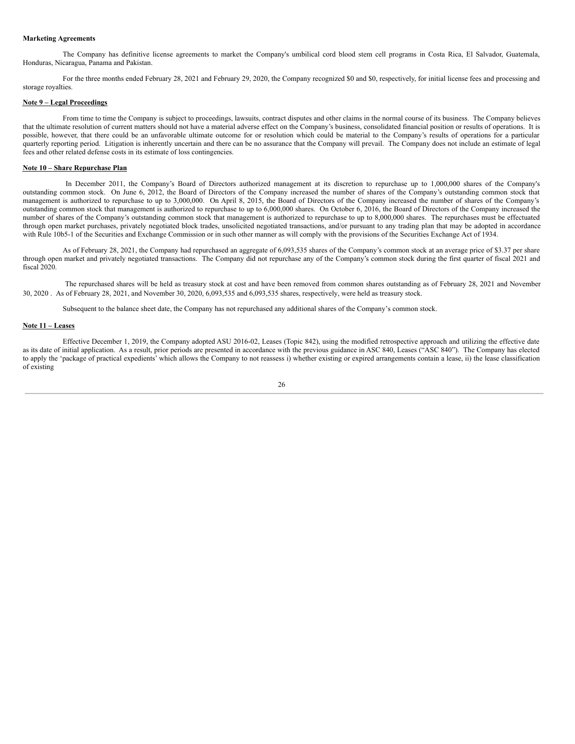#### **Marketing Agreements**

The Company has definitive license agreements to market the Company's umbilical cord blood stem cell programs in Costa Rica, El Salvador, Guatemala, Honduras, Nicaragua, Panama and Pakistan.

For the three months ended February 28, 2021 and February 29, 2020, the Company recognized \$0 and \$0, respectively, for initial license fees and processing and storage royalties.

### **Note 9 – Legal Proceedings**

From time to time the Company is subject to proceedings, lawsuits, contract disputes and other claims in the normal course of its business. The Company believes that the ultimate resolution of current matters should not have a material adverse effect on the Company's business, consolidated financial position or results of operations. It is possible, however, that there could be an unfavorable ultimate outcome for or resolution which could be material to the Company's results of operations for a particular quarterly reporting period. Litigation is inherently uncertain and there can be no assurance that the Company will prevail. The Company does not include an estimate of legal fees and other related defense costs in its estimate of loss contingencies.

#### **Note 10 – Share Repurchase Plan**

In December 2011, the Company's Board of Directors authorized management at its discretion to repurchase up to 1,000,000 shares of the Company's outstanding common stock. On June 6, 2012, the Board of Directors of the Company increased the number of shares of the Company's outstanding common stock that management is authorized to repurchase to up to 3,000,000. On April 8, 2015, the Board of Directors of the Company increased the number of shares of the Company's outstanding common stock that management is authorized to repurchase to up to 6,000,000 shares. On October 6, 2016, the Board of Directors of the Company increased the number of shares of the Company's outstanding common stock that management is authorized to repurchase to up to 8,000,000 shares. The repurchases must be effectuated through open market purchases, privately negotiated block trades, unsolicited negotiated transactions, and/or pursuant to any trading plan that may be adopted in accordance with Rule 10b5-1 of the Securities and Exchange Commission or in such other manner as will comply with the provisions of the Securities Exchange Act of 1934.

As of February 28, 2021, the Company had repurchased an aggregate of 6,093,535 shares of the Company's common stock at an average price of \$3.37 per share through open market and privately negotiated transactions. The Company did not repurchase any of the Company's common stock during the first quarter of fiscal 2021 and fiscal 2020.

The repurchased shares will be held as treasury stock at cost and have been removed from common shares outstanding as of February 28, 2021 and November 30, 2020 . As of February 28, 2021, and November 30, 2020, 6,093,535 and 6,093,535 shares, respectively, were held as treasury stock.

Subsequent to the balance sheet date, the Company has not repurchased any additional shares of the Company's common stock.

# **Note 11 – Leases**

Effective December 1, 2019, the Company adopted ASU 2016-02, Leases (Topic 842), using the modified retrospective approach and utilizing the effective date as its date of initial application. As a result, prior periods are presented in accordance with the previous guidance in ASC 840, Leases ("ASC 840"). The Company has elected to apply the 'package of practical expedients' which allows the Company to not reassess i) whether existing or expired arrangements contain a lease, ii) the lease classification of existing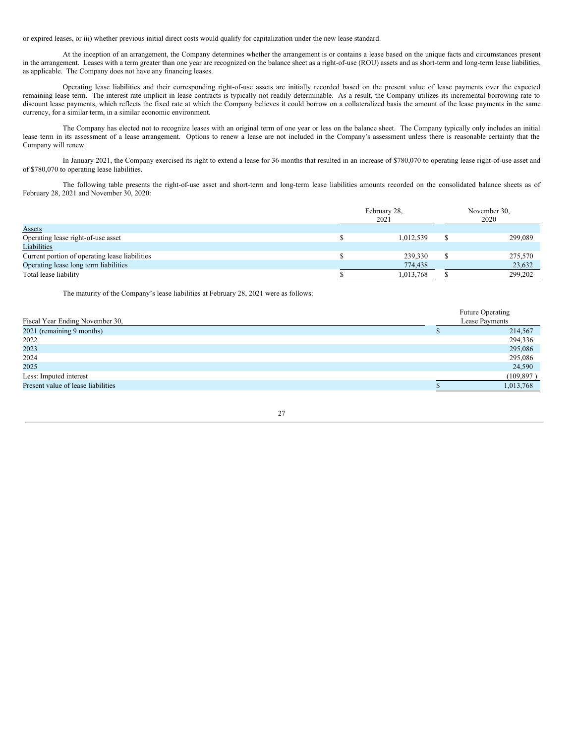or expired leases, or iii) whether previous initial direct costs would qualify for capitalization under the new lease standard.

At the inception of an arrangement, the Company determines whether the arrangement is or contains a lease based on the unique facts and circumstances present in the arrangement. Leases with a term greater than one year are recognized on the balance sheet as a right-of-use (ROU) assets and as short-term and long-term lease liabilities, as applicable. The Company does not have any financing leases.

Operating lease liabilities and their corresponding right-of-use assets are initially recorded based on the present value of lease payments over the expected remaining lease term. The interest rate implicit in lease contracts is typically not readily determinable. As a result, the Company utilizes its incremental borrowing rate to discount lease payments, which reflects the fixed rate at which the Company believes it could borrow on a collateralized basis the amount of the lease payments in the same currency, for a similar term, in a similar economic environment.

The Company has elected not to recognize leases with an original term of one year or less on the balance sheet. The Company typically only includes an initial lease term in its assessment of a lease arrangement. Options to renew a lease are not included in the Company's assessment unless there is reasonable certainty that the Company will renew.

In January 2021, the Company exercised its right to extend a lease for 36 months that resulted in an increase of \$780,070 to operating lease right-of-use asset and of \$780,070 to operating lease liabilities.

The following table presents the right-of-use asset and short-term and long-term lease liabilities amounts recorded on the consolidated balance sheets as of February 28, 2021 and November 30, 2020:

|                                                | February 28,<br>2021 |           | November 30,<br>2020 |         |
|------------------------------------------------|----------------------|-----------|----------------------|---------|
| <b>Assets</b>                                  |                      |           |                      |         |
| Operating lease right-of-use asset             |                      | 1,012,539 |                      | 299,089 |
| Liabilities                                    |                      |           |                      |         |
| Current portion of operating lease liabilities |                      | 239,330   |                      | 275,570 |
| Operating lease long term liabilities          |                      | 774,438   |                      | 23,632  |
| Total lease liability                          |                      | 1.013.768 |                      | 299,202 |

The maturity of the Company's lease liabilities at February 28, 2021 were as follows:

|                                    | <b>Future Operating</b> |                |  |  |  |
|------------------------------------|-------------------------|----------------|--|--|--|
| Fiscal Year Ending November 30,    |                         | Lease Payments |  |  |  |
| 2021 (remaining 9 months)          |                         | 214,567        |  |  |  |
| 2022                               |                         | 294,336        |  |  |  |
| 2023                               |                         | 295,086        |  |  |  |
| 2024                               |                         | 295,086        |  |  |  |
| 2025                               |                         | 24,590         |  |  |  |
| Less: Imputed interest             |                         | (109, 897)     |  |  |  |
| Present value of lease liabilities |                         | 1,013,768      |  |  |  |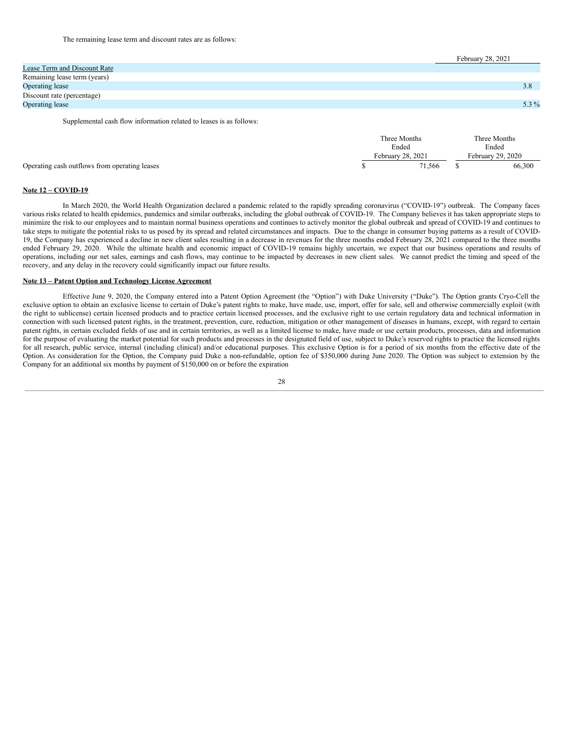|                                     | February 28, 2021 |         |
|-------------------------------------|-------------------|---------|
| <b>Lease Term and Discount Rate</b> |                   |         |
| Remaining lease term (years)        |                   |         |
| Operating lease                     |                   | 3.8     |
| Discount rate (percentage)          |                   |         |
| Operating lease                     |                   | 5.3 $%$ |

February 28, 2021

Supplemental cash flow information related to leases is as follows:

|                                               |  | Three Months<br>Ended |  | Three Months<br>Ended |  |
|-----------------------------------------------|--|-----------------------|--|-----------------------|--|
|                                               |  |                       |  |                       |  |
|                                               |  | February 28, 2021     |  | February 29, 2020     |  |
| Operating cash outflows from operating leases |  | 71.566                |  | 66,300                |  |

# **Note 12 – COVID-19**

In March 2020, the World Health Organization declared a pandemic related to the rapidly spreading coronavirus ("COVID-19") outbreak. The Company faces various risks related to health epidemics, pandemics and similar outbreaks, including the global outbreak of COVID-19. The Company believes it has taken appropriate steps to minimize the risk to our employees and to maintain normal business operations and continues to actively monitor the global outbreak and spread of COVID-19 and continues to take steps to mitigate the potential risks to us posed by its spread and related circumstances and impacts. Due to the change in consumer buying patterns as a result of COVID-19, the Company has experienced a decline in new client sales resulting in a decrease in revenues for the three months ended February 28, 2021 compared to the three months ended February 29, 2020. While the ultimate health and economic impact of COVID-19 remains highly uncertain, we expect that our business operations and results of operations, including our net sales, earnings and cash flows, may continue to be impacted by decreases in new client sales. We cannot predict the timing and speed of the recovery, and any delay in the recovery could significantly impact our future results.

### **Note 13 – Patent Option and Technology License Agreement**

Effective June 9, 2020, the Company entered into a Patent Option Agreement (the "Option") with Duke University ("Duke"). The Option grants Cryo-Cell the exclusive option to obtain an exclusive license to certain of Duke's patent rights to make, have made, use, import, offer for sale, sell and otherwise commercially exploit (with the right to sublicense) certain licensed products and to practice certain licensed processes, and the exclusive right to use certain regulatory data and technical information in connection with such licensed patent rights, in the treatment, prevention, cure, reduction, mitigation or other management of diseases in humans, except, with regard to certain patent rights, in certain excluded fields of use and in certain territories, as well as a limited license to make, have made or use certain products, processes, data and information for the purpose of evaluating the market potential for such products and processes in the designated field of use, subject to Duke's reserved rights to practice the licensed rights for all research, public service, internal (including clinical) and/or educational purposes. This exclusive Option is for a period of six months from the effective date of the Option. As consideration for the Option, the Company paid Duke a non-refundable, option fee of \$350,000 during June 2020. The Option was subject to extension by the Company for an additional six months by payment of \$150,000 on or before the expiration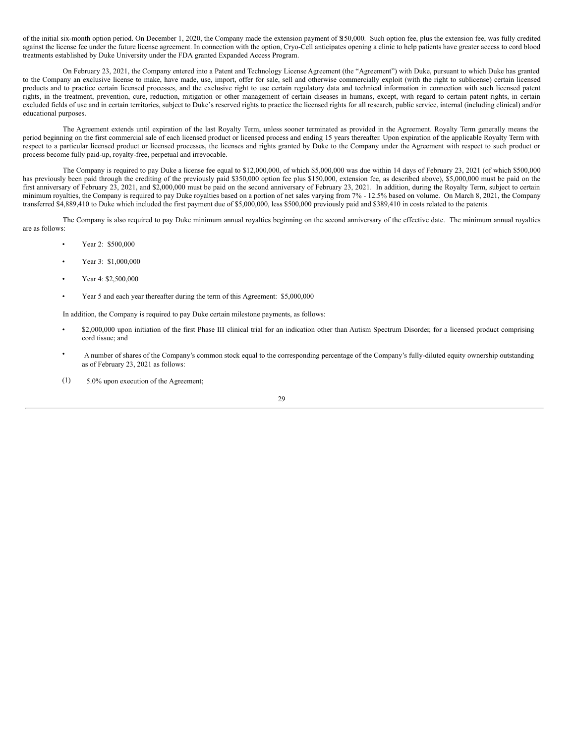of the initial six-month option period. On December 1, 2020, the Company made the extension payment of \$150,000. Such option fee, plus the extension fee, was fully credited against the license fee under the future license agreement. In connection with the option, Cryo-Cell anticipates opening a clinic to help patients have greater access to cord blood treatments established by Duke University under the FDA granted Expanded Access Program.

On February 23, 2021, the Company entered into a Patent and Technology License Agreement (the "Agreement") with Duke, pursuant to which Duke has granted to the Company an exclusive license to make, have made, use, import, offer for sale, sell and otherwise commercially exploit (with the right to sublicense) certain licensed products and to practice certain licensed processes, and the exclusive right to use certain regulatory data and technical information in connection with such licensed patent rights, in the treatment, prevention, cure, reduction, mitigation or other management of certain diseases in humans, except, with regard to certain patent rights, in certain excluded fields of use and in certain territories, subject to Duke's reserved rights to practice the licensed rights for all research, public service, internal (including clinical) and/or educational purposes.

The Agreement extends until expiration of the last Royalty Term, unless sooner terminated as provided in the Agreement. Royalty Term generally means the period beginning on the first commercial sale of each licensed product or licensed process and ending 15 years thereafter. Upon expiration of the applicable Royalty Term with respect to a particular licensed product or licensed processes, the licenses and rights granted by Duke to the Company under the Agreement with respect to such product or process become fully paid-up, royalty-free, perpetual and irrevocable.

The Company is required to pay Duke a license fee equal to \$12,000,000, of which \$5,000,000 was due within 14 days of February 23, 2021 (of which \$500,000 has previously been paid through the crediting of the previously paid \$350,000 option fee plus \$150,000, extension fee, as described above), \$5,000,000 must be paid on the first anniversary of February 23, 2021, and \$2,000,000 must be paid on the second anniversary of February 23, 2021. In addition, during the Royalty Term, subject to certain minimum royalties, the Company is required to pay Duke royalties based on a portion of net sales varying from 7% - 12.5% based on volume. On March 8, 2021, the Company transferred \$4,889,410 to Duke which included the first payment due of \$5,000,000, less \$500,000 previously paid and \$389,410 in costs related to the patents.

The Company is also required to pay Duke minimum annual royalties beginning on the second anniversary of the effective date. The minimum annual royalties are as follows:

- Year 2: \$500,000
- Year 3: \$1,000,000
- Year 4: \$2,500,000
- Year 5 and each year thereafter during the term of this Agreement: \$5,000,000

In addition, the Company is required to pay Duke certain milestone payments, as follows:

- \$2,000,000 upon initiation of the first Phase III clinical trial for an indication other than Autism Spectrum Disorder, for a licensed product comprising cord tissue; and
- A number of shares of the Company's common stock equal to the corresponding percentage of the Company's fully-diluted equity ownership outstanding as of February 23, 2021 as follows:
- (1) 5.0% upon execution of the Agreement;

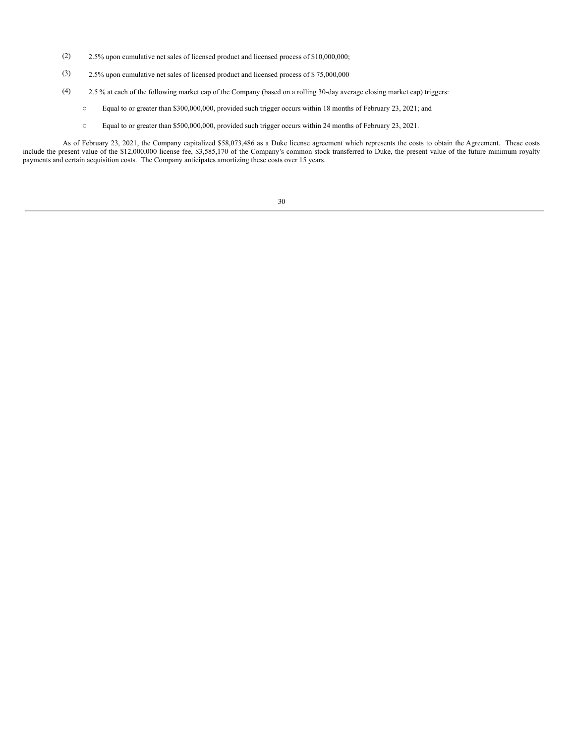- (2) 2.5% upon cumulative net sales of licensed product and licensed process of \$10,000,000;
- (3) 2.5% upon cumulative net sales of licensed product and licensed process of \$ 75,000,000
- (4) 2.5 % at each of the following market cap of the Company (based on a rolling 30-day average closing market cap) triggers:
	- o Equal to or greater than \$300,000,000, provided such trigger occurs within 18 months of February 23, 2021; and
	- o Equal to or greater than \$500,000,000, provided such trigger occurs within 24 months of February 23, 2021.

As of February 23, 2021, the Company capitalized \$58,073,486 as a Duke license agreement which represents the costs to obtain the Agreement. These costs include the present value of the \$12,000,000 license fee, \$3,585,170 of the Company's common stock transferred to Duke, the present value of the future minimum royalty payments and certain acquisition costs. The Company anticipates amortizing these costs over 15 years.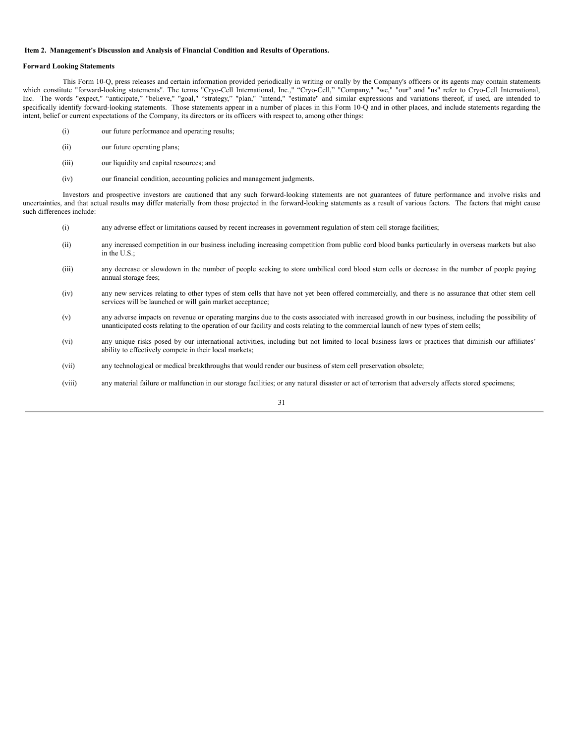## <span id="page-30-0"></span>**Item 2. Management's Discussion and Analysis of Financial Condition and Results of Operations.**

# **Forward Looking Statements**

This Form 10-Q, press releases and certain information provided periodically in writing or orally by the Company's officers or its agents may contain statements which constitute "forward-looking statements". The terms "Cryo-Cell International, Inc.," "Cryo-Cell," "Company," "we," "our" and "us" refer to Cryo-Cell International, Inc. The words "expect," "anticipate," "believe," "goal," "strategy," "plan," "intend," "estimate" and similar expressions and variations thereof, if used, are intended to specifically identify forward-looking statements. Those statements appear in a number of places in this Form 10-Q and in other places, and include statements regarding the intent, belief or current expectations of the Company, its directors or its officers with respect to, among other things:

- (i) our future performance and operating results;
- (ii) our future operating plans;
- (iii) our liquidity and capital resources; and
- (iv) our financial condition, accounting policies and management judgments.

Investors and prospective investors are cautioned that any such forward‑looking statements are not guarantees of future performance and involve risks and uncertainties, and that actual results may differ materially from those projected in the forward‑looking statements as a result of various factors. The factors that might cause such differences include:

- (i) any adverse effect or limitations caused by recent increases in government regulation of stem cell storage facilities;
- (ii) any increased competition in our business including increasing competition from public cord blood banks particularly in overseas markets but also in the U.S.;
- (iii) any decrease or slowdown in the number of people seeking to store umbilical cord blood stem cells or decrease in the number of people paying annual storage fees;
- (iv) any new services relating to other types of stem cells that have not yet been offered commercially, and there is no assurance that other stem cell services will be launched or will gain market acceptance;
- (v) any adverse impacts on revenue or operating margins due to the costs associated with increased growth in our business, including the possibility of unanticipated costs relating to the operation of our facility and costs relating to the commercial launch of new types of stem cells;
- (vi) any unique risks posed by our international activities, including but not limited to local business laws or practices that diminish our affiliates' ability to effectively compete in their local markets;
- (vii) any technological or medical breakthroughs that would render our business of stem cell preservation obsolete;
- (viii) any material failure or malfunction in our storage facilities; or any natural disaster or act of terrorism that adversely affects stored specimens;

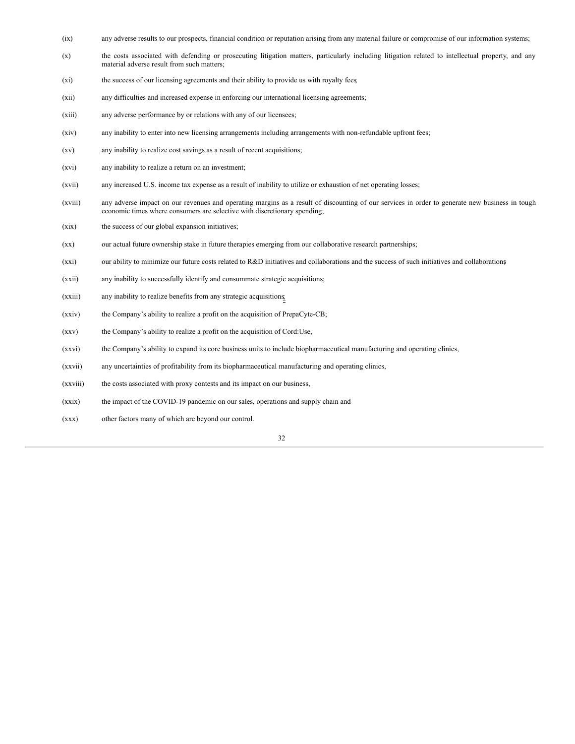- (ix) any adverse results to our prospects, financial condition or reputation arising from any material failure or compromise of our information systems;
- (x) the costs associated with defending or prosecuting litigation matters, particularly including litigation related to intellectual property, and any material adverse result from such matters;
- (xi) the success of our licensing agreements and their ability to provide us with royalty fees;
- (xii) any difficulties and increased expense in enforcing our international licensing agreements;
- (xiii) any adverse performance by or relations with any of our licensees;
- (xiv) any inability to enter into new licensing arrangements including arrangements with non-refundable upfront fees;
- (xv) any inability to realize cost savings as a result of recent acquisitions;
- (xvi) any inability to realize a return on an investment;
- (xvii) any increased U.S. income tax expense as a result of inability to utilize or exhaustion of net operating losses;
- (xviii) any adverse impact on our revenues and operating margins as a result of discounting of our services in order to generate new business in tough economic times where consumers are selective with discretionary spending;
- (xix) the success of our global expansion initiatives;
- (xx) our actual future ownership stake in future therapies emerging from our collaborative research partnerships;
- (xxi) our ability to minimize our future costs related to R&D initiatives and collaborations and the success of such initiatives and collaboration;s
- (xxii) any inability to successfully identify and consummate strategic acquisitions;
- (xxiii) any inability to realize benefits from any strategic acquisitions;
- (xxiv) the Company's ability to realize a profit on the acquisition of PrepaCyte-CB;
- (xxv) the Company's ability to realize a profit on the acquisition of Cord:Use,
- (xxvi) the Company's ability to expand its core business units to include biopharmaceutical manufacturing and operating clinics,
- (xxvii) any uncertainties of profitability from its biopharmaceutical manufacturing and operating clinics,
- (xxviii) the costs associated with proxy contests and its impact on our business,
- (xxix) the impact of the COVID-19 pandemic on our sales, operations and supply chain and
- (xxx) other factors many of which are beyond our control.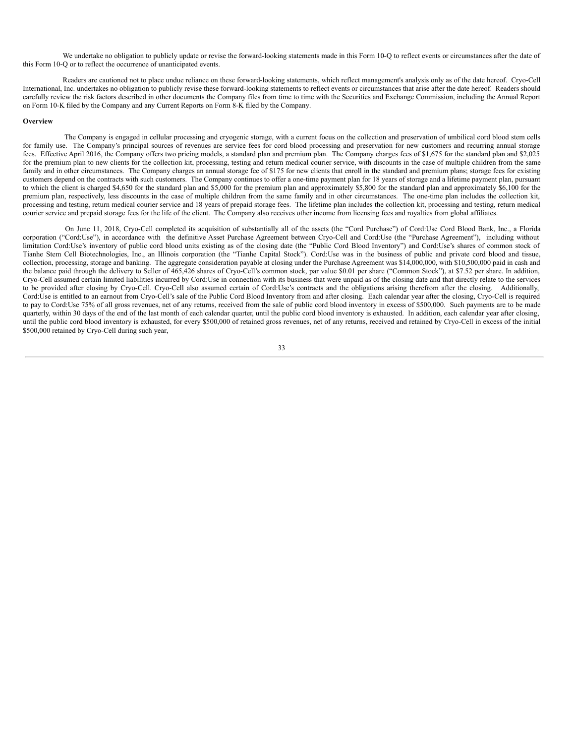We undertake no obligation to publicly update or revise the forward-looking statements made in this Form 10-Q to reflect events or circumstances after the date of this Form 10‑Q or to reflect the occurrence of unanticipated events.

Readers are cautioned not to place undue reliance on these forward-looking statements, which reflect management's analysis only as of the date hereof. Cryo-Cell International, Inc. undertakes no obligation to publicly revise these forward-looking statements to reflect events or circumstances that arise after the date hereof. Readers should carefully review the risk factors described in other documents the Company files from time to time with the Securities and Exchange Commission, including the Annual Report on Form 10-K filed by the Company and any Current Reports on Form 8-K filed by the Company.

#### **Overview**

The Company is engaged in cellular processing and cryogenic storage, with a current focus on the collection and preservation of umbilical cord blood stem cells for family use. The Company's principal sources of revenues are service fees for cord blood processing and preservation for new customers and recurring annual storage fees. Effective April 2016, the Company offers two pricing models, a standard plan and premium plan. The Company charges fees of \$1,675 for the standard plan and \$2,025 for the premium plan to new clients for the collection kit, processing, testing and return medical courier service, with discounts in the case of multiple children from the same family and in other circumstances. The Company charges an annual storage fee of \$175 for new clients that enroll in the standard and premium plans; storage fees for existing customers depend on the contracts with such customers. The Company continues to offer a one-time payment plan for 18 years of storage and a lifetime payment plan, pursuant to which the client is charged \$4,650 for the standard plan and \$5,000 for the premium plan and approximately \$5,800 for the standard plan and approximately \$6,100 for the premium plan, respectively, less discounts in the case of multiple children from the same family and in other circumstances. The one-time plan includes the collection kit, processing and testing, return medical courier service and 18 years of prepaid storage fees. The lifetime plan includes the collection kit, processing and testing, return medical courier service and prepaid storage fees for the life of the client. The Company also receives other income from licensing fees and royalties from global affiliates.

On June 11, 2018, Cryo-Cell completed its acquisition of substantially all of the assets (the "Cord Purchase") of Cord:Use Cord Blood Bank, Inc., a Florida corporation ("Cord:Use"), in accordance with the definitive Asset Purchase Agreement between Cryo-Cell and Cord:Use (the "Purchase Agreement"), including without limitation Cord:Use's inventory of public cord blood units existing as of the closing date (the "Public Cord Blood Inventory") and Cord:Use's shares of common stock of Tianhe Stem Cell Biotechnologies, Inc., an Illinois corporation (the "Tianhe Capital Stock"). Cord:Use was in the business of public and private cord blood and tissue, collection, processing, storage and banking. The aggregate consideration payable at closing under the Purchase Agreement was \$14,000,000, with \$10,500,000 paid in cash and the balance paid through the delivery to Seller of 465,426 shares of Cryo-Cell's common stock, par value \$0.01 per share ("Common Stock"), at \$7.52 per share. In addition, Cryo-Cell assumed certain limited liabilities incurred by Cord:Use in connection with its business that were unpaid as of the closing date and that directly relate to the services to be provided after closing by Cryo-Cell. Cryo-Cell also assumed certain of Cord:Use's contracts and the obligations arising therefrom after the closing. Additionally, Cord:Use is entitled to an earnout from Cryo-Cell's sale of the Public Cord Blood Inventory from and after closing. Each calendar year after the closing, Cryo-Cell is required to pay to Cord:Use 75% of all gross revenues, net of any returns, received from the sale of public cord blood inventory in excess of \$500,000. Such payments are to be made quarterly, within 30 days of the end of the last month of each calendar quarter, until the public cord blood inventory is exhausted. In addition, each calendar year after closing, until the public cord blood inventory is exhausted, for every \$500,000 of retained gross revenues, net of any returns, received and retained by Cryo-Cell in excess of the initial \$500,000 retained by Cryo-Cell during such year,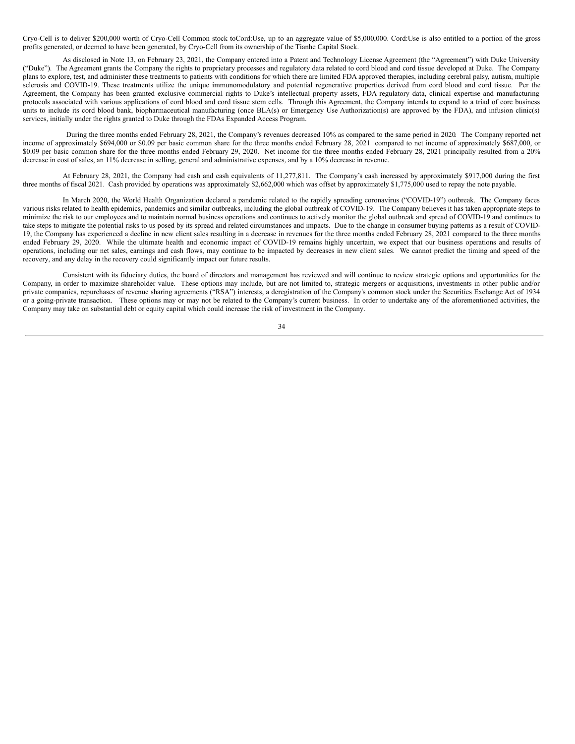Cryo-Cell is to deliver \$200,000 worth of Cryo-Cell Common stock toCord:Use, up to an aggregate value of \$5,000,000. Cord:Use is also entitled to a portion of the gross profits generated, or deemed to have been generated, by Cryo-Cell from its ownership of the Tianhe Capital Stock.

As disclosed in Note 13, on February 23, 2021, the Company entered into a Patent and Technology License Agreement (the "Agreement") with Duke University ("Duke"). The Agreement grants the Company the rights to proprietary processes and regulatory data related to cord blood and cord tissue developed at Duke. The Company plans to explore, test, and administer these treatments to patients with conditions for which there are limited FDA approved therapies, including cerebral palsy, autism, multiple sclerosis and COVID-19. These treatments utilize the unique immunomodulatory and potential regenerative properties derived from cord blood and cord tissue. Per the Agreement, the Company has been granted exclusive commercial rights to Duke's intellectual property assets, FDA regulatory data, clinical expertise and manufacturing protocols associated with various applications of cord blood and cord tissue stem cells. Through this Agreement, the Company intends to expand to a triad of core business units to include its cord blood bank, biopharmaceutical manufacturing (once BLA(s) or Emergency Use Authorization(s) are approved by the FDA), and infusion clinic(s) services, initially under the rights granted to Duke through the FDAs Expanded Access Program.

During the three months ended February 28, 2021, the Company's revenues decreased 10% as compared to the same period in 2020. The Company reported net income of approximately \$694,000 or \$0.09 per basic common share for the three months ended February 28, 2021 compared to net income of approximately \$687,000, or \$0.09 per basic common share for the three months ended February 29, 2020. Net income for the three months ended February 28, 2021 principally resulted from a 20% decrease in cost of sales, an 11% decrease in selling, general and administrative expenses, and by a 10% decrease in revenue.

At February 28, 2021, the Company had cash and cash equivalents of 11,277,811. The Company's cash increased by approximately \$917,000 during the first three months of fiscal 2021. Cash provided by operations was approximately \$2,662,000 which was offset by approximately \$1,775,000 used to repay the note payable.

In March 2020, the World Health Organization declared a pandemic related to the rapidly spreading coronavirus ("COVID-19") outbreak. The Company faces various risks related to health epidemics, pandemics and similar outbreaks, including the global outbreak of COVID-19. The Company believes it has taken appropriate steps to minimize the risk to our employees and to maintain normal business operations and continues to actively monitor the global outbreak and spread of COVID-19 and continues to take steps to mitigate the potential risks to us posed by its spread and related circumstances and impacts. Due to the change in consumer buying patterns as a result of COVID-19, the Company has experienced a decline in new client sales resulting in a decrease in revenues for the three months ended February 28, 2021 compared to the three months ended February 29, 2020. While the ultimate health and economic impact of COVID-19 remains highly uncertain, we expect that our business operations and results of operations, including our net sales, earnings and cash flows, may continue to be impacted by decreases in new client sales. We cannot predict the timing and speed of the recovery, and any delay in the recovery could significantly impact our future results.

Consistent with its fiduciary duties, the board of directors and management has reviewed and will continue to review strategic options and opportunities for the Company, in order to maximize shareholder value. These options may include, but are not limited to, strategic mergers or acquisitions, investments in other public and/or private companies, repurchases of revenue sharing agreements ("RSA") interests, a deregistration of the Company's common stock under the Securities Exchange Act of 1934 or a going-private transaction. These options may or may not be related to the Company's current business. In order to undertake any of the aforementioned activities, the Company may take on substantial debt or equity capital which could increase the risk of investment in the Company.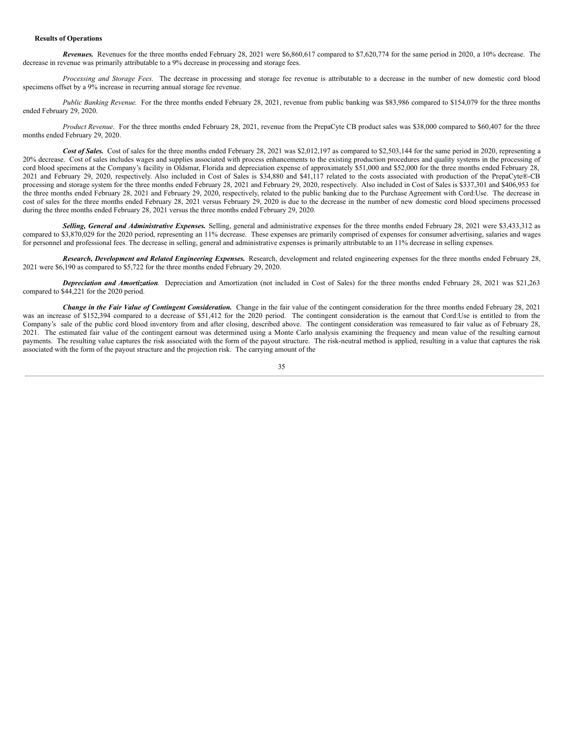#### **Results of Operations**

*Revenues.* Revenues for the three months ended February 28, 2021 were \$6,860,617 compared to \$7,620,774 for the same period in 2020, a 10% decrease. The decrease in revenue was primarily attributable to a 9% decrease in processing and storage fees.

*Processing and Storage Fees.* The decrease in processing and storage fee revenue is attributable to a decrease in the number of new domestic cord blood specimens offset by a 9% increase in recurring annual storage fee revenue.

*Public Banking Revenue*. For the three months ended February 28, 2021, revenue from public banking was \$83,986 compared to \$154,079 for the three months ended February 29, 2020.

*Product Revenue*. For the three months ended February 28, 2021, revenue from the PrepaCyte CB product sales was \$38,000 compared to \$60,407 for the three months ended February 29, 2020.

*Cost of Sales.* Cost of sales for the three months ended February 28, 2021 was \$2,012,197 as compared to \$2,503,144 for the same period in 2020, representing a 20% decrease. Cost of sales includes wages and supplies associated with process enhancements to the existing production procedures and quality systems in the processing of cord blood specimens at the Company's facility in Oldsmar, Florida and depreciation expense of approximately \$51,000 and \$52,000 for the three months ended February 28, 2021 and February 29, 2020, respectively. Also included in Cost of Sales is \$34,880 and \$41,117 related to the costs associated with production of the PrepaCyte®-CB processing and storage system for the three months ended February 28, 2021 and February 29, 2020, respectively. Also included in Cost of Sales is \$337,301 and \$406,953 for the three months ended February 28, 2021 and February 29, 2020, respectively, related to the public banking due to the Purchase Agreement with Cord:Use. The decrease in cost of sales for the three months ended February 28, 2021 versus February 29, 2020 is due to the decrease in the number of new domestic cord blood specimens processed during the three months ended February 28, 2021 versus the three months ended February 29, 2020.

*Selling, General and Administrative Expenses.* Selling, general and administrative expenses for the three months ended February 28, 2021 were \$3,433,312 as compared to \$3,870,029 for the 2020 period, representing an 11% decrease. These expenses are primarily comprised of expenses for consumer advertising, salaries and wages for personnel and professional fees. The decrease in selling, general and administrative expenses is primarily attributable to an 11% decrease in selling expenses.

*Research, Development and Related Engineering Expenses.* Research, development and related engineering expenses for the three months ended February 28, 2021 were \$6,190 as compared to \$5,722 for the three months ended February 29, 2020.

*Depreciation and Amortization*. Depreciation and Amortization (not included in Cost of Sales) for the three months ended February 28, 2021 was \$21,263 compared to \$44,221 for the 2020 period.

*Change in the Fair Value of Contingent Consideration.* Change in the fair value of the contingent consideration for the three months ended February 28, 2021 was an increase of \$152,394 compared to a decrease of \$51,412 for the 2020 period. The contingent consideration is the earnout that Cord:Use is entitled to from the Company's sale of the public cord blood inventory from and after closing, described above. The contingent consideration was remeasured to fair value as of February 28, 2021. The estimated fair value of the contingent earnout was determined using a Monte Carlo analysis examining the frequency and mean value of the resulting earnout payments. The resulting value captures the risk associated with the form of the payout structure. The risk-neutral method is applied, resulting in a value that captures the risk associated with the form of the payout structure and the projection risk. The carrying amount of the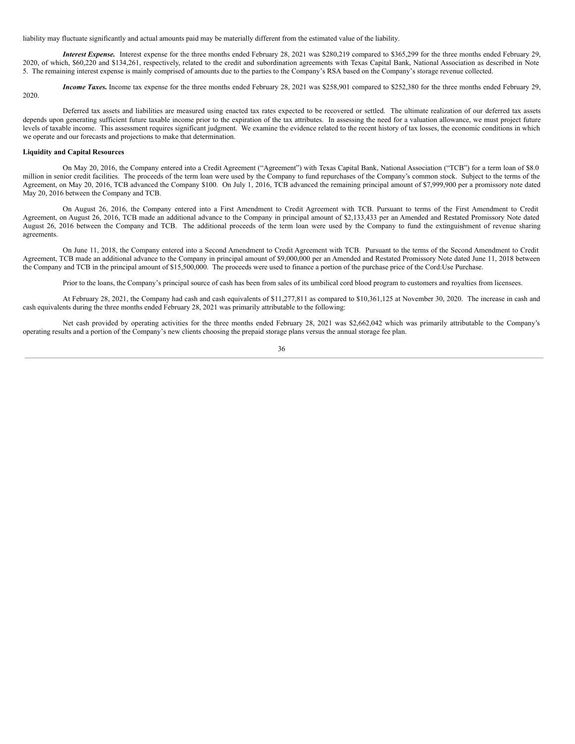liability may fluctuate significantly and actual amounts paid may be materially different from the estimated value of the liability.

*Interest Expense.* Interest expense for the three months ended February 28, 2021 was \$280,219 compared to \$365,299 for the three months ended February 29, 2020, of which, \$60,220 and \$134,261, respectively, related to the credit and subordination agreements with Texas Capital Bank, National Association as described in Note 5. The remaining interest expense is mainly comprised of amounts due to the parties to the Company's RSA based on the Company's storage revenue collected.

*Income Taxes***.** Income tax expense for the three months ended February 28, 2021 was \$258,901 compared to \$252,380 for the three months ended February 29,

2020.

Deferred tax assets and liabilities are measured using enacted tax rates expected to be recovered or settled. The ultimate realization of our deferred tax assets depends upon generating sufficient future taxable income prior to the expiration of the tax attributes. In assessing the need for a valuation allowance, we must project future levels of taxable income. This assessment requires significant judgment. We examine the evidence related to the recent history of tax losses, the economic conditions in which we operate and our forecasts and projections to make that determination.

## **Liquidity and Capital Resources**

On May 20, 2016, the Company entered into a Credit Agreement ("Agreement") with Texas Capital Bank, National Association ("TCB") for a term loan of \$8.0 million in senior credit facilities. The proceeds of the term loan were used by the Company to fund repurchases of the Company's common stock. Subject to the terms of the Agreement, on May 20, 2016, TCB advanced the Company \$100. On July 1, 2016, TCB advanced the remaining principal amount of \$7,999,900 per a promissory note dated May 20, 2016 between the Company and TCB.

On August 26, 2016, the Company entered into a First Amendment to Credit Agreement with TCB. Pursuant to terms of the First Amendment to Credit Agreement, on August 26, 2016, TCB made an additional advance to the Company in principal amount of \$2,133,433 per an Amended and Restated Promissory Note dated August 26, 2016 between the Company and TCB. The additional proceeds of the term loan were used by the Company to fund the extinguishment of revenue sharing agreements.

On June 11, 2018, the Company entered into a Second Amendment to Credit Agreement with TCB. Pursuant to the terms of the Second Amendment to Credit Agreement, TCB made an additional advance to the Company in principal amount of \$9,000,000 per an Amended and Restated Promissory Note dated June 11, 2018 between the Company and TCB in the principal amount of \$15,500,000. The proceeds were used to finance a portion of the purchase price of the Cord:Use Purchase.

Prior to the loans, the Company's principal source of cash has been from sales of its umbilical cord blood program to customers and royalties from licensees.

At February 28, 2021, the Company had cash and cash equivalents of \$11,277,811 as compared to \$10,361,125 at November 30, 2020. The increase in cash and cash equivalents during the three months ended February 28, 2021 was primarily attributable to the following:

Net cash provided by operating activities for the three months ended February 28, 2021 was \$2,662,042 which was primarily attributable to the Company's operating results and a portion of the Company's new clients choosing the prepaid storage plans versus the annual storage fee plan.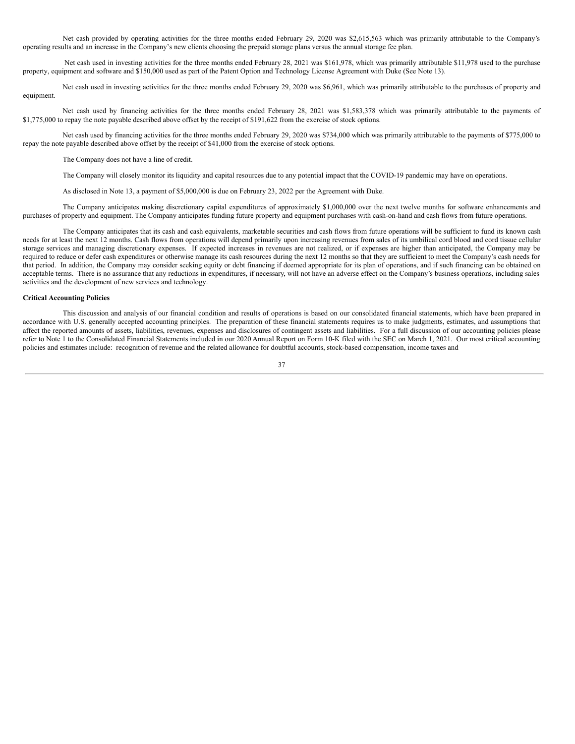Net cash provided by operating activities for the three months ended February 29, 2020 was \$2,615,563 which was primarily attributable to the Company's operating results and an increase in the Company's new clients choosing the prepaid storage plans versus the annual storage fee plan.

Net cash used in investing activities for the three months ended February 28, 2021 was \$161,978, which was primarily attributable \$11,978 used to the purchase property, equipment and software and \$150,000 used as part of the Patent Option and Technology License Agreement with Duke (See Note 13).

Net cash used in investing activities for the three months ended February 29, 2020 was \$6,961, which was primarily attributable to the purchases of property and equipment.

Net cash used by financing activities for the three months ended February 28, 2021 was \$1,583,378 which was primarily attributable to the payments of \$1,775,000 to repay the note payable described above offset by the receipt of \$191,622 from the exercise of stock options.

Net cash used by financing activities for the three months ended February 29, 2020 was \$734,000 which was primarily attributable to the payments of \$775,000 to repay the note payable described above offset by the receipt of \$41,000 from the exercise of stock options.

The Company does not have a line of credit.

The Company will closely monitor its liquidity and capital resources due to any potential impact that the COVID-19 pandemic may have on operations.

As disclosed in Note 13, a payment of \$5,000,000 is due on February 23, 2022 per the Agreement with Duke.

The Company anticipates making discretionary capital expenditures of approximately \$1,000,000 over the next twelve months for software enhancements and purchases of property and equipment. The Company anticipates funding future property and equipment purchases with cash-on-hand and cash flows from future operations.

The Company anticipates that its cash and cash equivalents, marketable securities and cash flows from future operations will be sufficient to fund its known cash needs for at least the next 12 months. Cash flows from operations will depend primarily upon increasing revenues from sales of its umbilical cord blood and cord tissue cellular storage services and managing discretionary expenses. If expected increases in revenues are not realized, or if expenses are higher than anticipated, the Company may be required to reduce or defer cash expenditures or otherwise manage its cash resources during the next 12 months so that they are sufficient to meet the Company's cash needs for that period. In addition, the Company may consider seeking equity or debt financing if deemed appropriate for its plan of operations, and if such financing can be obtained on acceptable terms. There is no assurance that any reductions in expenditures, if necessary, will not have an adverse effect on the Company's business operations, including sales activities and the development of new services and technology.

#### **Critical Accounting Policies**

This discussion and analysis of our financial condition and results of operations is based on our consolidated financial statements, which have been prepared in accordance with U.S. generally accepted accounting principles. The preparation of these financial statements requires us to make judgments, estimates, and assumptions that affect the reported amounts of assets, liabilities, revenues, expenses and disclosures of contingent assets and liabilities. For a full discussion of our accounting policies please refer to Note 1 to the Consolidated Financial Statements included in our 2020 Annual Report on Form 10-K filed with the SEC on March 1, 2021. Our most critical accounting policies and estimates include: recognition of revenue and the related allowance for doubtful accounts, stock-based compensation, income taxes and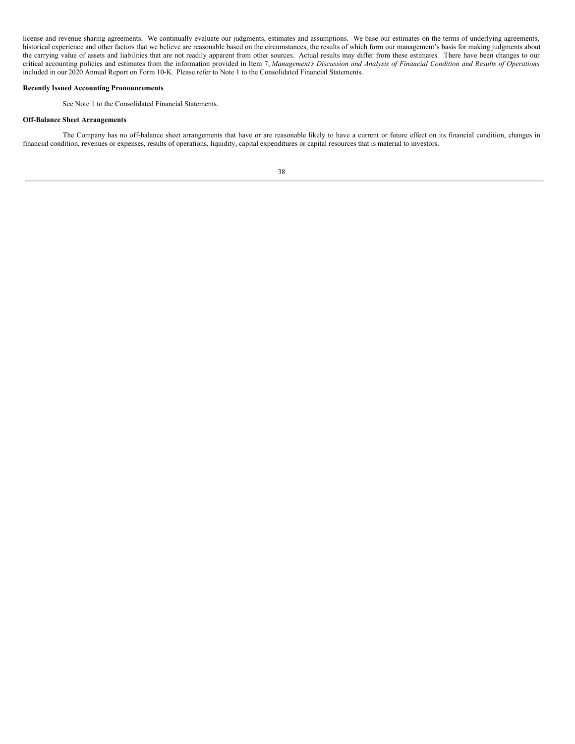license and revenue sharing agreements. We continually evaluate our judgments, estimates and assumptions. We base our estimates on the terms of underlying agreements, historical experience and other factors that we believe are reasonable based on the circumstances, the results of which form our management's basis for making judgments about the carrying value of assets and liabilities that are not readily apparent from other sources. Actual results may differ from these estimates. There have been changes to our critical accounting policies and estimates from the information provided in Item 7, Management's Discussion and Analysis of Financial Condition and Results of Operations included in our 2020 Annual Report on Form 10-K. Please refer to Note 1 to the Consolidated Financial Statements.

# **Recently Issued Accounting Pronouncements**

See Note 1 to the Consolidated Financial Statements.

#### **Off-Balance Sheet Arrangements**

The Company has no off-balance sheet arrangements that have or are reasonable likely to have a current or future effect on its financial condition, changes in financial condition, revenues or expenses, results of operations, liquidity, capital expenditures or capital resources that is material to investors.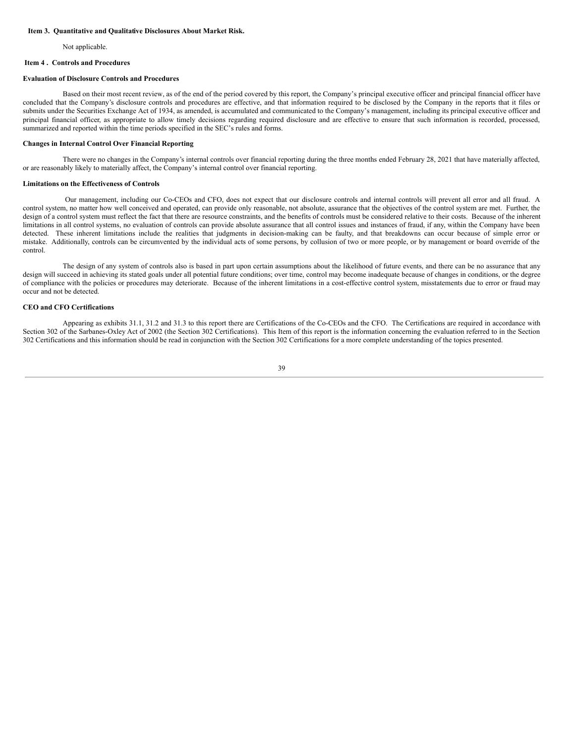#### **Item 3. Quantitative and Qualitative Disclosures About Market Risk.**

Not applicable.

#### **Item 4 . Controls and Procedures**

#### **Evaluation of Disclosure Controls and Procedures**

Based on their most recent review, as of the end of the period covered by this report, the Company's principal executive officer and principal financial officer have concluded that the Company's disclosure controls and procedures are effective, and that information required to be disclosed by the Company in the reports that it files or submits under the Securities Exchange Act of 1934, as amended, is accumulated and communicated to the Company's management, including its principal executive officer and principal financial officer, as appropriate to allow timely decisions regarding required disclosure and are effective to ensure that such information is recorded, processed, summarized and reported within the time periods specified in the SEC's rules and forms.

#### **Changes in Internal Control Over Financial Reporting**

There were no changes in the Company's internal controls over financial reporting during the three months ended February 28, 2021 that have materially affected, or are reasonably likely to materially affect, the Company's internal control over financial reporting.

#### **Limitations on the Effectiveness of Controls**

Our management, including our Co-CEOs and CFO, does not expect that our disclosure controls and internal controls will prevent all error and all fraud. A control system, no matter how well conceived and operated, can provide only reasonable, not absolute, assurance that the objectives of the control system are met. Further, the design of a control system must reflect the fact that there are resource constraints, and the benefits of controls must be considered relative to their costs. Because of the inherent limitations in all control systems, no evaluation of controls can provide absolute assurance that all control issues and instances of fraud, if any, within the Company have been detected. These inherent limitations include the realities that judgments in decision-making can be faulty, and that breakdowns can occur because of simple error or mistake. Additionally, controls can be circumvented by the individual acts of some persons, by collusion of two or more people, or by management or board override of the control.

The design of any system of controls also is based in part upon certain assumptions about the likelihood of future events, and there can be no assurance that any design will succeed in achieving its stated goals under all potential future conditions; over time, control may become inadequate because of changes in conditions, or the degree of compliance with the policies or procedures may deteriorate. Because of the inherent limitations in a cost-effective control system, misstatements due to error or fraud may occur and not be detected.

#### **CEO and CFO Certifications**

Appearing as exhibits 31.1, 31.2 and 31.3 to this report there are Certifications of the Co-CEOs and the CFO. The Certifications are required in accordance with Section 302 of the Sarbanes-Oxley Act of 2002 (the Section 302 Certifications). This Item of this report is the information concerning the evaluation referred to in the Section 302 Certifications and this information should be read in conjunction with the Section 302 Certifications for a more complete understanding of the topics presented.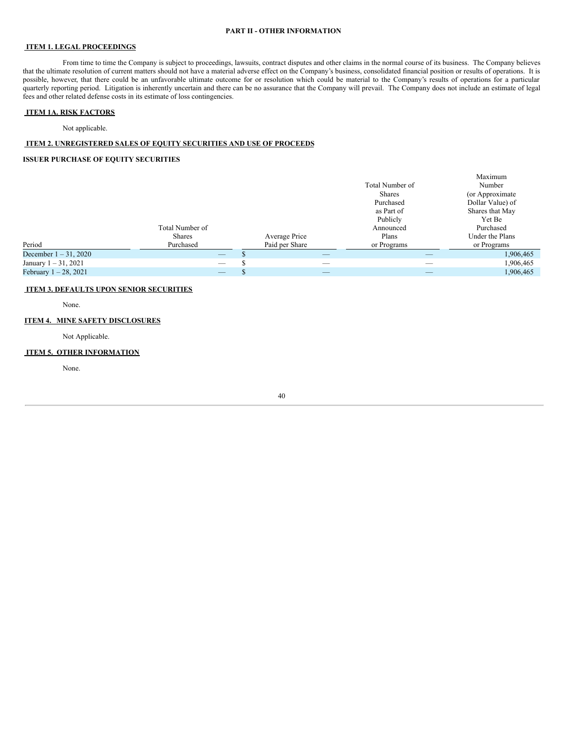# **PART II - OTHER INFORMATION**

#### **ITEM 1. LEGAL PROCEEDINGS**

From time to time the Company is subject to proceedings, lawsuits, contract disputes and other claims in the normal course of its business. The Company believes that the ultimate resolution of current matters should not have a material adverse effect on the Company's business, consolidated financial position or results of operations. It is possible, however, that there could be an unfavorable ultimate outcome for or resolution which could be material to the Company's results of operations for a particular quarterly reporting period. Litigation is inherently uncertain and there can be no assurance that the Company will prevail. The Company does not include an estimate of legal quarterly reporting period. Litigation is inhere fees and other related defense costs in its estimate of loss contingencies.

#### **ITEM 1A. RISK FACTORS**

Not applicable.

#### **ITEM 2. UNREGISTERED SALES OF EQUITY SECURITIES AND USE OF PROCEEDS**

#### **ISSUER PURCHASE OF EQUITY SECURITIES**

|                          |                 |                          |   |                |                          | Maximum          |
|--------------------------|-----------------|--------------------------|---|----------------|--------------------------|------------------|
|                          |                 |                          |   |                | Total Number of          | Number           |
|                          |                 |                          |   |                | <b>Shares</b>            | (or Approximate) |
|                          |                 |                          |   |                | Purchased                | Dollar Value) of |
|                          |                 |                          |   |                | as Part of               | Shares that May  |
|                          |                 |                          |   |                | Publicly                 | Yet Be           |
|                          | Total Number of |                          |   |                | Announced                | Purchased        |
|                          | <b>Shares</b>   |                          |   | Average Price  | Plans                    | Under the Plans  |
| Period                   | Purchased       |                          |   | Paid per Share | or Programs              | or Programs      |
| December $1 - 31$ , 2020 |                 | $\overline{\phantom{a}}$ |   | $-$            | $\overline{\phantom{a}}$ | 1,906,465        |
| January $1 - 31$ , 2021  |                 | -                        | D | _              | $\sim$                   | 1,906,465        |
| February $1-28$ , 2021   |                 | $-$                      | Φ | $-$            | $\overline{\phantom{a}}$ | 1,906,465        |

### **ITEM 3. DEFAULTS UPON SENIOR SECURITIES**

None.

### **ITEM 4. MINE SAFETY DISCLOSURES**

Not Applicable.

#### **ITEM 5. OTHER INFORMATION**

None.

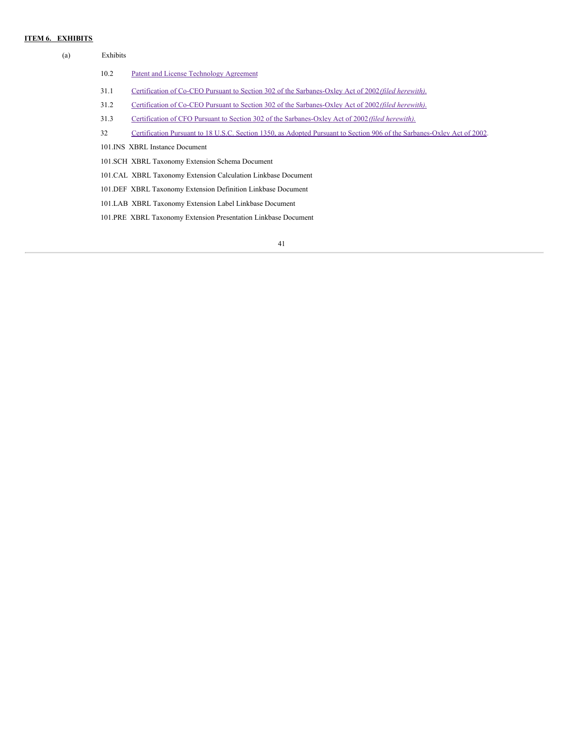### **ITEM 6. EXHIBITS**

- (a) Exhibits
	- 10.2 Patent and License [Technology](#page-59-0) Agreement
	- 31.1 Certification of Co-CEO Pursuant to Section 302 of the [Sarbanes-Oxley](#page-77-0) Act of 2002*(filed herewith)*.
	- 31.2 Certification of Co-CEO Pursuant to Section 302 of the [Sarbanes-Oxley](#page-78-0) Act of 2002*(filed herewith)*.
	- 31.3 Certification of CFO Pursuant to Section 302 of the [Sarbanes-Oxley](#page-79-0) Act of 2002*(filed herewith)*.
	- 32 Certification Pursuant to 18 U.S.C. Section 1350, as Adopted Pursuant to Section 906 of the [Sarbanes-Oxley](#page-80-0) Act of 2002.
	- 101.INS XBRL Instance Document
	- 101.SCH XBRL Taxonomy Extension Schema Document
	- 101.CAL XBRL Taxonomy Extension Calculation Linkbase Document
	- 101.DEF XBRL Taxonomy Extension Definition Linkbase Document
	- 101.LAB XBRL Taxonomy Extension Label Linkbase Document
	- 101.PRE XBRL Taxonomy Extension Presentation Linkbase Document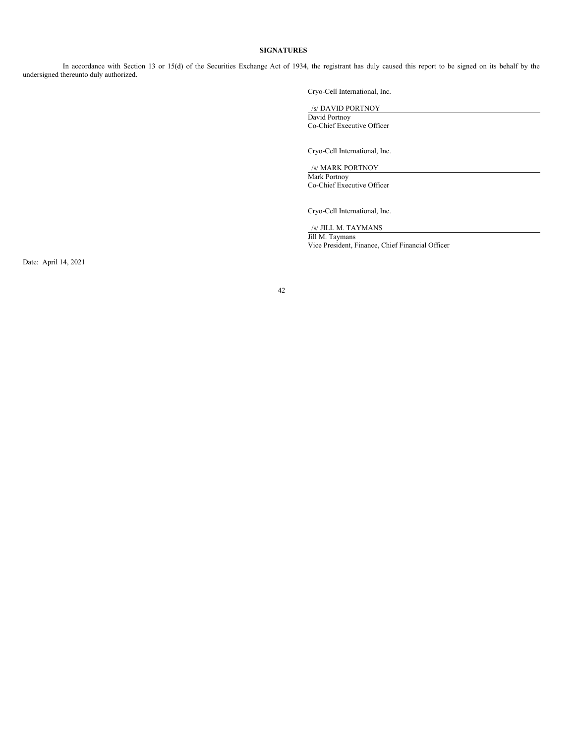#### **SIGNATURES**

In accordance with Section 13 or 15(d) of the Securities Exchange Act of 1934, the registrant has duly caused this report to be signed on its behalf by the undersigned thereunto duly authorized.

Cryo-Cell International, Inc.

/s/ DAVID PORTNOY

David Portnoy Co-Chief Executive Officer

Cryo-Cell International, Inc.

/s/ MARK PORTNOY

Mark Portnoy Co-Chief Executive Officer

Cryo-Cell International, Inc.

/s/ JILL M. TAYMANS Jill M. Taymans Vice President, Finance, Chief Financial Officer

Date: April 14, 2021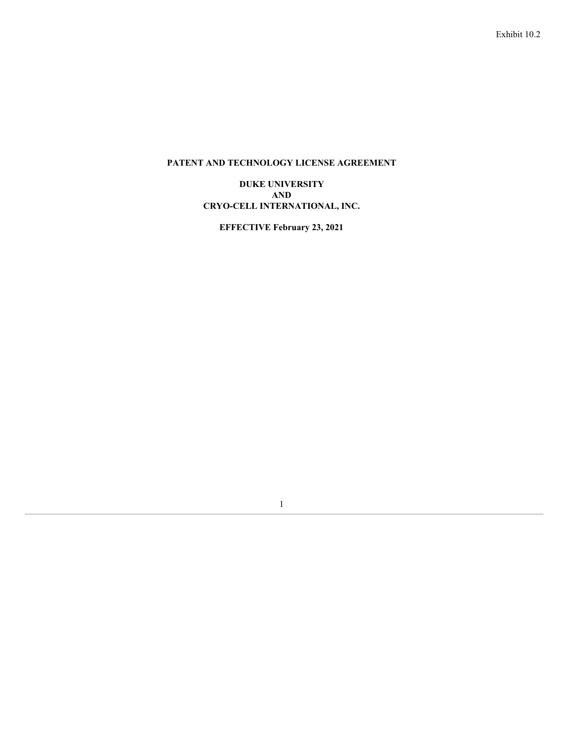# **PATENT AND TECHNOLOGY LICENSE AGREEMENT**

**DUKE UNIVERSITY AND CRYO-CELL INTERNATIONAL, INC.**

**EFFECTIVE February 23, 2021**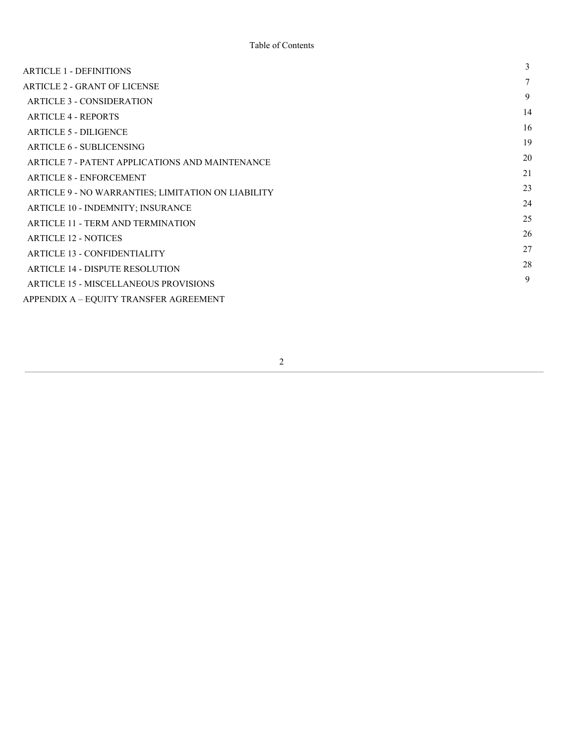| <b>ARTICLE 1 - DEFINITIONS</b>                     | 3  |
|----------------------------------------------------|----|
|                                                    | 7  |
| <b>ARTICLE 2 - GRANT OF LICENSE</b>                |    |
| <b>ARTICLE 3 - CONSIDERATION</b>                   | 9  |
| <b>ARTICLE 4 - REPORTS</b>                         | 14 |
| <b>ARTICLE 5 - DILIGENCE</b>                       | 16 |
| <b>ARTICLE 6 - SUBLICENSING</b>                    | 19 |
| ARTICLE 7 - PATENT APPLICATIONS AND MAINTENANCE    | 20 |
| <b>ARTICLE 8 - ENFORCEMENT</b>                     | 21 |
| ARTICLE 9 - NO WARRANTIES; LIMITATION ON LIABILITY | 23 |
| ARTICLE 10 - INDEMNITY; INSURANCE                  | 24 |
| <b>ARTICLE 11 - TERM AND TERMINATION</b>           | 25 |
| <b>ARTICLE 12 - NOTICES</b>                        | 26 |
| <b>ARTICLE 13 - CONFIDENTIALITY</b>                | 27 |
| <b>ARTICLE 14 - DISPUTE RESOLUTION</b>             | 28 |
| <b>ARTICLE 15 - MISCELLANEOUS PROVISIONS</b>       | 9  |
| APPENDIX A - EQUITY TRANSFER AGREEMENT             |    |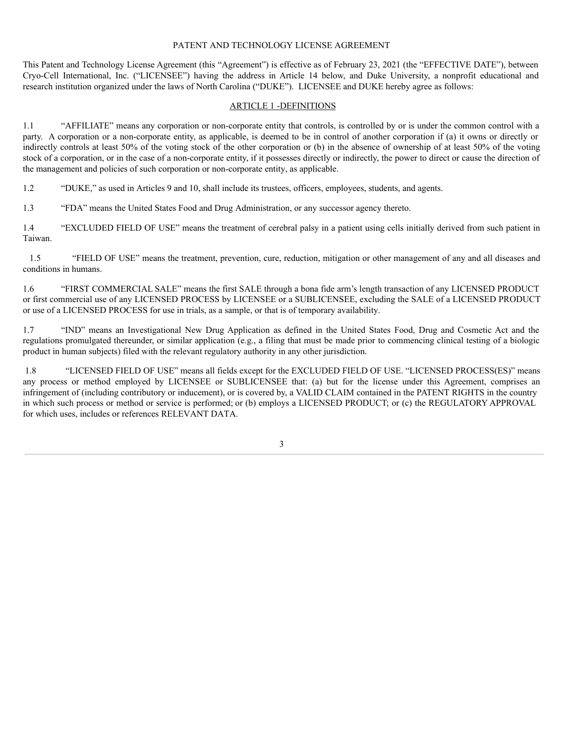# PATENT AND TECHNOLOGY LICENSE AGREEMENT

This Patent and Technology License Agreement (this "Agreement") is effective as of February 23, 2021 (the "EFFECTIVE DATE"), between Cryo-Cell International, Inc. ("LICENSEE") having the address in Article 14 below, and Duke University, a nonprofit educational and research institution organized under the laws of North Carolina ("DUKE"). LICENSEE and DUKE hereby agree as follows:

# ARTICLE 1 -DEFINITIONS

1.1 "AFFILIATE" means any corporation or non-corporate entity that controls, is controlled by or is under the common control with a party. A corporation or a non-corporate entity, as applicable, is deemed to be in control of another corporation if (a) it owns or directly or indirectly controls at least 50% of the voting stock of the other corporation or (b) in the absence of ownership of at least 50% of the voting stock of a corporation, or in the case of a non-corporate entity, if it possesses directly or indirectly, the power to direct or cause the direction of the management and policies of such corporation or non-corporate entity, as applicable.

1.2 "DUKE," as used in Articles 9 and 10, shall include its trustees, officers, employees, students, and agents.

1.3 "FDA" means the United States Food and Drug Administration, or any successor agency thereto.

1.4 "EXCLUDED FIELD OF USE" means the treatment of cerebral palsy in a patient using cells initially derived from such patient in Taiwan.

1.5 "FIELD OF USE" means the treatment, prevention, cure, reduction, mitigation or other management of any and all diseases and conditions in humans.

1.6 "FIRST COMMERCIAL SALE" means the first SALE through a bona fide arm's length transaction of any LICENSED PRODUCT or first commercial use of any LICENSED PROCESS by LICENSEE or a SUBLICENSEE, excluding the SALE of a LICENSED PRODUCT or use of a LICENSED PROCESS for use in trials, as a sample, or that is of temporary availability.

1.7 "IND" means an Investigational New Drug Application as defined in the United States Food, Drug and Cosmetic Act and the regulations promulgated thereunder, or similar application (e.g., a filing that must be made prior to commencing clinical testing of a biologic product in human subjects) filed with the relevant regulatory authority in any other jurisdiction.

1.8 "LICENSED FIELD OF USE" means all fields except for the EXCLUDED FIELD OF USE. "LICENSED PROCESS(ES)" means any process or method employed by LICENSEE or SUBLICENSEE that: (a) but for the license under this Agreement, comprises an infringement of (including contributory or inducement), or is covered by, a VALID CLAIM contained in the PATENT RIGHTS in the country in which such process or method or service is performed; or (b) employs a LICENSED PRODUCT; or (c) the REGULATORY APPROVAL for which uses, includes or references RELEVANT DATA.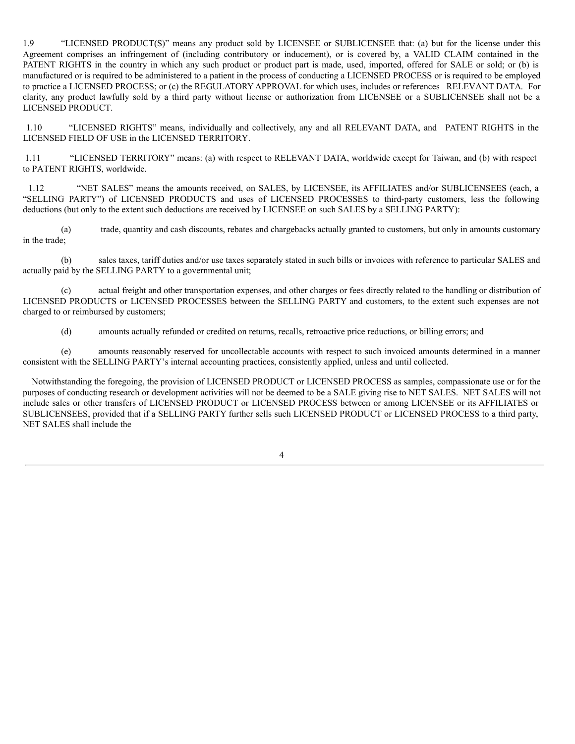1.9 "LICENSED PRODUCT(S)" means any product sold by LICENSEE or SUBLICENSEE that: (a) but for the license under this Agreement comprises an infringement of (including contributory or inducement), or is covered by, a VALID CLAIM contained in the PATENT RIGHTS in the country in which any such product or product part is made, used, imported, offered for SALE or sold; or (b) is manufactured or is required to be administered to a patient in the process of conducting a LICENSED PROCESS or is required to be employed to practice a LICENSED PROCESS; or (c) the REGULATORYAPPROVAL for which uses, includes or references RELEVANT DATA. For clarity, any product lawfully sold by a third party without license or authorization from LICENSEE or a SUBLICENSEE shall not be a LICENSED PRODUCT.

1.10 "LICENSED RIGHTS" means, individually and collectively, any and all RELEVANT DATA, and PATENT RIGHTS in the LICENSED FIELD OF USE in the LICENSED TERRITORY.

1.11 "LICENSED TERRITORY" means: (a) with respect to RELEVANT DATA, worldwide except for Taiwan, and (b) with respect to PATENT RIGHTS, worldwide.

1.12 "NET SALES" means the amounts received, on SALES, by LICENSEE, its AFFILIATES and/or SUBLICENSEES (each, a "SELLING PARTY") of LICENSED PRODUCTS and uses of LICENSED PROCESSES to third-party customers, less the following deductions (but only to the extent such deductions are received by LICENSEE on such SALES by a SELLING PARTY):

(a) trade, quantity and cash discounts, rebates and chargebacks actually granted to customers, but only in amounts customary in the trade;

(b) sales taxes, tariff duties and/or use taxes separately stated in such bills or invoices with reference to particular SALES and actually paid by the SELLING PARTY to a governmental unit;

(c) actual freight and other transportation expenses, and other charges or fees directly related to the handling or distribution of LICENSED PRODUCTS or LICENSED PROCESSES between the SELLING PARTY and customers, to the extent such expenses are not charged to or reimbursed by customers;

(d) amounts actually refunded or credited on returns, recalls, retroactive price reductions, or billing errors; and

(e) amounts reasonably reserved for uncollectable accounts with respect to such invoiced amounts determined in a manner consistent with the SELLING PARTY's internal accounting practices, consistently applied, unless and until collected.

Notwithstanding the foregoing, the provision of LICENSED PRODUCT or LICENSED PROCESS as samples, compassionate use or for the purposes of conducting research or development activities will not be deemed to be a SALE giving rise to NET SALES. NET SALES will not include sales or other transfers of LICENSED PRODUCT or LICENSED PROCESS between or among LICENSEE or its AFFILIATES or SUBLICENSEES, provided that if a SELLING PARTY further sells such LICENSED PRODUCT or LICENSED PROCESS to a third party, NET SALES shall include the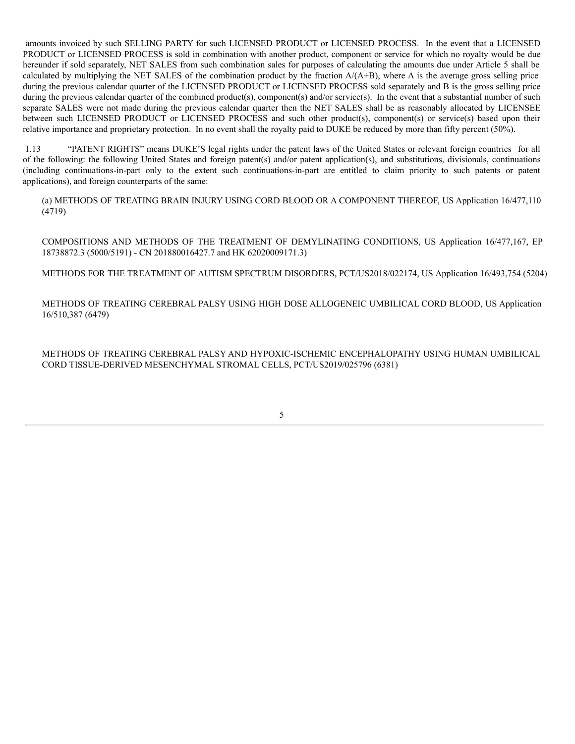amounts invoiced by such SELLING PARTY for such LICENSED PRODUCT or LICENSED PROCESS. In the event that a LICENSED PRODUCT or LICENSED PROCESS is sold in combination with another product, component or service for which no royalty would be due hereunder if sold separately, NET SALES from such combination sales for purposes of calculating the amounts due under Article 5 shall be calculated by multiplying the NET SALES of the combination product by the fraction  $A/(A+B)$ , where A is the average gross selling price during the previous calendar quarter of the LICENSED PRODUCT or LICENSED PROCESS sold separately and B is the gross selling price during the previous calendar quarter of the combined product(s), component(s) and/or service(s). In the event that a substantial number of such separate SALES were not made during the previous calendar quarter then the NET SALES shall be as reasonably allocated by LICENSEE between such LICENSED PRODUCT or LICENSED PROCESS and such other product(s), component(s) or service(s) based upon their relative importance and proprietary protection. In no event shall the royalty paid to DUKE be reduced by more than fifty percent (50%).

1.13 "PATENT RIGHTS" means DUKE'S legal rights under the patent laws of the United States or relevant foreign countries for all of the following: the following United States and foreign patent(s) and/or patent application(s), and substitutions, divisionals, continuations (including continuations-in-part only to the extent such continuations-in-part are entitled to claim priority to such patents or patent applications), and foreign counterparts of the same:

(a) METHODS OF TREATING BRAIN INJURY USING CORD BLOOD OR A COMPONENT THEREOF, US Application 16/477,110 (4719)

COMPOSITIONS AND METHODS OF THE TREATMENT OF DEMYLINATING CONDITIONS, US Application 16/477,167, EP 18738872.3 (5000/5191) - CN 201880016427.7 and HK 62020009171.3)

METHODS FOR THE TREATMENT OF AUTISM SPECTRUM DISORDERS, PCT/US2018/022174, US Application 16/493,754 (5204)

METHODS OF TREATING CEREBRAL PALSY USING HIGH DOSE ALLOGENEIC UMBILICAL CORD BLOOD, US Application 16/510,387 (6479)

METHODS OF TREATING CEREBRAL PALSY AND HYPOXIC-ISCHEMIC ENCEPHALOPATHY USING HUMAN UMBILICAL CORD TISSUE-DERIVED MESENCHYMAL STROMAL CELLS, PCT/US2019/025796 (6381)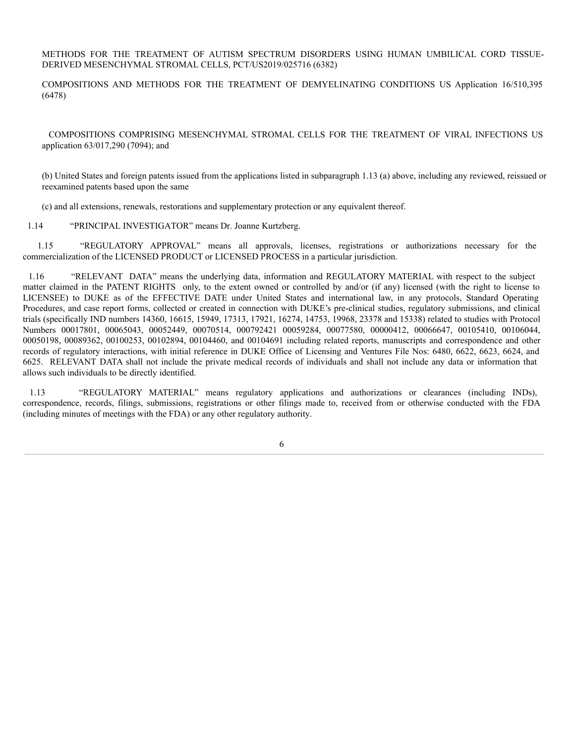# METHODS FOR THE TREATMENT OF AUTISM SPECTRUM DISORDERS USING HUMAN UMBILICAL CORD TISSUE-DERIVED MESENCHYMAL STROMAL CELLS, PCT/US2019/025716 (6382)

COMPOSITIONS AND METHODS FOR THE TREATMENT OF DEMYELINATING CONDITIONS US Application 16/510,395 (6478)

COMPOSITIONS COMPRISING MESENCHYMAL STROMAL CELLS FOR THE TREATMENT OF VIRAL INFECTIONS US application 63/017,290 (7094); and

(b) United States and foreign patents issued from the applications listed in subparagraph 1.13 (a) above, including any reviewed, reissued or reexamined patents based upon the same

(c) and all extensions, renewals, restorations and supplementary protection or any equivalent thereof.

### 1.14 "PRINCIPAL INVESTIGATOR" means Dr. Joanne Kurtzberg.

1.15 "REGULATORY APPROVAL" means all approvals, licenses, registrations or authorizations necessary for the commercialization of the LICENSED PRODUCT or LICENSED PROCESS in a particular jurisdiction.

1.16 "RELEVANT DATA" means the underlying data, information and REGULATORY MATERIAL with respect to the subject matter claimed in the PATENT RIGHTS only, to the extent owned or controlled by and/or (if any) licensed (with the right to license to LICENSEE) to DUKE as of the EFFECTIVE DATE under United States and international law, in any protocols, Standard Operating Procedures, and case report forms, collected or created in connection with DUKE's pre-clinical studies, regulatory submissions, and clinical trials (specifically IND numbers 14360, 16615, 15949, 17313, 17921, 16274, 14753, 19968, 23378 and 15338) related to studies with Protocol Numbers 00017801, 00065043, 00052449, 00070514, 000792421 00059284, 00077580, 00000412, 00066647, 00105410, 00106044, 00050198, 00089362, 00100253, 00102894, 00104460, and 00104691 including related reports, manuscripts and correspondence and other records of regulatory interactions, with initial reference in DUKE Office of Licensing and Ventures File Nos: 6480, 6622, 6623, 6624, and 6625. RELEVANT DATA shall not include the private medical records of individuals and shall not include any data or information that allows such individuals to be directly identified.

1.13 "REGULATORY MATERIAL" means regulatory applications and authorizations or clearances (including INDs), correspondence, records, filings, submissions, registrations or other filings made to, received from or otherwise conducted with the FDA (including minutes of meetings with the FDA) or any other regulatory authority.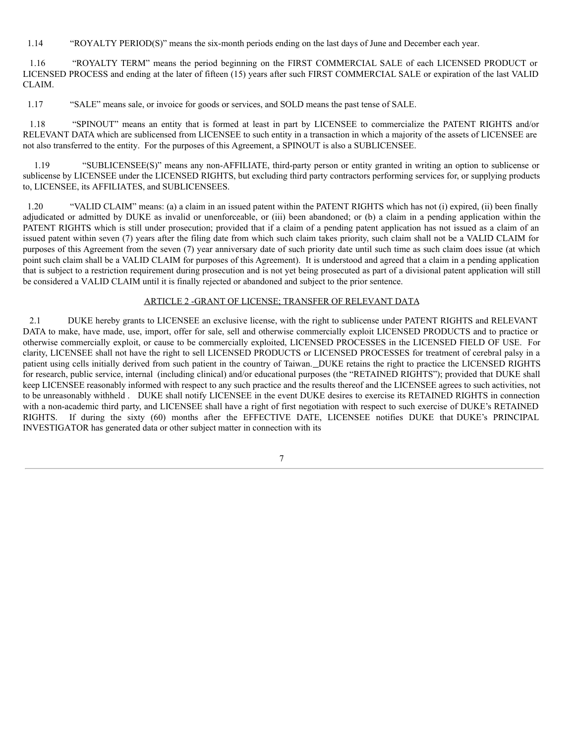1.14 "ROYALTY PERIOD(S)" means the six-month periods ending on the last days of June and December each year.

1.16 "ROYALTY TERM" means the period beginning on the FIRST COMMERCIAL SALE of each LICENSED PRODUCT or LICENSED PROCESS and ending at the later of fifteen (15) years after such FIRST COMMERCIAL SALE or expiration of the last VALID CLAIM.

1.17 "SALE" means sale, or invoice for goods or services, and SOLD means the past tense of SALE.

1.18 "SPINOUT" means an entity that is formed at least in part by LICENSEE to commercialize the PATENT RIGHTS and/or RELEVANT DATA which are sublicensed from LICENSEE to such entity in a transaction in which a majority of the assets of LICENSEE are not also transferred to the entity. For the purposes of this Agreement, a SPINOUT is also a SUBLICENSEE.

1.19 "SUBLICENSEE(S)" means any non-AFFILIATE, third-party person or entity granted in writing an option to sublicense or sublicense by LICENSEE under the LICENSED RIGHTS, but excluding third party contractors performing services for, or supplying products to, LICENSEE, its AFFILIATES, and SUBLICENSEES.

1.20 "VALID CLAIM" means: (a) a claim in an issued patent within the PATENT RIGHTS which has not (i) expired, (ii) been finally adjudicated or admitted by DUKE as invalid or unenforceable, or (iii) been abandoned; or (b) a claim in a pending application within the PATENT RIGHTS which is still under prosecution; provided that if a claim of a pending patent application has not issued as a claim of an issued patent within seven (7) years after the filing date from which such claim takes priority, such claim shall not be a VALID CLAIM for purposes of this Agreement from the seven (7) year anniversary date of such priority date until such time as such claim does issue (at which point such claim shall be a VALID CLAIM for purposes of this Agreement). It is understood and agreed that a claim in a pending application that is subject to a restriction requirement during prosecution and is not yet being prosecuted as part of a divisional patent application will still be considered a VALID CLAIM until it is finally rejected or abandoned and subject to the prior sentence.

# ARTICLE 2 -GRANT OF LICENSE; TRANSFER OF RELEVANT DATA

2.1 DUKE hereby grants to LICENSEE an exclusive license, with the right to sublicense under PATENT RIGHTS and RELEVANT DATA to make, have made, use, import, offer for sale, sell and otherwise commercially exploit LICENSED PRODUCTS and to practice or otherwise commercially exploit, or cause to be commercially exploited, LICENSED PROCESSES in the LICENSED FIELD OF USE. For clarity, LICENSEE shall not have the right to sell LICENSED PRODUCTS or LICENSED PROCESSES for treatment of cerebral palsy in a patient using cells initially derived from such patient in the country of Taiwan. DUKE retains the right to practice the LICENSED RIGHTS for research, public service, internal (including clinical) and/or educational purposes (the "RETAINED RIGHTS"); provided that DUKE shall keep LICENSEE reasonably informed with respect to any such practice and the results thereof and the LICENSEE agrees to such activities, not to be unreasonably withheld . DUKE shall notify LICENSEE in the event DUKE desires to exercise its RETAINED RIGHTS in connection with a non-academic third party, and LICENSEE shall have a right of first negotiation with respect to such exercise of DUKE's RETAINED RIGHTS. If during the sixty (60) months after the EFFECTIVE DATE, LICENSEE notifies DUKE that DUKE's PRINCIPAL INVESTIGATOR has generated data or other subject matter in connection with its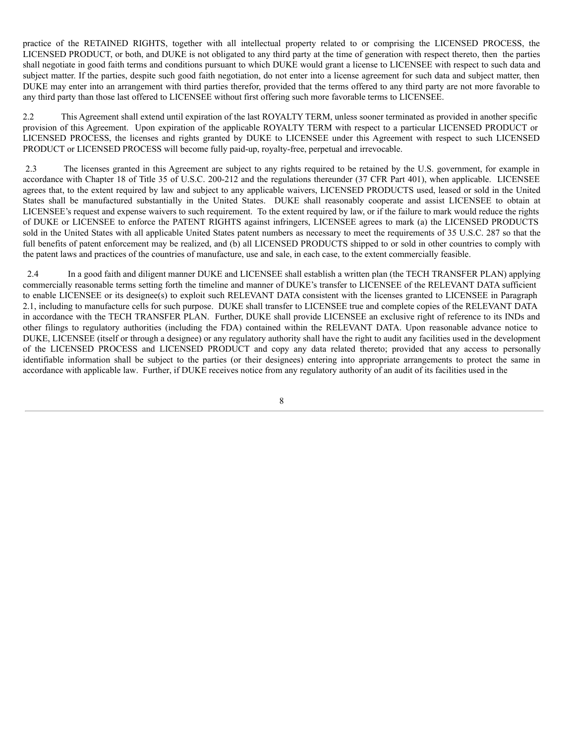practice of the RETAINED RIGHTS, together with all intellectual property related to or comprising the LICENSED PROCESS, the LICENSED PRODUCT, or both, and DUKE is not obligated to any third party at the time of generation with respect thereto, then the parties shall negotiate in good faith terms and conditions pursuant to which DUKE would grant a license to LICENSEE with respect to such data and subject matter. If the parties, despite such good faith negotiation, do not enter into a license agreement for such data and subject matter, then DUKE may enter into an arrangement with third parties therefor, provided that the terms offered to any third party are not more favorable to any third party than those last offered to LICENSEE without first offering such more favorable terms to LICENSEE.

2.2 This Agreement shall extend until expiration of the last ROYALTY TERM, unless sooner terminated as provided in another specific provision of this Agreement. Upon expiration of the applicable ROYALTY TERM with respect to a particular LICENSED PRODUCT or LICENSED PROCESS, the licenses and rights granted by DUKE to LICENSEE under this Agreement with respect to such LICENSED PRODUCT or LICENSED PROCESS will become fully paid-up, royalty-free, perpetual and irrevocable.

2.3 The licenses granted in this Agreement are subject to any rights required to be retained by the U.S. government, for example in accordance with Chapter 18 of Title 35 of U.S.C. 200-212 and the regulations thereunder (37 CFR Part 401), when applicable. LICENSEE agrees that, to the extent required by law and subject to any applicable waivers, LICENSED PRODUCTS used, leased or sold in the United States shall be manufactured substantially in the United States. DUKE shall reasonably cooperate and assist LICENSEE to obtain at LICENSEE's request and expense waivers to such requirement. To the extent required by law, or if the failure to mark would reduce the rights of DUKE or LICENSEE to enforce the PATENT RIGHTS against infringers, LICENSEE agrees to mark (a) the LICENSED PRODUCTS sold in the United States with all applicable United States patent numbers as necessary to meet the requirements of 35 U.S.C. 287 so that the full benefits of patent enforcement may be realized, and (b) all LICENSED PRODUCTS shipped to or sold in other countries to comply with the patent laws and practices of the countries of manufacture, use and sale, in each case, to the extent commercially feasible.

2.4 In a good faith and diligent manner DUKE and LICENSEE shall establish a written plan (the TECH TRANSFER PLAN) applying commercially reasonable terms setting forth the timeline and manner of DUKE's transfer to LICENSEE of the RELEVANT DATA sufficient to enable LICENSEE or its designee(s) to exploit such RELEVANT DATA consistent with the licenses granted to LICENSEE in Paragraph 2.1, including to manufacture cells for such purpose. DUKE shall transfer to LICENSEE true and complete copies of the RELEVANT DATA in accordance with the TECH TRANSFER PLAN. Further, DUKE shall provide LICENSEE an exclusive right of reference to its INDs and other filings to regulatory authorities (including the FDA) contained within the RELEVANT DATA. Upon reasonable advance notice to DUKE, LICENSEE (itself or through a designee) or any regulatory authority shall have the right to audit any facilities used in the development of the LICENSED PROCESS and LICENSED PRODUCT and copy any data related thereto; provided that any access to personally identifiable information shall be subject to the parties (or their designees) entering into appropriate arrangements to protect the same in accordance with applicable law. Further, if DUKE receives notice from any regulatory authority of an audit of its facilities used in the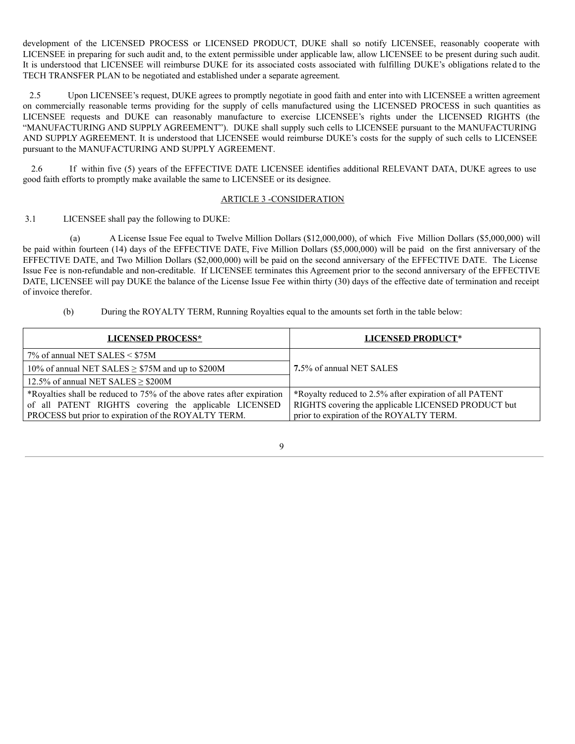development of the LICENSED PROCESS or LICENSED PRODUCT, DUKE shall so notify LICENSEE, reasonably cooperate with LICENSEE in preparing for such audit and, to the extent permissible under applicable law, allow LICENSEE to be present during such audit. It is understood that LICENSEE will reimburse DUKE for its associated costs associated with fulfilling DUKE's obligations relate d to the TECH TRANSFER PLAN to be negotiated and established under a separate agreement.

2.5 Upon LICENSEE's request, DUKE agrees to promptly negotiate in good faith and enter into with LICENSEE a written agreement on commercially reasonable terms providing for the supply of cells manufactured using the LICENSED PROCESS in such quantities as LICENSEE requests and DUKE can reasonably manufacture to exercise LICENSEE's rights under the LICENSED RIGHTS (the "MANUFACTURING AND SUPPLY AGREEMENT"). DUKE shall supply such cells to LICENSEE pursuant to the MANUFACTURING AND SUPPLY AGREEMENT. It is understood that LICENSEE would reimburse DUKE's costs for the supply of such cells to LICENSEE pursuant to the MANUFACTURING AND SUPPLY AGREEMENT.

2.6 If within five (5) years of the EFFECTIVE DATE LICENSEE identifies additional RELEVANT DATA, DUKE agrees to use good faith efforts to promptly make available the same to LICENSEE or its designee.

# ARTICLE 3 -CONSIDERATION

3.1 LICENSEE shall pay the following to DUKE:

(a) A License Issue Fee equal to Twelve Million Dollars (\$12,000,000), of which Five Million Dollars (\$5,000,000) will be paid within fourteen (14) days of the EFFECTIVE DATE, Five Million Dollars (\$5,000,000) will be paid on the first anniversary of the EFFECTIVE DATE, and Two Million Dollars (\$2,000,000) will be paid on the second anniversary of the EFFECTIVE DATE. The License Issue Fee is non-refundable and non-creditable. If LICENSEE terminates this Agreement prior to the second anniversary of the EFFECTIVE DATE, LICENSEE will pay DUKE the balance of the License Issue Fee within thirty (30) days of the effective date of termination and receipt of invoice therefor.

# (b) During the ROYALTY TERM, Running Royalties equal to the amounts set forth in the table below:

| <b>LICENSED PROCESS*</b>                                               | <b>LICENSED PRODUCT*</b>                                |  |
|------------------------------------------------------------------------|---------------------------------------------------------|--|
| 7% of annual NET SALES < \$75M                                         |                                                         |  |
| 10% of annual NET SALES $\geq$ \$75M and up to \$200M                  | 7.5% of annual NET SALES                                |  |
| 12.5% of annual NET SALES $\geq$ \$200M                                |                                                         |  |
| *Royalties shall be reduced to 75% of the above rates after expiration | *Royalty reduced to 2.5% after expiration of all PATENT |  |
| of all PATENT RIGHTS covering the applicable LICENSED                  | RIGHTS covering the applicable LICENSED PRODUCT but     |  |
| PROCESS but prior to expiration of the ROYALTY TERM.                   | prior to expiration of the ROYALTY TERM.                |  |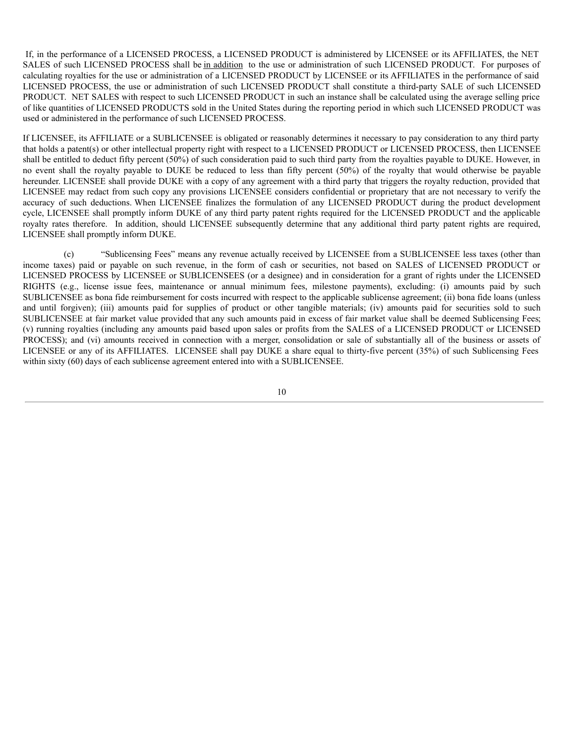If, in the performance of a LICENSED PROCESS, a LICENSED PRODUCT is administered by LICENSEE or its AFFILIATES, the NET SALES of such LICENSED PROCESS shall be in addition to the use or administration of such LICENSED PRODUCT. For purposes of calculating royalties for the use or administration of a LICENSED PRODUCT by LICENSEE or its AFFILIATES in the performance of said LICENSED PROCESS, the use or administration of such LICENSED PRODUCT shall constitute a third-party SALE of such LICENSED PRODUCT. NET SALES with respect to such LICENSED PRODUCT in such an instance shall be calculated using the average selling price of like quantities of LICENSED PRODUCTS sold in the United States during the reporting period in which such LICENSED PRODUCT was used or administered in the performance of such LICENSED PROCESS.

If LICENSEE, its AFFILIATE or a SUBLICENSEE is obligated or reasonably determines it necessary to pay consideration to any third party that holds a patent(s) or other intellectual property right with respect to a LICENSED PRODUCT or LICENSED PROCESS, then LICENSEE shall be entitled to deduct fifty percent (50%) of such consideration paid to such third party from the royalties payable to DUKE. However, in no event shall the royalty payable to DUKE be reduced to less than fifty percent (50%) of the royalty that would otherwise be payable hereunder. LICENSEE shall provide DUKE with a copy of any agreement with a third party that triggers the royalty reduction, provided that LICENSEE may redact from such copy any provisions LICENSEE considers confidential or proprietary that are not necessary to verify the accuracy of such deductions. When LICENSEE finalizes the formulation of any LICENSED PRODUCT during the product development cycle, LICENSEE shall promptly inform DUKE of any third party patent rights required for the LICENSED PRODUCT and the applicable royalty rates therefore. In addition, should LICENSEE subsequently determine that any additional third party patent rights are required, LICENSEE shall promptly inform DUKE.

(c) "Sublicensing Fees" means any revenue actually received by LICENSEE from a SUBLICENSEE less taxes (other than income taxes) paid or payable on such revenue, in the form of cash or securities, not based on SALES of LICENSED PRODUCT or LICENSED PROCESS by LICENSEE or SUBLICENSEES (or a designee) and in consideration for a grant of rights under the LICENSED RIGHTS (e.g., license issue fees, maintenance or annual minimum fees, milestone payments), excluding: (i) amounts paid by such SUBLICENSEE as bona fide reimbursement for costs incurred with respect to the applicable sublicense agreement; (ii) bona fide loans (unless and until forgiven); (iii) amounts paid for supplies of product or other tangible materials; (iv) amounts paid for securities sold to such SUBLICENSEE at fair market value provided that any such amounts paid in excess of fair market value shall be deemed Sublicensing Fees; (v) running royalties (including any amounts paid based upon sales or profits from the SALES of a LICENSED PRODUCT or LICENSED PROCESS); and (vi) amounts received in connection with a merger, consolidation or sale of substantially all of the business or assets of LICENSEE or any of its AFFILIATES. LICENSEE shall pay DUKE a share equal to thirty-five percent (35%) of such Sublicensing Fees within sixty (60) days of each sublicense agreement entered into with a SUBLICENSEE.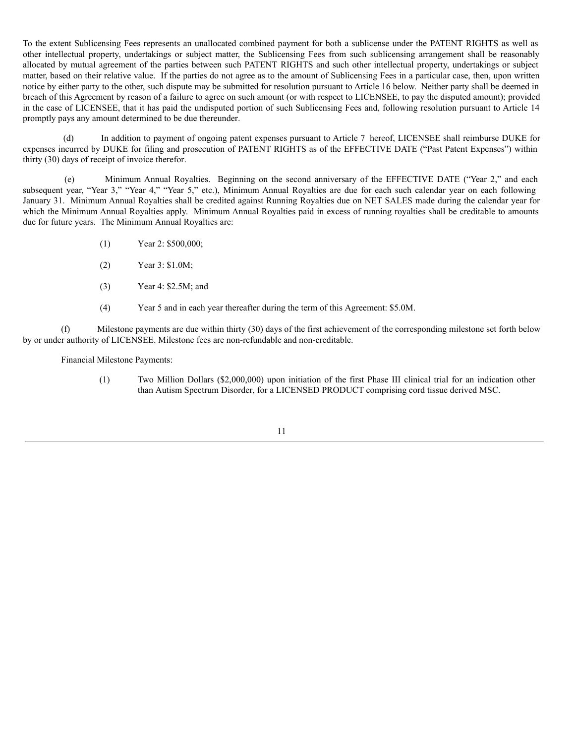To the extent Sublicensing Fees represents an unallocated combined payment for both a sublicense under the PATENT RIGHTS as well as other intellectual property, undertakings or subject matter, the Sublicensing Fees from such sublicensing arrangement shall be reasonably allocated by mutual agreement of the parties between such PATENT RIGHTS and such other intellectual property, undertakings or subject matter, based on their relative value. If the parties do not agree as to the amount of Sublicensing Fees in a particular case, then, upon written notice by either party to the other, such dispute may be submitted for resolution pursuant to Article 16 below. Neither party shall be deemed in breach of this Agreement by reason of a failure to agree on such amount (or with respect to LICENSEE, to pay the disputed amount); provided in the case of LICENSEE, that it has paid the undisputed portion of such Sublicensing Fees and, following resolution pursuant to Article 14 promptly pays any amount determined to be due thereunder.

(d) In addition to payment of ongoing patent expenses pursuant to Article 7 hereof, LICENSEE shall reimburse DUKE for expenses incurred by DUKE for filing and prosecution of PATENT RIGHTS as of the EFFECTIVE DATE ("Past Patent Expenses") within thirty (30) days of receipt of invoice therefor.

(e) Minimum Annual Royalties. Beginning on the second anniversary of the EFFECTIVE DATE ("Year 2," and each subsequent year, "Year 3," "Year 4," "Year 5," etc.), Minimum Annual Royalties are due for each such calendar year on each following January 31. Minimum Annual Royalties shall be credited against Running Royalties due on NET SALES made during the calendar year for which the Minimum Annual Royalties apply. Minimum Annual Royalties paid in excess of running royalties shall be creditable to amounts due for future years. The Minimum Annual Royalties are:

- (1) Year 2: \$500,000;
- (2) Year 3: \$1.0M;
- (3) Year 4: \$2.5M; and
- (4) Year 5 and in each year thereafter during the term of this Agreement: \$5.0M.

(f) Milestone payments are due within thirty (30) days of the first achievement of the corresponding milestone set forth below by or under authority of LICENSEE. Milestone fees are non-refundable and non-creditable.

Financial Milestone Payments:

(1) Two Million Dollars (\$2,000,000) upon initiation of the first Phase III clinical trial for an indication other than Autism Spectrum Disorder, for a LICENSED PRODUCT comprising cord tissue derived MSC.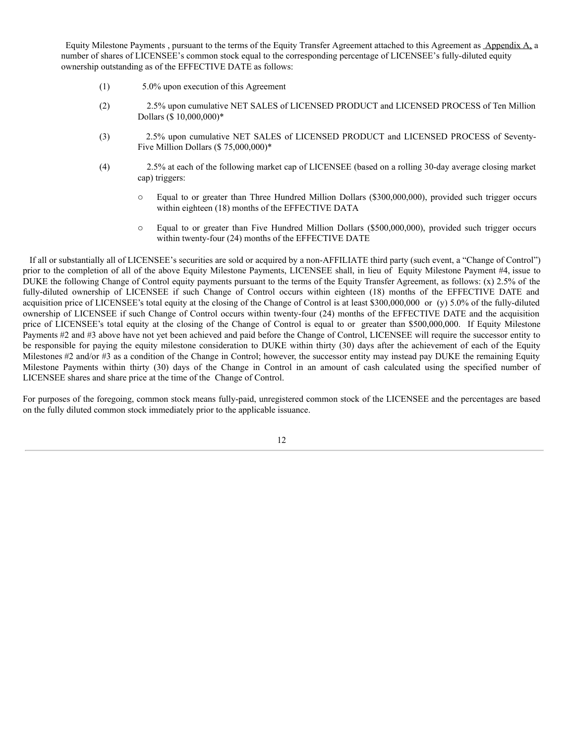Equity Milestone Payments , pursuant to the terms of the Equity Transfer Agreement attached to this Agreement as Appendix A, a number of shares of LICENSEE's common stock equal to the corresponding percentage of LICENSEE's fully-diluted equity ownership outstanding as of the EFFECTIVE DATE as follows:

- (1) 5.0% upon execution of this Agreement
- (2) 2.5% upon cumulative NET SALES of LICENSED PRODUCT and LICENSED PROCESS of Ten Million Dollars (\$ 10,000,000)\*
- (3) 2.5% upon cumulative NET SALES of LICENSED PRODUCT and LICENSED PROCESS of Seventy-Five Million Dollars (\$ 75,000,000)\*
- (4) 2.5% at each of the following market cap of LICENSEE (based on a rolling 30-day average closing market cap) triggers:
	- o Equal to or greater than Three Hundred Million Dollars (\$300,000,000), provided such trigger occurs within eighteen (18) months of the EFFECTIVE DATA
	- o Equal to or greater than Five Hundred Million Dollars (\$500,000,000), provided such trigger occurs within twenty-four (24) months of the EFFECTIVE DATE

If all or substantially all of LICENSEE's securities are sold or acquired by a non-AFFILIATE third party (such event, a "Change of Control") prior to the completion of all of the above Equity Milestone Payments, LICENSEE shall, in lieu of Equity Milestone Payment #4, issue to DUKE the following Change of Control equity payments pursuant to the terms of the Equity Transfer Agreement, as follows: (x) 2.5% of the fully-diluted ownership of LICENSEE if such Change of Control occurs within eighteen (18) months of the EFFECTIVE DATE and acquisition price of LICENSEE's total equity at the closing of the Change of Control is at least \$300,000,000 or (y) 5.0% of the fully-diluted ownership of LICENSEE if such Change of Control occurs within twenty-four (24) months of the EFFECTIVE DATE and the acquisition price of LICENSEE's total equity at the closing of the Change of Control is equal to or greater than \$500,000,000. If Equity Milestone Payments #2 and #3 above have not yet been achieved and paid before the Change of Control, LICENSEE will require the successor entity to be responsible for paying the equity milestone consideration to DUKE within thirty (30) days after the achievement of each of the Equity Milestones #2 and/or #3 as a condition of the Change in Control; however, the successor entity may instead pay DUKE the remaining Equity Milestone Payments within thirty (30) days of the Change in Control in an amount of cash calculated using the specified number of LICENSEE shares and share price at the time of the Change of Control.

For purposes of the foregoing, common stock means fully-paid, unregistered common stock of the LICENSEE and the percentages are based on the fully diluted common stock immediately prior to the applicable issuance.

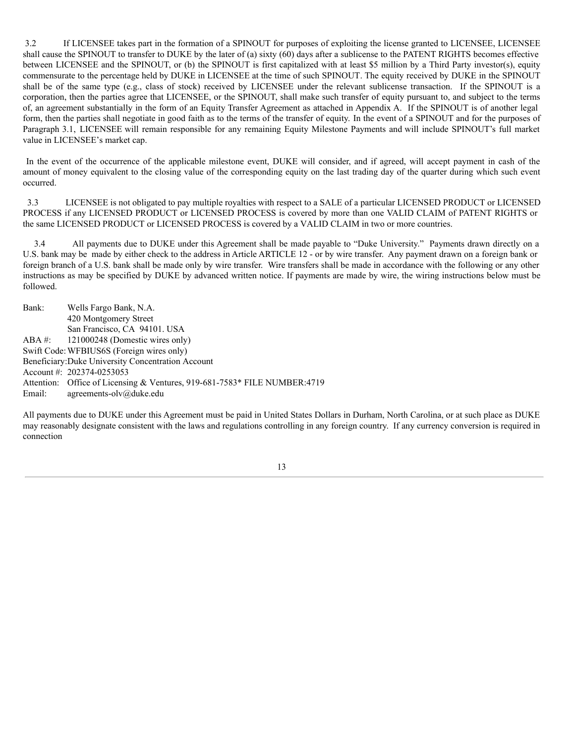3.2 If LICENSEE takes part in the formation of a SPINOUT for purposes of exploiting the license granted to LICENSEE, LICENSEE shall cause the SPINOUT to transfer to DUKE by the later of (a) sixty (60) days after a sublicense to the PATENT RIGHTS becomes effective between LICENSEE and the SPINOUT, or (b) the SPINOUT is first capitalized with at least \$5 million by a Third Party investor(s), equity commensurate to the percentage held by DUKE in LICENSEE at the time of such SPINOUT. The equity received by DUKE in the SPINOUT shall be of the same type (e.g., class of stock) received by LICENSEE under the relevant sublicense transaction. If the SPINOUT is a corporation, then the parties agree that LICENSEE, or the SPINOUT, shall make such transfer of equity pursuant to, and subject to the terms of, an agreement substantially in the form of an Equity Transfer Agreement as attached in Appendix A. If the SPINOUT is of another legal form, then the parties shall negotiate in good faith as to the terms of the transfer of equity. In the event of a SPINOUT and for the purposes of Paragraph 3.1, LICENSEE will remain responsible for any remaining Equity Milestone Payments and will include SPINOUT's full market value in LICENSEE's market cap.

In the event of the occurrence of the applicable milestone event, DUKE will consider, and if agreed, will accept payment in cash of the amount of money equivalent to the closing value of the corresponding equity on the last trading day of the quarter during which such event occurred.

3.3 LICENSEE is not obligated to pay multiple royalties with respect to a SALE of a particular LICENSED PRODUCT or LICENSED PROCESS if any LICENSED PRODUCT or LICENSED PROCESS is covered by more than one VALID CLAIM of PATENT RIGHTS or the same LICENSED PRODUCT or LICENSED PROCESS is covered by a VALID CLAIM in two or more countries.

3.4 All payments due to DUKE under this Agreement shall be made payable to "Duke University." Payments drawn directly on a U.S. bank may be made by either check to the address in Article ARTICLE 12 - or by wire transfer. Any payment drawn on a foreign bank or foreign branch of a U.S. bank shall be made only by wire transfer. Wire transfers shall be made in accordance with the following or any other instructions as may be specified by DUKE by advanced written notice. If payments are made by wire, the wiring instructions below must be followed.

| Bank:  | Wells Fargo Bank, N.A.                                                    |
|--------|---------------------------------------------------------------------------|
|        | 420 Montgomery Street                                                     |
|        | San Francisco, CA 94101. USA                                              |
| ABA #: | 121000248 (Domestic wires only)                                           |
|        | Swift Code: WFBIUS6S (Foreign wires only)                                 |
|        | Beneficiary: Duke University Concentration Account                        |
|        | Account #: 202374-0253053                                                 |
|        | Attention: Office of Licensing & Ventures, 919-681-7583* FILE NUMBER:4719 |
| Email: | agreements-olv@duke.edu                                                   |

All payments due to DUKE under this Agreement must be paid in United States Dollars in Durham, North Carolina, or at such place as DUKE may reasonably designate consistent with the laws and regulations controlling in any foreign country. If any currency conversion is required in connection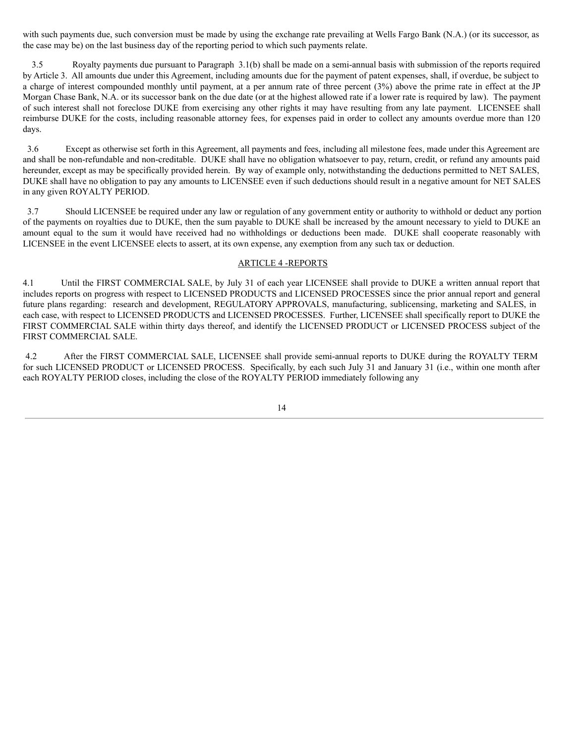with such payments due, such conversion must be made by using the exchange rate prevailing at Wells Fargo Bank (N.A.) (or its successor, as the case may be) on the last business day of the reporting period to which such payments relate.

3.5 Royalty payments due pursuant to Paragraph 3.1(b) shall be made on a semi-annual basis with submission of the reports required by Article 3. All amounts due under this Agreement, including amounts due for the payment of patent expenses, shall, if overdue, be subject to a charge of interest compounded monthly until payment, at a per annum rate of three percent (3%) above the prime rate in effect at the JP Morgan Chase Bank, N.A. or its successor bank on the due date (or at the highest allowed rate if a lower rate is required by law). The payment of such interest shall not foreclose DUKE from exercising any other rights it may have resulting from any late payment. LICENSEE shall reimburse DUKE for the costs, including reasonable attorney fees, for expenses paid in order to collect any amounts overdue more than 120 days.

3.6 Except as otherwise set forth in this Agreement, all payments and fees, including all milestone fees, made under this Agreement are and shall be non-refundable and non-creditable. DUKE shall have no obligation whatsoever to pay, return, credit, or refund any amounts paid hereunder, except as may be specifically provided herein. By way of example only, notwithstanding the deductions permitted to NET SALES, DUKE shall have no obligation to pay any amounts to LICENSEE even if such deductions should result in a negative amount for NET SALES in any given ROYALTY PERIOD.

3.7 Should LICENSEE be required under any law or regulation of any government entity or authority to withhold or deduct any portion of the payments on royalties due to DUKE, then the sum payable to DUKE shall be increased by the amount necessary to yield to DUKE an amount equal to the sum it would have received had no withholdings or deductions been made. DUKE shall cooperate reasonably with LICENSEE in the event LICENSEE elects to assert, at its own expense, any exemption from any such tax or deduction.

# ARTICLE 4 -REPORTS

4.1 Until the FIRST COMMERCIAL SALE, by July 31 of each year LICENSEE shall provide to DUKE a written annual report that includes reports on progress with respect to LICENSED PRODUCTS and LICENSED PROCESSES since the prior annual report and general future plans regarding: research and development, REGULATORY APPROVALS, manufacturing, sublicensing, marketing and SALES, in each case, with respect to LICENSED PRODUCTS and LICENSED PROCESSES. Further, LICENSEE shall specifically report to DUKE the FIRST COMMERCIAL SALE within thirty days thereof, and identify the LICENSED PRODUCT or LICENSED PROCESS subject of the FIRST COMMERCIAL SALE.

4.2 After the FIRST COMMERCIAL SALE, LICENSEE shall provide semi-annual reports to DUKE during the ROYALTY TERM for such LICENSED PRODUCT or LICENSED PROCESS. Specifically, by each such July 31 and January 31 (i.e., within one month after each ROYALTY PERIOD closes, including the close of the ROYALTY PERIOD immediately following any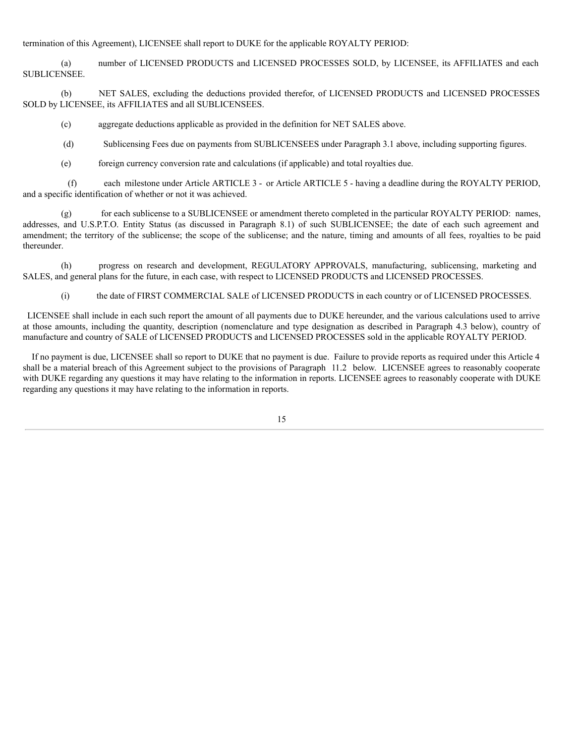termination of this Agreement), LICENSEE shall report to DUKE for the applicable ROYALTY PERIOD:

(a) number of LICENSED PRODUCTS and LICENSED PROCESSES SOLD, by LICENSEE, its AFFILIATES and each SUBLICENSEE.

(b) NET SALES, excluding the deductions provided therefor, of LICENSED PRODUCTS and LICENSED PROCESSES SOLD by LICENSEE, its AFFILIATES and all SUBLICENSEES.

(c) aggregate deductions applicable as provided in the definition for NET SALES above.

(d) Sublicensing Fees due on payments from SUBLICENSEES under Paragraph 3.1 above, including supporting figures.

(e) foreign currency conversion rate and calculations (if applicable) and total royalties due.

(f) each milestone under Article ARTICLE 3 - or Article ARTICLE 5 - having a deadline during the ROYALTY PERIOD, and a specific identification of whether or not it was achieved.

for each sublicense to a SUBLICENSEE or amendment thereto completed in the particular ROYALTY PERIOD: names, addresses, and U.S.P.T.O. Entity Status (as discussed in Paragraph 8.1) of such SUBLICENSEE; the date of each such agreement and amendment; the territory of the sublicense; the scope of the sublicense; and the nature, timing and amounts of all fees, royalties to be paid thereunder.

(h) progress on research and development, REGULATORY APPROVALS, manufacturing, sublicensing, marketing and SALES, and general plans for the future, in each case, with respect to LICENSED PRODUCTS and LICENSED PROCESSES.

(i) the date of FIRST COMMERCIAL SALE of LICENSED PRODUCTS in each country or of LICENSED PROCESSES.

LICENSEE shall include in each such report the amount of all payments due to DUKE hereunder, and the various calculations used to arrive at those amounts, including the quantity, description (nomenclature and type designation as described in Paragraph 4.3 below), country of manufacture and country of SALE of LICENSED PRODUCTS and LICENSED PROCESSES sold in the applicable ROYALTY PERIOD.

If no payment is due, LICENSEE shall so report to DUKE that no payment is due. Failure to provide reports as required under this Article 4 shall be a material breach of this Agreement subject to the provisions of Paragraph 11.2 below. LICENSEE agrees to reasonably cooperate with DUKE regarding any questions it may have relating to the information in reports. LICENSEE agrees to reasonably cooperate with DUKE regarding any questions it may have relating to the information in reports.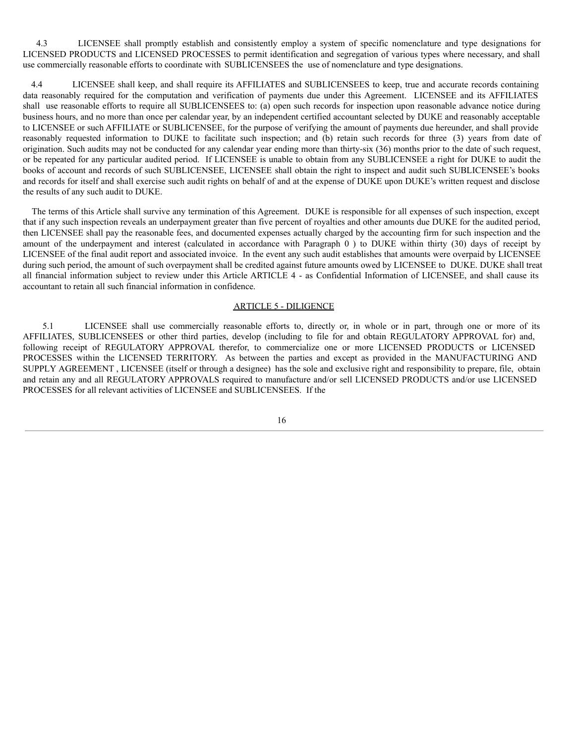4.3 LICENSEE shall promptly establish and consistently employ a system of specific nomenclature and type designations for LICENSED PRODUCTS and LICENSED PROCESSES to permit identification and segregation of various types where necessary, and shall use commercially reasonable efforts to coordinate with SUBLICENSEES the use of nomenclature and type designations.

4.4 LICENSEE shall keep, and shall require its AFFILIATES and SUBLICENSEES to keep, true and accurate records containing data reasonably required for the computation and verification of payments due under this Agreement. LICENSEE and its AFFILIATES shall use reasonable efforts to require all SUBLICENSEES to: (a) open such records for inspection upon reasonable advance notice during business hours, and no more than once per calendar year, by an independent certified accountant selected by DUKE and reasonably acceptable to LICENSEE or such AFFILIATE or SUBLICENSEE, for the purpose of verifying the amount of payments due hereunder, and shall provide reasonably requested information to DUKE to facilitate such inspection; and (b) retain such records for three (3) years from date of origination. Such audits may not be conducted for any calendar year ending more than thirty-six (36) months prior to the date of such request, or be repeated for any particular audited period. If LICENSEE is unable to obtain from any SUBLICENSEE a right for DUKE to audit the books of account and records of such SUBLICENSEE, LICENSEE shall obtain the right to inspect and audit such SUBLICENSEE's books and records for itself and shall exercise such audit rights on behalf of and at the expense of DUKE upon DUKE's written request and disclose the results of any such audit to DUKE.

The terms of this Article shall survive any termination of this Agreement. DUKE is responsible for all expenses of such inspection, except that if any such inspection reveals an underpayment greater than five percent of royalties and other amounts due DUKE for the audited period, then LICENSEE shall pay the reasonable fees, and documented expenses actually charged by the accounting firm for such inspection and the amount of the underpayment and interest (calculated in accordance with Paragraph 0 ) to DUKE within thirty (30) days of receipt by LICENSEE of the final audit report and associated invoice. In the event any such audit establishes that amounts were overpaid by LICENSEE during such period, the amount of such overpayment shall be credited against future amounts owed by LICENSEE to DUKE. DUKE shall treat all financial information subject to review under this Article ARTICLE 4 - as Confidential Information of LICENSEE, and shall cause its accountant to retain all such financial information in confidence.

#### ARTICLE 5 - DILIGENCE

5.1 LICENSEE shall use commercially reasonable efforts to, directly or, in whole or in part, through one or more of its AFFILIATES, SUBLICENSEES or other third parties, develop (including to file for and obtain REGULATORY APPROVAL for) and, following receipt of REGULATORY APPROVAL therefor, to commercialize one or more LICENSED PRODUCTS or LICENSED PROCESSES within the LICENSED TERRITORY. As between the parties and except as provided in the MANUFACTURING AND SUPPLY AGREEMENT , LICENSEE (itself or through a designee) has the sole and exclusive right and responsibility to prepare, file, obtain and retain any and all REGULATORY APPROVALS required to manufacture and/or sell LICENSED PRODUCTS and/or use LICENSED PROCESSES for all relevant activities of LICENSEE and SUBLICENSEES. If the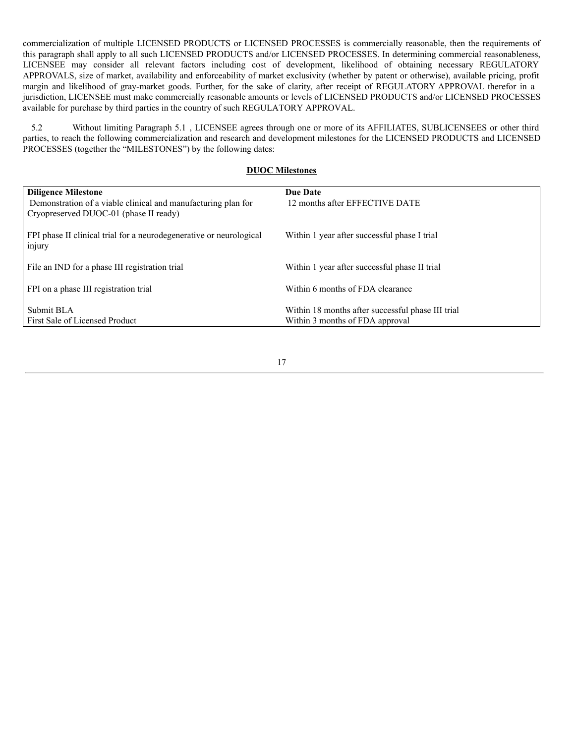commercialization of multiple LICENSED PRODUCTS or LICENSED PROCESSES is commercially reasonable, then the requirements of this paragraph shall apply to all such LICENSED PRODUCTS and/or LICENSED PROCESSES. In determining commercial reasonableness, LICENSEE may consider all relevant factors including cost of development, likelihood of obtaining necessary REGULATORY APPROVALS, size of market, availability and enforceability of market exclusivity (whether by patent or otherwise), available pricing, profit margin and likelihood of gray-market goods. Further, for the sake of clarity, after receipt of REGULATORY APPROVAL therefor in a jurisdiction, LICENSEE must make commercially reasonable amounts or levels of LICENSED PRODUCTS and/or LICENSED PROCESSES available for purchase by third parties in the country of such REGULATORY APPROVAL.

5.2 Without limiting Paragraph 5.1 , LICENSEE agrees through one or more of its AFFILIATES, SUBLICENSEES or other third parties, to reach the following commercialization and research and development milestones for the LICENSED PRODUCTS and LICENSED PROCESSES (together the "MILESTONES") by the following dates:

# **DUOC Milestones**

| <b>Diligence Milestone</b><br>Demonstration of a viable clinical and manufacturing plan for<br>Cryopreserved DUOC-01 (phase II ready) | Due Date<br>12 months after EFFECTIVE DATE                                           |
|---------------------------------------------------------------------------------------------------------------------------------------|--------------------------------------------------------------------------------------|
| FPI phase II clinical trial for a neurodegenerative or neurological<br>injury                                                         | Within 1 year after successful phase I trial                                         |
| File an IND for a phase III registration trial                                                                                        | Within 1 year after successful phase II trial                                        |
| FPI on a phase III registration trial                                                                                                 | Within 6 months of FDA clearance                                                     |
| Submit BLA<br>First Sale of Licensed Product                                                                                          | Within 18 months after successful phase III trial<br>Within 3 months of FDA approval |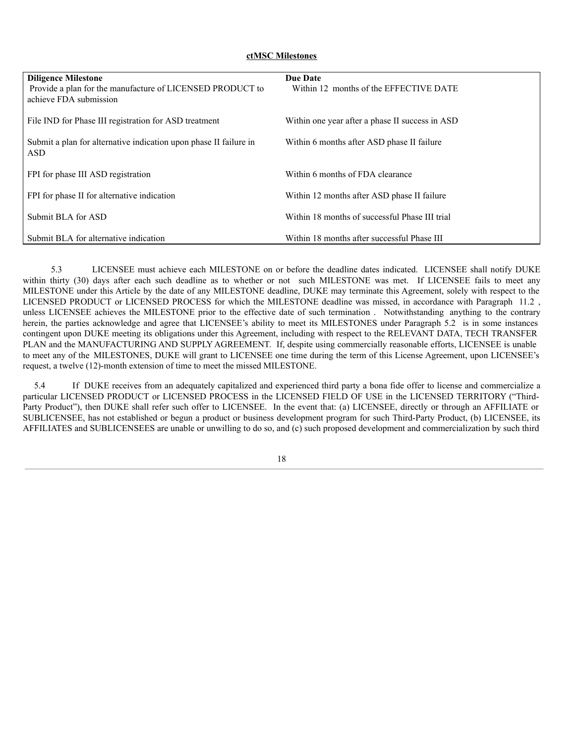### <span id="page-59-0"></span>**ctMSC Milestones**

| <b>Diligence Milestone</b><br>Provide a plan for the manufacture of LICENSED PRODUCT to<br>achieve FDA submission | Due Date<br>Within 12 months of the EFFECTIVE DATE |
|-------------------------------------------------------------------------------------------------------------------|----------------------------------------------------|
| File IND for Phase III registration for ASD treatment                                                             | Within one year after a phase II success in ASD    |
| Submit a plan for alternative indication upon phase II failure in<br>ASD                                          | Within 6 months after ASD phase II failure         |
| FPI for phase III ASD registration                                                                                | Within 6 months of FDA clearance                   |
| FPI for phase II for alternative indication                                                                       | Within 12 months after ASD phase II failure        |
| Submit BLA for ASD                                                                                                | Within 18 months of successful Phase III trial     |
| Submit BLA for alternative indication                                                                             | Within 18 months after successful Phase III        |

5.3 LICENSEE must achieve each MILESTONE on or before the deadline dates indicated. LICENSEE shall notify DUKE within thirty (30) days after each such deadline as to whether or not such MILESTONE was met. If LICENSEE fails to meet any MILESTONE under this Article by the date of any MILESTONE deadline, DUKE may terminate this Agreement, solely with respect to the LICENSED PRODUCT or LICENSED PROCESS for which the MILESTONE deadline was missed, in accordance with Paragraph 11.2 , unless LICENSEE achieves the MILESTONE prior to the effective date of such termination . Notwithstanding anything to the contrary herein, the parties acknowledge and agree that LICENSEE's ability to meet its MILESTONES under Paragraph 5.2 is in some instances contingent upon DUKE meeting its obligations under this Agreement, including with respect to the RELEVANT DATA, TECH TRANSFER PLAN and the MANUFACTURING AND SUPPLY AGREEMENT. If, despite using commercially reasonable efforts, LICENSEE is unable to meet any of the MILESTONES, DUKE will grant to LICENSEE one time during the term of this License Agreement, upon LICENSEE's request, a twelve (12)-month extension of time to meet the missed MILESTONE.

5.4 If DUKE receives from an adequately capitalized and experienced third party a bona fide offer to license and commercialize a particular LICENSED PRODUCT or LICENSED PROCESS in the LICENSED FIELD OF USE in the LICENSED TERRITORY ("Third-Party Product"), then DUKE shall refer such offer to LICENSEE. In the event that: (a) LICENSEE, directly or through an AFFILIATE or SUBLICENSEE, has not established or begun a product or business development program for such Third-Party Product, (b) LICENSEE, its AFFILIATES and SUBLICENSEES are unable or unwilling to do so, and (c) such proposed development and commercialization by such third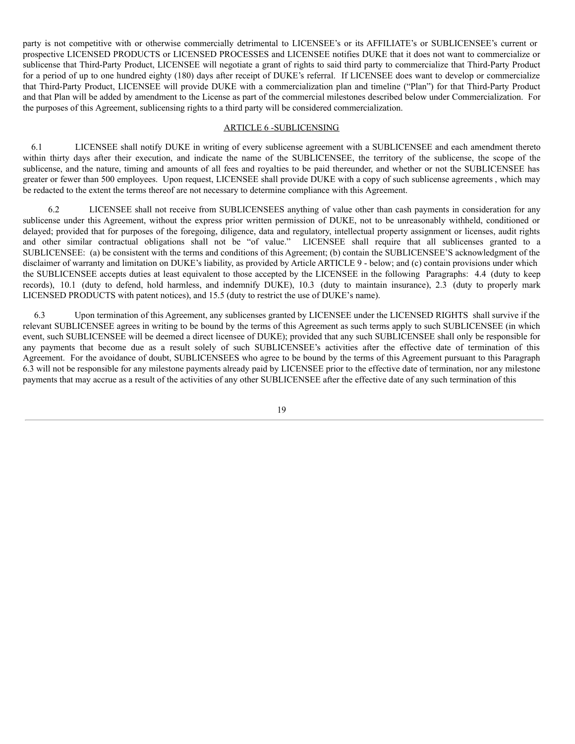party is not competitive with or otherwise commercially detrimental to LICENSEE's or its AFFILIATE's or SUBLICENSEE's current or prospective LICENSED PRODUCTS or LICENSED PROCESSES and LICENSEE notifies DUKE that it does not want to commercialize or sublicense that Third-Party Product, LICENSEE will negotiate a grant of rights to said third party to commercialize that Third-Party Product for a period of up to one hundred eighty (180) days after receipt of DUKE's referral. If LICENSEE does want to develop or commercialize that Third-Party Product, LICENSEE will provide DUKE with a commercialization plan and timeline ("Plan") for that Third-Party Product and that Plan will be added by amendment to the License as part of the commercial milestones described below under Commercialization. For the purposes of this Agreement, sublicensing rights to a third party will be considered commercialization.

### ARTICLE 6 -SUBLICENSING

6.1 LICENSEE shall notify DUKE in writing of every sublicense agreement with a SUBLICENSEE and each amendment thereto within thirty days after their execution, and indicate the name of the SUBLICENSEE, the territory of the sublicense, the scope of the sublicense, and the nature, timing and amounts of all fees and royalties to be paid thereunder, and whether or not the SUBLICENSEE has greater or fewer than 500 employees. Upon request, LICENSEE shall provide DUKE with a copy of such sublicense agreements , which may be redacted to the extent the terms thereof are not necessary to determine compliance with this Agreement.

6.2 LICENSEE shall not receive from SUBLICENSEES anything of value other than cash payments in consideration for any sublicense under this Agreement, without the express prior written permission of DUKE, not to be unreasonably withheld, conditioned or delayed; provided that for purposes of the foregoing, diligence, data and regulatory, intellectual property assignment or licenses, audit rights and other similar contractual obligations shall not be "of value." LICENSEE shall require that all sublicenses granted to a SUBLICENSEE: (a) be consistent with the terms and conditions of this Agreement; (b) contain the SUBLICENSEE'S acknowledgment of the disclaimer of warranty and limitation on DUKE's liability, as provided by Article ARTICLE 9 - below; and (c) contain provisions under which the SUBLICENSEE accepts duties at least equivalent to those accepted by the LICENSEE in the following Paragraphs: 4.4 (duty to keep records), 10.1 (duty to defend, hold harmless, and indemnify DUKE), 10.3 (duty to maintain insurance), 2.3 (duty to properly mark LICENSED PRODUCTS with patent notices), and 15.5 (duty to restrict the use of DUKE's name).

6.3 Upon termination of this Agreement, any sublicenses granted by LICENSEE under the LICENSED RIGHTS shall survive if the relevant SUBLICENSEE agrees in writing to be bound by the terms of this Agreement as such terms apply to such SUBLICENSEE (in which event, such SUBLICENSEE will be deemed a direct licensee of DUKE); provided that any such SUBLICENSEE shall only be responsible for any payments that become due as a result solely of such SUBLICENSEE's activities after the effective date of termination of this Agreement. For the avoidance of doubt, SUBLICENSEES who agree to be bound by the terms of this Agreement pursuant to this Paragraph 6.3 will not be responsible for any milestone payments already paid by LICENSEE prior to the effective date of termination, nor any milestone payments that may accrue as a result of the activities of any other SUBLICENSEE after the effective date of any such termination of this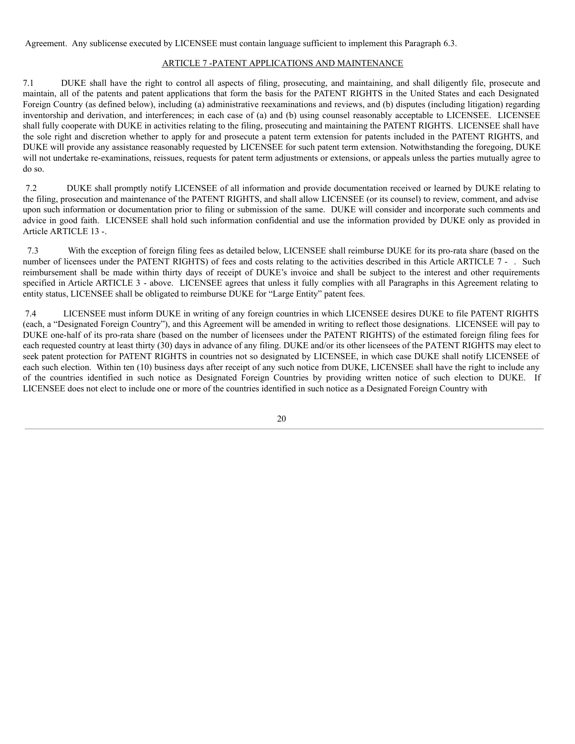Agreement. Any sublicense executed by LICENSEE must contain language sufficient to implement this Paragraph 6.3.

# ARTICLE 7 -PATENT APPLICATIONS AND MAINTENANCE

7.1 DUKE shall have the right to control all aspects of filing, prosecuting, and maintaining, and shall diligently file, prosecute and maintain, all of the patents and patent applications that form the basis for the PATENT RIGHTS in the United States and each Designated Foreign Country (as defined below), including (a) administrative reexaminations and reviews, and (b) disputes (including litigation) regarding inventorship and derivation, and interferences; in each case of (a) and (b) using counsel reasonably acceptable to LICENSEE. LICENSEE shall fully cooperate with DUKE in activities relating to the filing, prosecuting and maintaining the PATENT RIGHTS. LICENSEE shall have the sole right and discretion whether to apply for and prosecute a patent term extension for patents included in the PATENT RIGHTS, and DUKE will provide any assistance reasonably requested by LICENSEE for such patent term extension. Notwithstanding the foregoing, DUKE will not undertake re-examinations, reissues, requests for patent term adjustments or extensions, or appeals unless the parties mutually agree to do so.

7.2 DUKE shall promptly notify LICENSEE of all information and provide documentation received or learned by DUKE relating to the filing, prosecution and maintenance of the PATENT RIGHTS, and shall allow LICENSEE (or its counsel) to review, comment, and advise upon such information or documentation prior to filing or submission of the same. DUKE will consider and incorporate such comments and advice in good faith. LICENSEE shall hold such information confidential and use the information provided by DUKE only as provided in Article ARTICLE 13 -.

7.3 With the exception of foreign filing fees as detailed below, LICENSEE shall reimburse DUKE for its pro-rata share (based on the number of licensees under the PATENT RIGHTS) of fees and costs relating to the activities described in this Article ARTICLE 7 - . Such reimbursement shall be made within thirty days of receipt of DUKE's invoice and shall be subject to the interest and other requirements specified in Article ARTICLE 3 - above. LICENSEE agrees that unless it fully complies with all Paragraphs in this Agreement relating to entity status, LICENSEE shall be obligated to reimburse DUKE for "Large Entity" patent fees.

7.4 LICENSEE must inform DUKE in writing of any foreign countries in which LICENSEE desires DUKE to file PATENT RIGHTS (each, a "Designated Foreign Country"), and this Agreement will be amended in writing to reflect those designations. LICENSEE will pay to DUKE one-half of its pro-rata share (based on the number of licensees under the PATENT RIGHTS) of the estimated foreign filing fees for each requested country at least thirty (30) days in advance of any filing. DUKE and/or its other licensees of the PATENT RIGHTS may elect to seek patent protection for PATENT RIGHTS in countries not so designated by LICENSEE, in which case DUKE shall notify LICENSEE of each such election. Within ten (10) business days after receipt of any such notice from DUKE, LICENSEE shall have the right to include any of the countries identified in such notice as Designated Foreign Countries by providing written notice of such election to DUKE. If LICENSEE does not elect to include one or more of the countries identified in such notice as a Designated Foreign Country with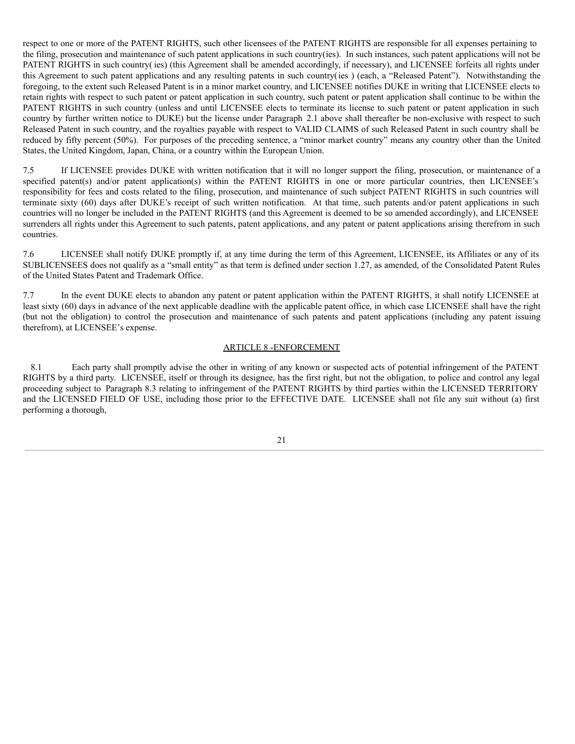respect to one or more of the PATENT RIGHTS, such other licensees of the PATENT RIGHTS are responsible for all expenses pertaining to the filing, prosecution and maintenance of such patent applications in such country(ies). In such instances, such patent applications will not be PATENT RIGHTS in such country( ies) (this Agreement shall be amended accordingly, if necessary), and LICENSEE forfeits all rights under this Agreement to such patent applications and any resulting patents in such country(ies ) (each, a "Released Patent"). Notwithstanding the foregoing, to the extent such Released Patent is in a minor market country, and LICENSEE notifies DUKE in writing that LICENSEE elects to retain rights with respect to such patent or patent application in such country, such patent or patent application shall continue to be within the PATENT RIGHTS in such country (unless and until LICENSEE elects to terminate its license to such patent or patent application in such country by further written notice to DUKE) but the license under Paragraph 2.1 above shall thereafter be non-exclusive with respect to such Released Patent in such country, and the royalties payable with respect to VALID CLAIMS of such Released Patent in such country shall be reduced by fifty percent (50%). For purposes of the preceding sentence, a "minor market country" means any country other than the United States, the United Kingdom, Japan, China, or a country within the European Union.

7.5 If LICENSEE provides DUKE with written notification that it will no longer support the filing, prosecution, or maintenance of a specified patent(s) and/or patent application(s) within the PATENT RIGHTS in one or more particular countries, then LICENSEE's responsibility for fees and costs related to the filing, prosecution, and maintenance of such subject PATENT RIGHTS in such countries will terminate sixty (60) days after DUKE's receipt of such written notification. At that time, such patents and/or patent applications in such countries will no longer be included in the PATENT RIGHTS (and this Agreement is deemed to be so amended accordingly), and LICENSEE surrenders all rights under this Agreement to such patents, patent applications, and any patent or patent applications arising therefrom in such countries.

7.6 LICENSEE shall notify DUKE promptly if, at any time during the term of this Agreement, LICENSEE, its Affiliates or any of its SUBLICENSEES does not qualify as a "small entity" as that term is defined under section 1.27, as amended, of the Consolidated Patent Rules of the United States Patent and Trademark Office.

7.7 In the event DUKE elects to abandon any patent or patent application within the PATENT RIGHTS, it shall notify LICENSEE at least sixty (60) days in advance of the next applicable deadline with the applicable patent office, in which case LICENSEE shall have the right (but not the obligation) to control the prosecution and maintenance of such patents and patent applications (including any patent issuing therefrom), at LICENSEE's expense.

### ARTICLE 8 -ENFORCEMENT

8.1 Each party shall promptly advise the other in writing of any known or suspected acts of potential infringement of the PATENT RIGHTS by a third party. LICENSEE, itself or through its designee, has the first right, but not the obligation, to police and control any legal proceeding subject to Paragraph 8.3 relating to infringement of the PATENT RIGHTS by third parties within the LICENSED TERRITORY and the LICENSED FIELD OF USE, including those prior to the EFFECTIVE DATE. LICENSEE shall not file any suit without (a) first performing a thorough,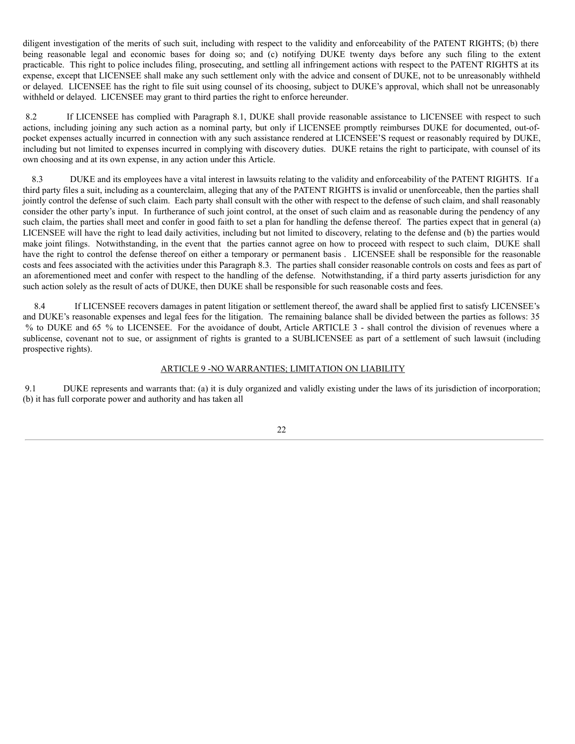diligent investigation of the merits of such suit, including with respect to the validity and enforceability of the PATENT RIGHTS; (b) there being reasonable legal and economic bases for doing so; and (c) notifying DUKE twenty days before any such filing to the extent practicable. This right to police includes filing, prosecuting, and settling all infringement actions with respect to the PATENT RIGHTS at its expense, except that LICENSEE shall make any such settlement only with the advice and consent of DUKE, not to be unreasonably withheld or delayed. LICENSEE has the right to file suit using counsel of its choosing, subject to DUKE's approval, which shall not be unreasonably withheld or delayed. LICENSEE may grant to third parties the right to enforce hereunder.

8.2 If LICENSEE has complied with Paragraph 8.1, DUKE shall provide reasonable assistance to LICENSEE with respect to such actions, including joining any such action as a nominal party, but only if LICENSEE promptly reimburses DUKE for documented, out-ofpocket expenses actually incurred in connection with any such assistance rendered at LICENSEE'S request or reasonably required by DUKE, including but not limited to expenses incurred in complying with discovery duties. DUKE retains the right to participate, with counsel of its own choosing and at its own expense, in any action under this Article.

8.3 DUKE and its employees have a vital interest in lawsuits relating to the validity and enforceability of the PATENT RIGHTS. If a third party files a suit, including as a counterclaim, alleging that any of the PATENT RIGHTS is invalid or unenforceable, then the parties shall jointly control the defense of such claim. Each party shall consult with the other with respect to the defense of such claim, and shall reasonably consider the other party's input. In furtherance of such joint control, at the onset of such claim and as reasonable during the pendency of any such claim, the parties shall meet and confer in good faith to set a plan for handling the defense thereof. The parties expect that in general (a) LICENSEE will have the right to lead daily activities, including but not limited to discovery, relating to the defense and (b) the parties would make joint filings. Notwithstanding, in the event that the parties cannot agree on how to proceed with respect to such claim, DUKE shall have the right to control the defense thereof on either a temporary or permanent basis . LICENSEE shall be responsible for the reasonable costs and fees associated with the activities under this Paragraph 8.3. The parties shall consider reasonable controls on costs and fees as part of an aforementioned meet and confer with respect to the handling of the defense. Notwithstanding, if a third party asserts jurisdiction for any such action solely as the result of acts of DUKE, then DUKE shall be responsible for such reasonable costs and fees.

8.4 If LICENSEE recovers damages in patent litigation or settlement thereof, the award shall be applied first to satisfy LICENSEE's and DUKE's reasonable expenses and legal fees for the litigation. The remaining balance shall be divided between the parties as follows: 35 % to DUKE and 65 % to LICENSEE. For the avoidance of doubt, Article ARTICLE 3 - shall control the division of revenues where a sublicense, covenant not to sue, or assignment of rights is granted to a SUBLICENSEE as part of a settlement of such lawsuit (including prospective rights).

# ARTICLE 9 -NO WARRANTIES; LIMITATION ON LIABILITY

9.1 DUKE represents and warrants that: (a) it is duly organized and validly existing under the laws of its jurisdiction of incorporation; (b) it has full corporate power and authority and has taken all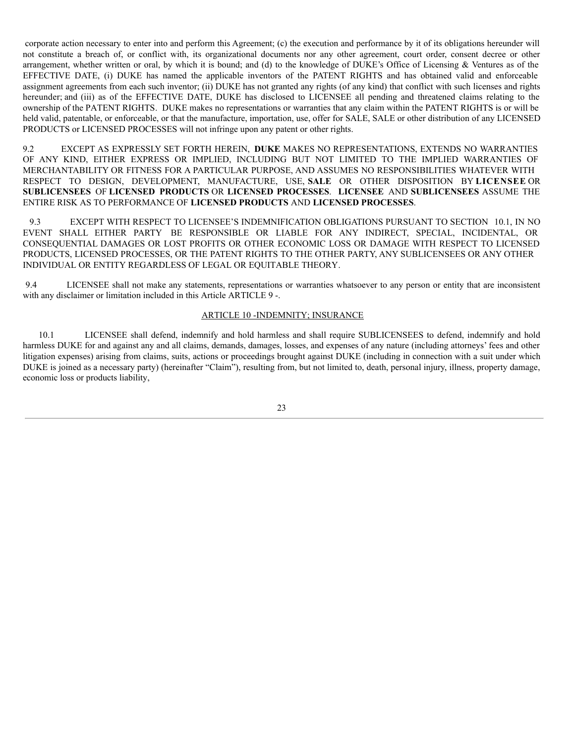corporate action necessary to enter into and perform this Agreement; (c) the execution and performance by it of its obligations hereunder will not constitute a breach of, or conflict with, its organizational documents nor any other agreement, court order, consent decree or other arrangement, whether written or oral, by which it is bound; and (d) to the knowledge of DUKE's Office of Licensing & Ventures as of the EFFECTIVE DATE, (i) DUKE has named the applicable inventors of the PATENT RIGHTS and has obtained valid and enforceable assignment agreements from each such inventor; (ii) DUKE has not granted any rights (of any kind) that conflict with such licenses and rights hereunder; and (iii) as of the EFFECTIVE DATE, DUKE has disclosed to LICENSEE all pending and threatened claims relating to the ownership of the PATENT RIGHTS. DUKE makes no representations or warranties that any claim within the PATENT RIGHTS is or will be held valid, patentable, or enforceable, or that the manufacture, importation, use, offer for SALE, SALE or other distribution of any LICENSED PRODUCTS or LICENSED PROCESSES will not infringe upon any patent or other rights.

9.2 EXCEPT AS EXPRESSLY SET FORTH HEREIN, **DUKE** MAKES NO REPRESENTATIONS, EXTENDS NO WARRANTIES OF ANY KIND, EITHER EXPRESS OR IMPLIED, INCLUDING BUT NOT LIMITED TO THE IMPLIED WARRANTIES OF MERCHANTABILITY OR FITNESS FOR A PARTICULAR PURPOSE, AND ASSUMES NO RESPONSIBILITIES WHATEVER WITH RESPECT TO DESIGN, DEVELOPMENT, MANUFACTURE, USE, **SALE** OR OTHER DISPOSITION BY **LICENSEE** OR **SUBLICENSEES** OF **LICENSED PRODUCTS** OR **LICENSED PROCESSES**. **LICENSEE** AND **SUBLICENSEES** ASSUME THE ENTIRE RISK AS TO PERFORMANCE OF **LICENSED PRODUCTS** AND **LICENSED PROCESSES**.

9.3 EXCEPT WITH RESPECT TO LICENSEE'S INDEMNIFICATION OBLIGATIONS PURSUANT TO SECTION 10.1, IN NO EVENT SHALL EITHER PARTY BE RESPONSIBLE OR LIABLE FOR ANY INDIRECT, SPECIAL, INCIDENTAL, OR CONSEQUENTIAL DAMAGES OR LOST PROFITS OR OTHER ECONOMIC LOSS OR DAMAGE WITH RESPECT TO LICENSED PRODUCTS, LICENSED PROCESSES, OR THE PATENT RIGHTS TO THE OTHER PARTY, ANY SUBLICENSEES OR ANY OTHER INDIVIDUAL OR ENTITY REGARDLESS OF LEGAL OR EQUITABLE THEORY.

9.4 LICENSEE shall not make any statements, representations or warranties whatsoever to any person or entity that are inconsistent with any disclaimer or limitation included in this Article ARTICLE 9 -.

### ARTICLE 10 -INDEMNITY; INSURANCE

10.1 LICENSEE shall defend, indemnify and hold harmless and shall require SUBLICENSEES to defend, indemnify and hold harmless DUKE for and against any and all claims, demands, damages, losses, and expenses of any nature (including attorneys' fees and other litigation expenses) arising from claims, suits, actions or proceedings brought against DUKE (including in connection with a suit under which DUKE is joined as a necessary party) (hereinafter "Claim"), resulting from, but not limited to, death, personal injury, illness, property damage, economic loss or products liability,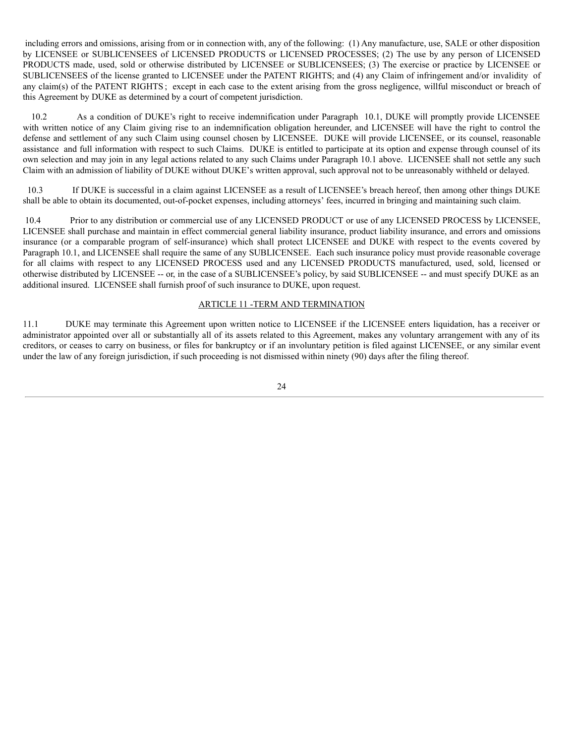including errors and omissions, arising from or in connection with, any of the following: (1) Any manufacture, use, SALE or other disposition by LICENSEE or SUBLICENSEES of LICENSED PRODUCTS or LICENSED PROCESSES; (2) The use by any person of LICENSED PRODUCTS made, used, sold or otherwise distributed by LICENSEE or SUBLICENSEES; (3) The exercise or practice by LICENSEE or SUBLICENSEES of the license granted to LICENSEE under the PATENT RIGHTS; and (4) any Claim of infringement and/or invalidity of any claim(s) of the PATENT RIGHTS ; except in each case to the extent arising from the gross negligence, willful misconduct or breach of this Agreement by DUKE as determined by a court of competent jurisdiction.

10.2 As a condition of DUKE's right to receive indemnification under Paragraph 10.1, DUKE will promptly provide LICENSEE with written notice of any Claim giving rise to an indemnification obligation hereunder, and LICENSEE will have the right to control the defense and settlement of any such Claim using counsel chosen by LICENSEE. DUKE will provide LICENSEE, or its counsel, reasonable assistance and full information with respect to such Claims. DUKE is entitled to participate at its option and expense through counsel of its own selection and may join in any legal actions related to any such Claims under Paragraph 10.1 above. LICENSEE shall not settle any such Claim with an admission of liability of DUKE without DUKE's written approval, such approval not to be unreasonably withheld or delayed.

10.3 If DUKE is successful in a claim against LICENSEE as a result of LICENSEE's breach hereof, then among other things DUKE shall be able to obtain its documented, out-of-pocket expenses, including attorneys' fees, incurred in bringing and maintaining such claim.

10.4 Prior to any distribution or commercial use of any LICENSED PRODUCT or use of any LICENSED PROCESS by LICENSEE, LICENSEE shall purchase and maintain in effect commercial general liability insurance, product liability insurance, and errors and omissions insurance (or a comparable program of self-insurance) which shall protect LICENSEE and DUKE with respect to the events covered by Paragraph 10.1, and LICENSEE shall require the same of any SUBLICENSEE. Each such insurance policy must provide reasonable coverage for all claims with respect to any LICENSED PROCESS used and any LICENSED PRODUCTS manufactured, used, sold, licensed or otherwise distributed by LICENSEE -- or, in the case of a SUBLICENSEE's policy, by said SUBLICENSEE -- and must specify DUKE as an additional insured. LICENSEE shall furnish proof of such insurance to DUKE, upon request.

# ARTICLE 11 -TERM AND TERMINATION

11.1 DUKE may terminate this Agreement upon written notice to LICENSEE if the LICENSEE enters liquidation, has a receiver or administrator appointed over all or substantially all of its assets related to this Agreement, makes any voluntary arrangement with any of its creditors, or ceases to carry on business, or files for bankruptcy or if an involuntary petition is filed against LICENSEE, or any similar event under the law of any foreign jurisdiction, if such proceeding is not dismissed within ninety (90) days after the filing thereof.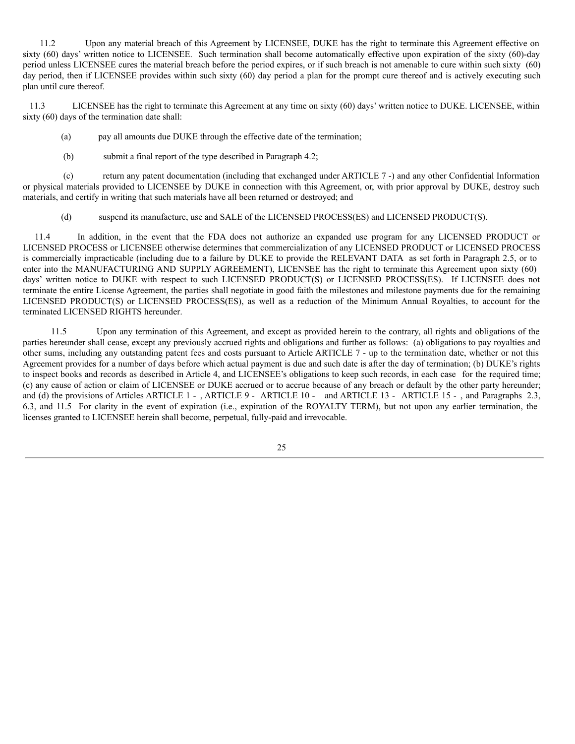11.2 Upon any material breach of this Agreement by LICENSEE, DUKE has the right to terminate this Agreement effective on sixty (60) days' written notice to LICENSEE. Such termination shall become automatically effective upon expiration of the sixty (60)-day period unless LICENSEE cures the material breach before the period expires, or if such breach is not amenable to cure within such sixty (60) day period, then if LICENSEE provides within such sixty (60) day period a plan for the prompt cure thereof and is actively executing such plan until cure thereof.

11.3 LICENSEE has the right to terminate this Agreement at any time on sixty (60) days' written notice to DUKE. LICENSEE, within sixty (60) days of the termination date shall:

(a) pay all amounts due DUKE through the effective date of the termination;

(b) submit a final report of the type described in Paragraph 4.2;

(c) return any patent documentation (including that exchanged under ARTICLE 7 -) and any other Confidential Information or physical materials provided to LICENSEE by DUKE in connection with this Agreement, or, with prior approval by DUKE, destroy such materials, and certify in writing that such materials have all been returned or destroyed; and

(d) suspend its manufacture, use and SALE of the LICENSED PROCESS(ES) and LICENSED PRODUCT(S).

11.4 In addition, in the event that the FDA does not authorize an expanded use program for any LICENSED PRODUCT or LICENSED PROCESS or LICENSEE otherwise determines that commercialization of any LICENSED PRODUCT or LICENSED PROCESS is commercially impracticable (including due to a failure by DUKE to provide the RELEVANT DATA as set forth in Paragraph 2.5, or to enter into the MANUFACTURING AND SUPPLY AGREEMENT), LICENSEE has the right to terminate this Agreement upon sixty (60) days' written notice to DUKE with respect to such LICENSED PRODUCT(S) or LICENSED PROCESS(ES). If LICENSEE does not terminate the entire License Agreement, the parties shall negotiate in good faith the milestones and milestone payments due for the remaining LICENSED PRODUCT(S) or LICENSED PROCESS(ES), as well as a reduction of the Minimum Annual Royalties, to account for the terminated LICENSED RIGHTS hereunder.

11.5 Upon any termination of this Agreement, and except as provided herein to the contrary, all rights and obligations of the parties hereunder shall cease, except any previously accrued rights and obligations and further as follows: (a) obligations to pay royalties and other sums, including any outstanding patent fees and costs pursuant to Article ARTICLE 7 - up to the termination date, whether or not this Agreement provides for a number of days before which actual payment is due and such date is after the day of termination; (b) DUKE's rights to inspect books and records as described in Article 4, and LICENSEE's obligations to keep such records, in each case for the required time; (c) any cause of action or claim of LICENSEE or DUKE accrued or to accrue because of any breach or default by the other party hereunder; and (d) the provisions of Articles ARTICLE 1 - , ARTICLE 9 - ARTICLE 10 - and ARTICLE 13 - ARTICLE 15 - , and Paragraphs 2.3, 6.3, and 11.5 For clarity in the event of expiration (i.e., expiration of the ROYALTY TERM), but not upon any earlier termination, the licenses granted to LICENSEE herein shall become, perpetual, fully-paid and irrevocable.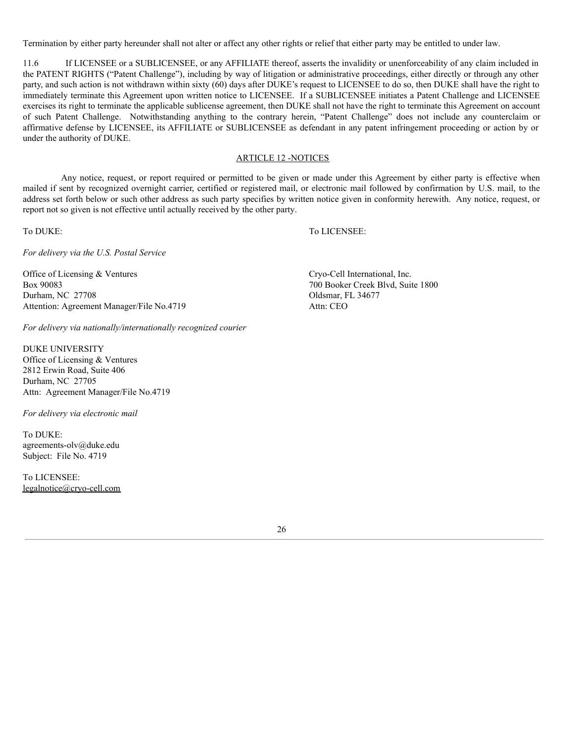Termination by either party hereunder shall not alter or affect any other rights or relief that either party may be entitled to under law.

11.6 If LICENSEE or a SUBLICENSEE, or any AFFILIATE thereof, asserts the invalidity or unenforceability of any claim included in the PATENT RIGHTS ("Patent Challenge"), including by way of litigation or administrative proceedings, either directly or through any other party, and such action is not withdrawn within sixty (60) days after DUKE's request to LICENSEE to do so, then DUKE shall have the right to immediately terminate this Agreement upon written notice to LICENSEE. If a SUBLICENSEE initiates a Patent Challenge and LICENSEE exercises its right to terminate the applicable sublicense agreement, then DUKE shall not have the right to terminate this Agreement on account of such Patent Challenge. Notwithstanding anything to the contrary herein, "Patent Challenge" does not include any counterclaim or affirmative defense by LICENSEE, its AFFILIATE or SUBLICENSEE as defendant in any patent infringement proceeding or action by or under the authority of DUKE.

# ARTICLE 12 -NOTICES

Any notice, request, or report required or permitted to be given or made under this Agreement by either party is effective when mailed if sent by recognized overnight carrier, certified or registered mail, or electronic mail followed by confirmation by U.S. mail, to the address set forth below or such other address as such party specifies by written notice given in conformity herewith. Any notice, request, or report not so given is not effective until actually received by the other party.

To DUKE: To LICENSEE:

*For delivery via the U.S. Postal Service*

Office of Licensing & Ventures Cryo-Cell International, Inc. Box 90083 700 Booker Creek Blvd, Suite 1800 Durham, NC 27708 Oldsmar, FL 34677 Attention: Agreement Manager/File No.4719 Attn: CEO

*For delivery via nationally/internationally recognized courier*

DUKE UNIVERSITY Office of Licensing & Ventures 2812 Erwin Road, Suite 406 Durham, NC 27705 Attn: Agreement Manager/File No.4719

*For delivery via electronic mail*

To DUKE: agreements-olv@duke.edu Subject: File No. 4719

To LICENSEE: legalnotice@cryo-cell.com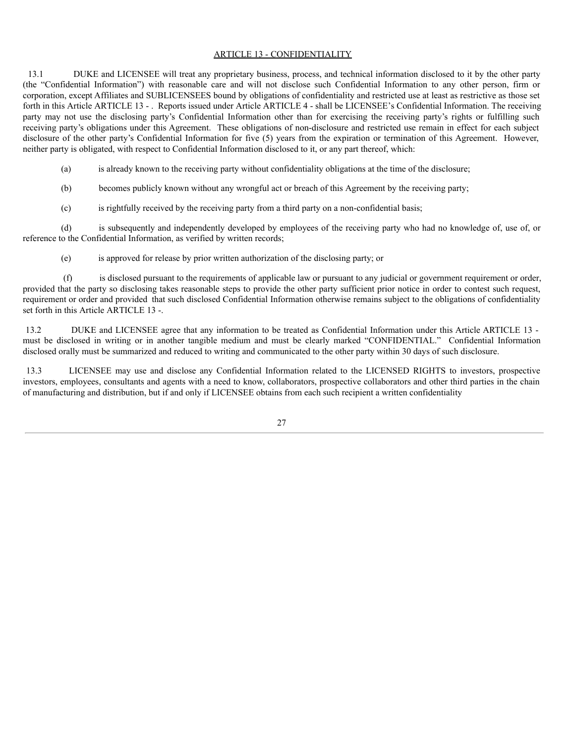# ARTICLE 13 - CONFIDENTIALITY

13.1 DUKE and LICENSEE will treat any proprietary business, process, and technical information disclosed to it by the other party (the "Confidential Information") with reasonable care and will not disclose such Confidential Information to any other person, firm or corporation, except Affiliates and SUBLICENSEES bound by obligations of confidentiality and restricted use at least as restrictive as those set forth in this Article ARTICLE 13 - . Reports issued under Article ARTICLE 4 - shall be LICENSEE's Confidential Information. The receiving party may not use the disclosing party's Confidential Information other than for exercising the receiving party's rights or fulfilling such receiving party's obligations under this Agreement. These obligations of non-disclosure and restricted use remain in effect for each subject disclosure of the other party's Confidential Information for five (5) years from the expiration or termination of this Agreement. However, neither party is obligated, with respect to Confidential Information disclosed to it, or any part thereof, which:

(a) is already known to the receiving party without confidentiality obligations at the time of the disclosure;

(b) becomes publicly known without any wrongful act or breach of this Agreement by the receiving party;

(c) is rightfully received by the receiving party from a third party on a non-confidential basis;

(d) is subsequently and independently developed by employees of the receiving party who had no knowledge of, use of, or reference to the Confidential Information, as verified by written records;

(e) is approved for release by prior written authorization of the disclosing party; or

(f) is disclosed pursuant to the requirements of applicable law or pursuant to any judicial or government requirement or order, provided that the party so disclosing takes reasonable steps to provide the other party sufficient prior notice in order to contest such request, requirement or order and provided that such disclosed Confidential Information otherwise remains subject to the obligations of confidentiality set forth in this Article ARTICLE 13 -.

13.2 DUKE and LICENSEE agree that any information to be treated as Confidential Information under this Article ARTICLE 13 must be disclosed in writing or in another tangible medium and must be clearly marked "CONFIDENTIAL." Confidential Information disclosed orally must be summarized and reduced to writing and communicated to the other party within 30 days of such disclosure.

13.3 LICENSEE may use and disclose any Confidential Information related to the LICENSED RIGHTS to investors, prospective investors, employees, consultants and agents with a need to know, collaborators, prospective collaborators and other third parties in the chain of manufacturing and distribution, but if and only if LICENSEE obtains from each such recipient a written confidentiality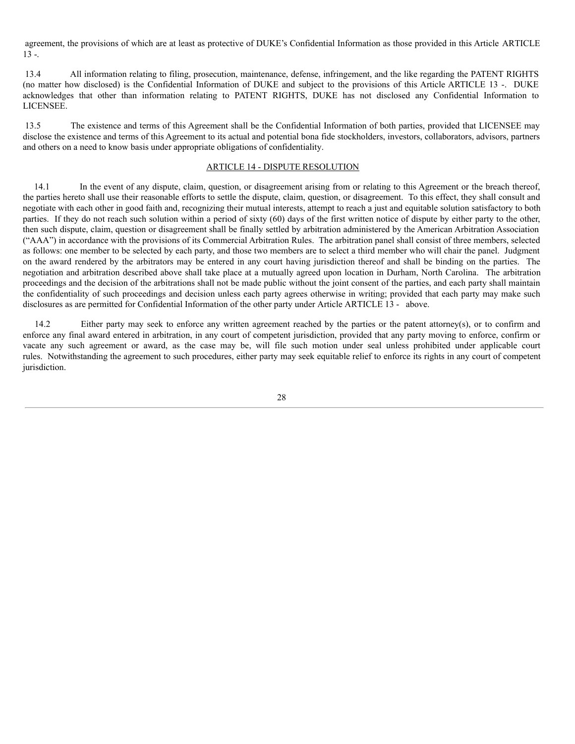agreement, the provisions of which are at least as protective of DUKE's Confidential Information as those provided in this Article ARTICLE  $13 -$ 

13.4 All information relating to filing, prosecution, maintenance, defense, infringement, and the like regarding the PATENT RIGHTS (no matter how disclosed) is the Confidential Information of DUKE and subject to the provisions of this Article ARTICLE 13 -. DUKE acknowledges that other than information relating to PATENT RIGHTS, DUKE has not disclosed any Confidential Information to LICENSEE.

13.5 The existence and terms of this Agreement shall be the Confidential Information of both parties, provided that LICENSEE may disclose the existence and terms of this Agreement to its actual and potential bona fide stockholders, investors, collaborators, advisors, partners and others on a need to know basis under appropriate obligations of confidentiality.

# ARTICLE 14 - DISPUTE RESOLUTION

14.1 In the event of any dispute, claim, question, or disagreement arising from or relating to this Agreement or the breach thereof, the parties hereto shall use their reasonable efforts to settle the dispute, claim, question, or disagreement. To this effect, they shall consult and negotiate with each other in good faith and, recognizing their mutual interests, attempt to reach a just and equitable solution satisfactory to both parties. If they do not reach such solution within a period of sixty (60) days of the first written notice of dispute by either party to the other, then such dispute, claim, question or disagreement shall be finally settled by arbitration administered by the American Arbitration Association ("AAA") in accordance with the provisions of its Commercial Arbitration Rules. The arbitration panel shall consist of three members, selected as follows: one member to be selected by each party, and those two members are to select a third member who will chair the panel. Judgment on the award rendered by the arbitrators may be entered in any court having jurisdiction thereof and shall be binding on the parties. The negotiation and arbitration described above shall take place at a mutually agreed upon location in Durham, North Carolina. The arbitration proceedings and the decision of the arbitrations shall not be made public without the joint consent of the parties, and each party shall maintain the confidentiality of such proceedings and decision unless each party agrees otherwise in writing; provided that each party may make such disclosures as are permitted for Confidential Information of the other party under Article ARTICLE 13 - above.

14.2 Either party may seek to enforce any written agreement reached by the parties or the patent attorney(s), or to confirm and enforce any final award entered in arbitration, in any court of competent jurisdiction, provided that any party moving to enforce, confirm or vacate any such agreement or award, as the case may be, will file such motion under seal unless prohibited under applicable court rules. Notwithstanding the agreement to such procedures, either party may seek equitable relief to enforce its rights in any court of competent jurisdiction.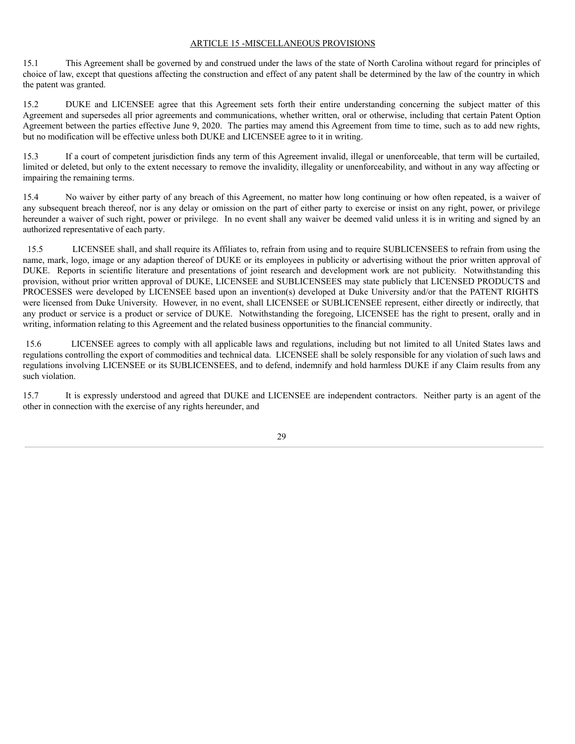# ARTICLE 15 -MISCELLANEOUS PROVISIONS

15.1 This Agreement shall be governed by and construed under the laws of the state of North Carolina without regard for principles of choice of law, except that questions affecting the construction and effect of any patent shall be determined by the law of the country in which the patent was granted.

15.2 DUKE and LICENSEE agree that this Agreement sets forth their entire understanding concerning the subject matter of this Agreement and supersedes all prior agreements and communications, whether written, oral or otherwise, including that certain Patent Option Agreement between the parties effective June 9, 2020. The parties may amend this Agreement from time to time, such as to add new rights, but no modification will be effective unless both DUKE and LICENSEE agree to it in writing.

15.3 If a court of competent jurisdiction finds any term of this Agreement invalid, illegal or unenforceable, that term will be curtailed, limited or deleted, but only to the extent necessary to remove the invalidity, illegality or unenforceability, and without in any way affecting or impairing the remaining terms.

15.4 No waiver by either party of any breach of this Agreement, no matter how long continuing or how often repeated, is a waiver of any subsequent breach thereof, nor is any delay or omission on the part of either party to exercise or insist on any right, power, or privilege hereunder a waiver of such right, power or privilege. In no event shall any waiver be deemed valid unless it is in writing and signed by an authorized representative of each party.

15.5 LICENSEE shall, and shall require its Affiliates to, refrain from using and to require SUBLICENSEES to refrain from using the name, mark, logo, image or any adaption thereof of DUKE or its employees in publicity or advertising without the prior written approval of DUKE. Reports in scientific literature and presentations of joint research and development work are not publicity. Notwithstanding this provision, without prior written approval of DUKE, LICENSEE and SUBLICENSEES may state publicly that LICENSED PRODUCTS and PROCESSES were developed by LICENSEE based upon an invention(s) developed at Duke University and/or that the PATENT RIGHTS were licensed from Duke University. However, in no event, shall LICENSEE or SUBLICENSEE represent, either directly or indirectly, that any product or service is a product or service of DUKE. Notwithstanding the foregoing, LICENSEE has the right to present, orally and in writing, information relating to this Agreement and the related business opportunities to the financial community.

15.6 LICENSEE agrees to comply with all applicable laws and regulations, including but not limited to all United States laws and regulations controlling the export of commodities and technical data. LICENSEE shall be solely responsible for any violation of such laws and regulations involving LICENSEE or its SUBLICENSEES, and to defend, indemnify and hold harmless DUKE if any Claim results from any such violation.

15.7 It is expressly understood and agreed that DUKE and LICENSEE are independent contractors. Neither party is an agent of the other in connection with the exercise of any rights hereunder, and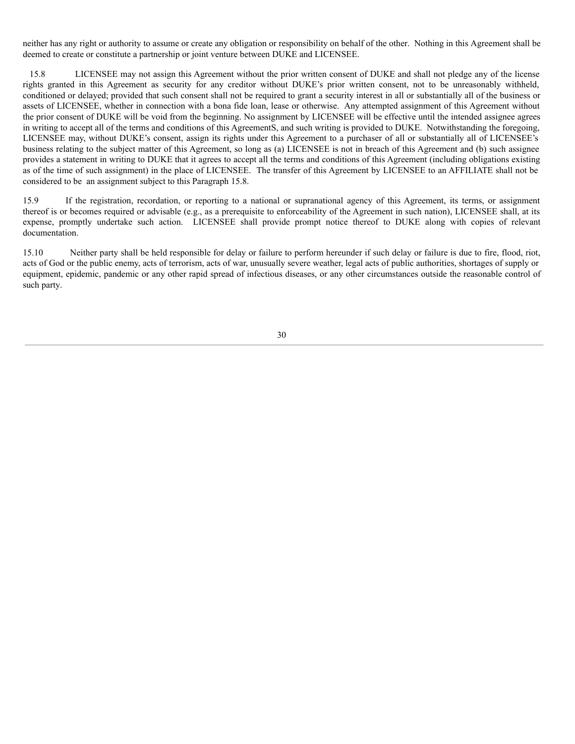neither has any right or authority to assume or create any obligation or responsibility on behalf of the other. Nothing in this Agreement shall be deemed to create or constitute a partnership or joint venture between DUKE and LICENSEE.

15.8 LICENSEE may not assign this Agreement without the prior written consent of DUKE and shall not pledge any of the license rights granted in this Agreement as security for any creditor without DUKE's prior written consent, not to be unreasonably withheld, conditioned or delayed; provided that such consent shall not be required to grant a security interest in all or substantially all of the business or assets of LICENSEE, whether in connection with a bona fide loan, lease or otherwise. Any attempted assignment of this Agreement without the prior consent of DUKE will be void from the beginning. No assignment by LICENSEE will be effective until the intended assignee agrees in writing to accept all of the terms and conditions of this AgreementS, and such writing is provided to DUKE. Notwithstanding the foregoing, LICENSEE may, without DUKE's consent, assign its rights under this Agreement to a purchaser of all or substantially all of LICENSEE's business relating to the subject matter of this Agreement, so long as (a) LICENSEE is not in breach of this Agreement and (b) such assignee provides a statement in writing to DUKE that it agrees to accept all the terms and conditions of this Agreement (including obligations existing as of the time of such assignment) in the place of LICENSEE. The transfer of this Agreement by LICENSEE to an AFFILIATE shall not be considered to be an assignment subject to this Paragraph 15.8.

15.9 If the registration, recordation, or reporting to a national or supranational agency of this Agreement, its terms, or assignment thereof is or becomes required or advisable (e.g., as a prerequisite to enforceability of the Agreement in such nation), LICENSEE shall, at its expense, promptly undertake such action. LICENSEE shall provide prompt notice thereof to DUKE along with copies of relevant documentation.

15.10 Neither party shall be held responsible for delay or failure to perform hereunder if such delay or failure is due to fire, flood, riot, acts of God or the public enemy, acts of terrorism, acts of war, unusually severe weather, legal acts of public authorities, shortages of supply or equipment, epidemic, pandemic or any other rapid spread of infectious diseases, or any other circumstances outside the reasonable control of such party.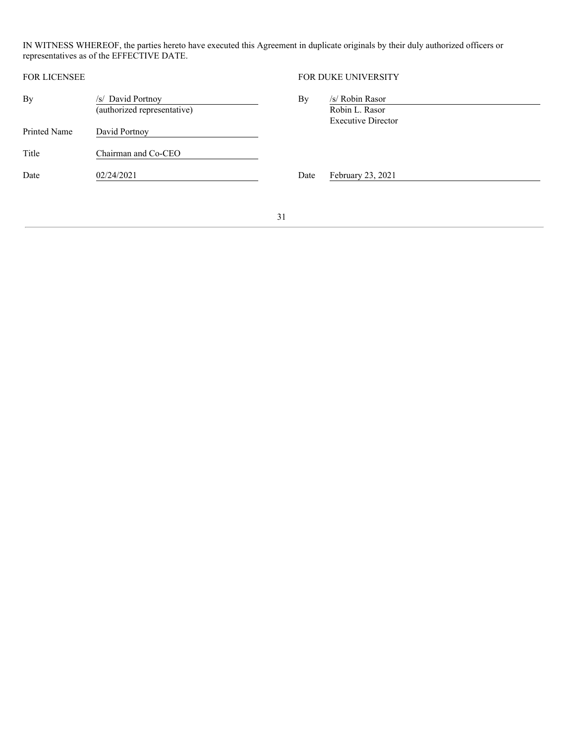IN WITNESS WHEREOF, the parties hereto have executed this Agreement in duplicate originals by their duly authorized officers or representatives as of the EFFECTIVE DATE.

| FOR LICENSEE |                                                     |      | FOR DUKE UNIVERSITY                                            |
|--------------|-----------------------------------------------------|------|----------------------------------------------------------------|
| <b>By</b>    | David Portnoy<br>/s/<br>(authorized representative) | By   | /s/ Robin Rasor<br>Robin L. Rasor<br><b>Executive Director</b> |
| Printed Name | David Portnoy                                       |      |                                                                |
| Title        | Chairman and Co-CEO                                 |      |                                                                |
| Date         | 02/24/2021                                          | Date | February 23, 2021                                              |
|              |                                                     |      |                                                                |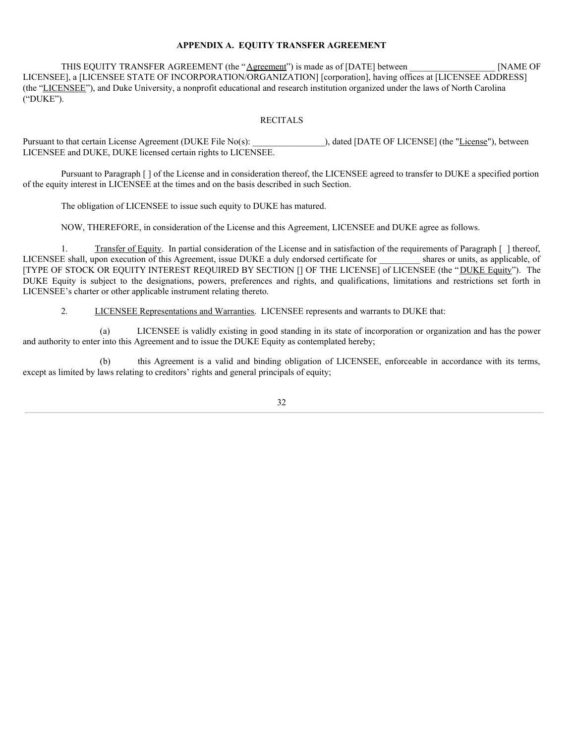# **APPENDIX A. EQUITY TRANSFER AGREEMENT**

THIS EQUITY TRANSFER AGREEMENT (the "Agreement") is made as of [DATE] between [NAME OF LICENSEE], a [LICENSEE STATE OF INCORPORATION/ORGANIZATION] [corporation], having offices at [LICENSEE ADDRESS] (the "LICENSEE"), and Duke University, a nonprofit educational and research institution organized under the laws of North Carolina ("DUKE").

# RECITALS

Pursuant to that certain License Agreement (DUKE File No(s):  $\qquad \qquad$  ), dated [DATE OF LICENSE] (the "License"), between LICENSEE and DUKE, DUKE licensed certain rights to LICENSEE.

Pursuant to Paragraph [ ] of the License and in consideration thereof, the LICENSEE agreed to transfer to DUKE a specified portion of the equity interest in LICENSEE at the times and on the basis described in such Section.

The obligation of LICENSEE to issue such equity to DUKE has matured.

NOW, THEREFORE, in consideration of the License and this Agreement, LICENSEE and DUKE agree as follows.

1. Transfer of Equity. In partial consideration of the License and in satisfaction of the requirements of Paragraph [ ] thereof, LICENSEE shall, upon execution of this Agreement, issue DUKE a duly endorsed certificate for shares or units, as applicable, of [TYPE OF STOCK OR EQUITY INTEREST REQUIRED BY SECTION [] OF THE LICENSE] of LICENSEE (the "DUKE Equity"). The DUKE Equity is subject to the designations, powers, preferences and rights, and qualifications, limitations and restrictions set forth in LICENSEE's charter or other applicable instrument relating thereto.

2. LICENSEE Representations and Warranties. LICENSEE represents and warrants to DUKE that:

(a) LICENSEE is validly existing in good standing in its state of incorporation or organization and has the power and authority to enter into this Agreement and to issue the DUKE Equity as contemplated hereby;

(b) this Agreement is a valid and binding obligation of LICENSEE, enforceable in accordance with its terms, except as limited by laws relating to creditors' rights and general principals of equity;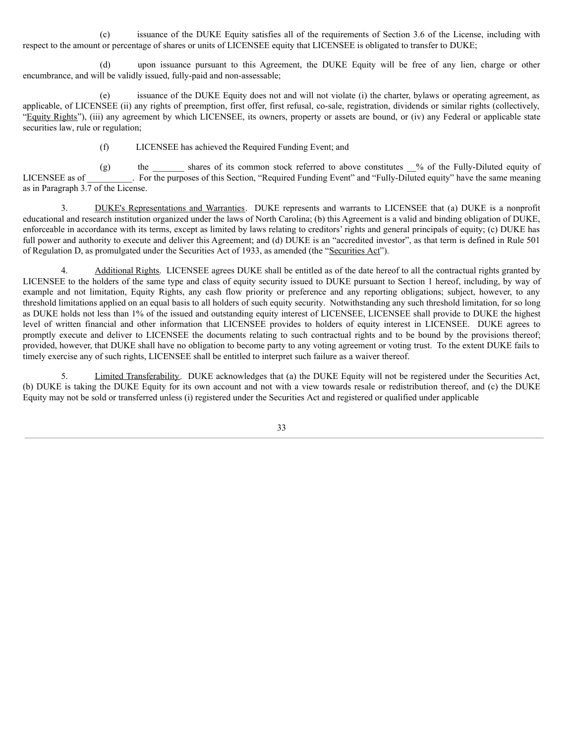(c) issuance of the DUKE Equity satisfies all of the requirements of Section 3.6 of the License, including with respect to the amount or percentage of shares or units of LICENSEE equity that LICENSEE is obligated to transfer to DUKE;

(d) upon issuance pursuant to this Agreement, the DUKE Equity will be free of any lien, charge or other encumbrance, and will be validly issued, fully-paid and non-assessable;

(e) issuance of the DUKE Equity does not and will not violate (i) the charter, bylaws or operating agreement, as applicable, of LICENSEE (ii) any rights of preemption, first offer, first refusal, co-sale, registration, dividends or similar rights (collectively, "Equity Rights"), (iii) any agreement by which LICENSEE, its owners, property or assets are bound, or (iv) any Federal or applicable state securities law, rule or regulation;

(f) LICENSEE has achieved the Required Funding Event; and

(g) the shares of its common stock referred to above constitutes  $\%$  of the Fully-Diluted equity of LICENSEE as of Free Purposes of this Section, "Required Funding Event" and "Fully-Diluted equity" have the same meaning as in Paragraph 3.7 of the License.

3. DUKE's Representations and Warranties. DUKE represents and warrants to LICENSEE that (a) DUKE is a nonprofit educational and research institution organized under the laws of North Carolina; (b) this Agreement is a valid and binding obligation of DUKE, enforceable in accordance with its terms, except as limited by laws relating to creditors' rights and general principals of equity; (c) DUKE has full power and authority to execute and deliver this Agreement; and (d) DUKE is an "accredited investor", as that term is defined in Rule 501 of Regulation D, as promulgated under the Securities Act of 1933, as amended (the "Securities Act").

4. Additional Rights. LICENSEE agrees DUKE shall be entitled as of the date hereof to all the contractual rights granted by LICENSEE to the holders of the same type and class of equity security issued to DUKE pursuant to Section 1 hereof, including, by way of example and not limitation, Equity Rights, any cash flow priority or preference and any reporting obligations; subject, however, to any threshold limitations applied on an equal basis to all holders of such equity security. Notwithstanding any such threshold limitation, for so long as DUKE holds not less than 1% of the issued and outstanding equity interest of LICENSEE, LICENSEE shall provide to DUKE the highest level of written financial and other information that LICENSEE provides to holders of equity interest in LICENSEE. DUKE agrees to promptly execute and deliver to LICENSEE the documents relating to such contractual rights and to be bound by the provisions thereof; provided, however, that DUKE shall have no obligation to become party to any voting agreement or voting trust. To the extent DUKE fails to timely exercise any of such rights, LICENSEE shall be entitled to interpret such failure as a waiver thereof.

5. Limited Transferability. DUKE acknowledges that (a) the DUKE Equity will not be registered under the Securities Act, (b) DUKE is taking the DUKE Equity for its own account and not with a view towards resale or redistribution thereof, and (c) the DUKE Equity may not be sold or transferred unless (i) registered under the Securities Act and registered or qualified under applicable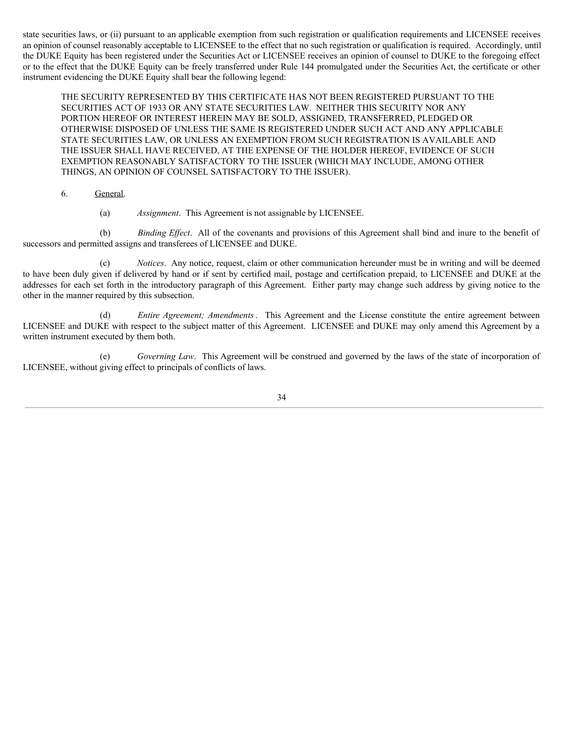state securities laws, or (ii) pursuant to an applicable exemption from such registration or qualification requirements and LICENSEE receives an opinion of counsel reasonably acceptable to LICENSEE to the effect that no such registration or qualification is required. Accordingly, until the DUKE Equity has been registered under the Securities Act or LICENSEE receives an opinion of counsel to DUKE to the foregoing effect or to the effect that the DUKE Equity can be freely transferred under Rule 144 promulgated under the Securities Act, the certificate or other instrument evidencing the DUKE Equity shall bear the following legend:

THE SECURITY REPRESENTED BY THIS CERTIFICATE HAS NOT BEEN REGISTERED PURSUANT TO THE SECURITIES ACT OF 1933 OR ANY STATE SECURITIES LAW. NEITHER THIS SECURITY NOR ANY PORTION HEREOF OR INTEREST HEREIN MAY BE SOLD, ASSIGNED, TRANSFERRED, PLEDGED OR OTHERWISE DISPOSED OF UNLESS THE SAME IS REGISTERED UNDER SUCH ACT AND ANY APPLICABLE STATE SECURITIES LAW, OR UNLESS AN EXEMPTION FROM SUCH REGISTRATION IS AVAILABLE AND THE ISSUER SHALL HAVE RECEIVED, AT THE EXPENSE OF THE HOLDER HEREOF, EVIDENCE OF SUCH EXEMPTION REASONABLY SATISFACTORY TO THE ISSUER (WHICH MAY INCLUDE, AMONG OTHER THINGS, AN OPINION OF COUNSEL SATISFACTORY TO THE ISSUER).

6. General.

(a) *Assignment*. This Agreement is not assignable by LICENSEE.

(b) *Binding Effect*. All of the covenants and provisions of this Agreement shall bind and inure to the benefit of successors and permitted assigns and transferees of LICENSEE and DUKE.

(c) *Notices*. Any notice, request, claim or other communication hereunder must be in writing and will be deemed to have been duly given if delivered by hand or if sent by certified mail, postage and certification prepaid, to LICENSEE and DUKE at the addresses for each set forth in the introductory paragraph of this Agreement. Either party may change such address by giving notice to the other in the manner required by this subsection.

(d) *Entire Agreement; Amendments*. This Agreement and the License constitute the entire agreement between LICENSEE and DUKE with respect to the subject matter of this Agreement. LICENSEE and DUKE may only amend this Agreement by a written instrument executed by them both.

(e) *Governing Law*. This Agreement will be construed and governed by the laws of the state of incorporation of LICENSEE, without giving effect to principals of conflicts of laws.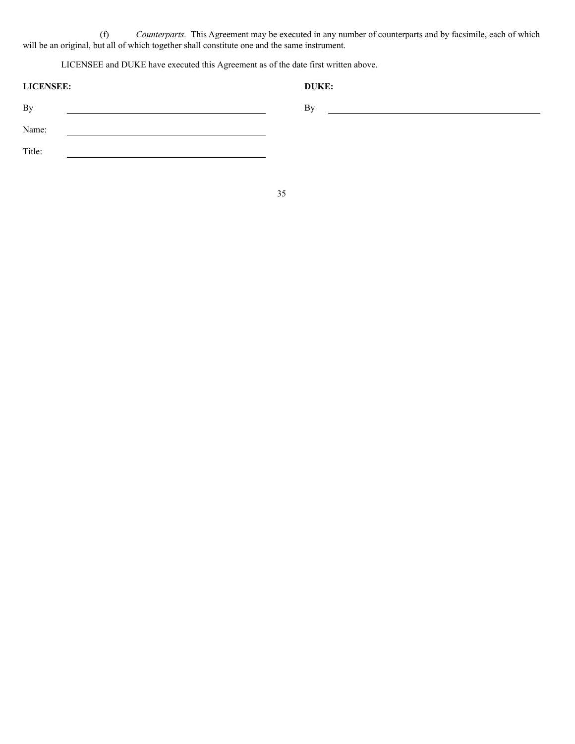(f) *Counterparts*. This Agreement may be executed in any number of counterparts and by facsimile, each of which will be an original, but all of which together shall constitute one and the same instrument.

LICENSEE and DUKE have executed this Agreement as of the date first written above.

| <b>LICENSEE:</b> | DUKE: |
|------------------|-------|
| By               | By    |
| Name:            |       |
| Title:           |       |
|                  |       |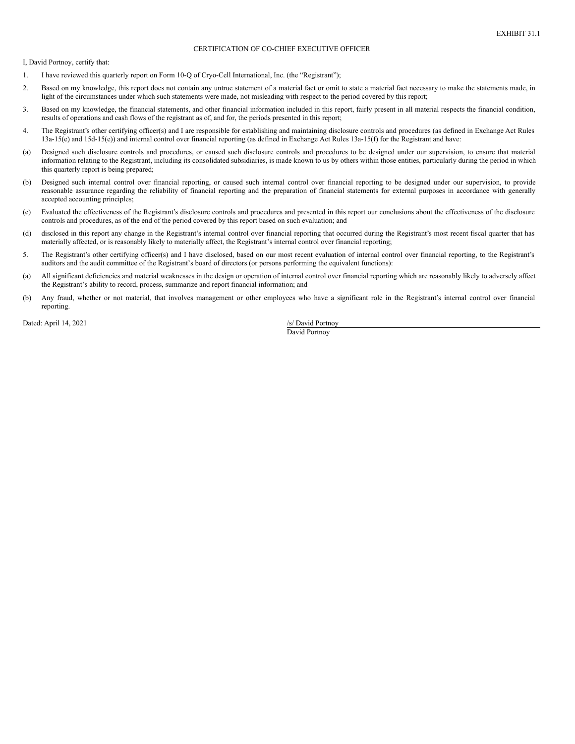#### CERTIFICATION OF CO-CHIEF EXECUTIVE OFFICER

I, David Portnoy, certify that:

- 1. I have reviewed this quarterly report on Form 10-Q of Cryo-Cell International, Inc. (the "Registrant");
- 2. Based on my knowledge, this report does not contain any untrue statement of a material fact or omit to state a material fact necessary to make the statements made, in light of the circumstances under which such statements were made, not misleading with respect to the period covered by this report;
- 3. Based on my knowledge, the financial statements, and other financial information included in this report, fairly present in all material respects the financial condition, results of operations and cash flows of the registrant as of, and for, the periods presented in this report;
- 4. The Registrant's other certifying officer(s) and I are responsible for establishing and maintaining disclosure controls and procedures (as defined in Exchange Act Rules 13a-15(e) and 15d-15(e)) and internal control over financial reporting (as defined in Exchange Act Rules 13a-15(f) for the Registrant and have:
- (a) Designed such disclosure controls and procedures, or caused such disclosure controls and procedures to be designed under our supervision, to ensure that material information relating to the Registrant, including its consolidated subsidiaries, is made known to us by others within those entities, particularly during the period in which this quarterly report is being prepared;
- (b) Designed such internal control over financial reporting, or caused such internal control over financial reporting to be designed under our supervision, to provide reasonable assurance regarding the reliability of financial reporting and the preparation of financial statements for external purposes in accordance with generally accepted accounting principles;
- (c) Evaluated the effectiveness of the Registrant's disclosure controls and procedures and presented in this report our conclusions about the effectiveness of the disclosure controls and procedures, as of the end of the period covered by this report based on such evaluation; and
- (d) disclosed in this report any change in the Registrant's internal control over financial reporting that occurred during the Registrant's most recent fiscal quarter that has materially affected, or is reasonably likely to materially affect, the Registrant's internal control over financial reporting;
- 5. The Registrant's other certifying officer(s) and I have disclosed, based on our most recent evaluation of internal control over financial reporting, to the Registrant's auditors and the audit committee of the Registrant's board of directors (or persons performing the equivalent functions):
- (a) All significant deficiencies and material weaknesses in the design or operation of internal control over financial reporting which are reasonably likely to adversely affect the Registrant's ability to record, process, summarize and report financial information; and
- (b) Any fraud, whether or not material, that involves management or other employees who have a significant role in the Registrant's internal control over financial reporting.

Dated: April 14, 2021 /s/ David Portnoy

David Portnoy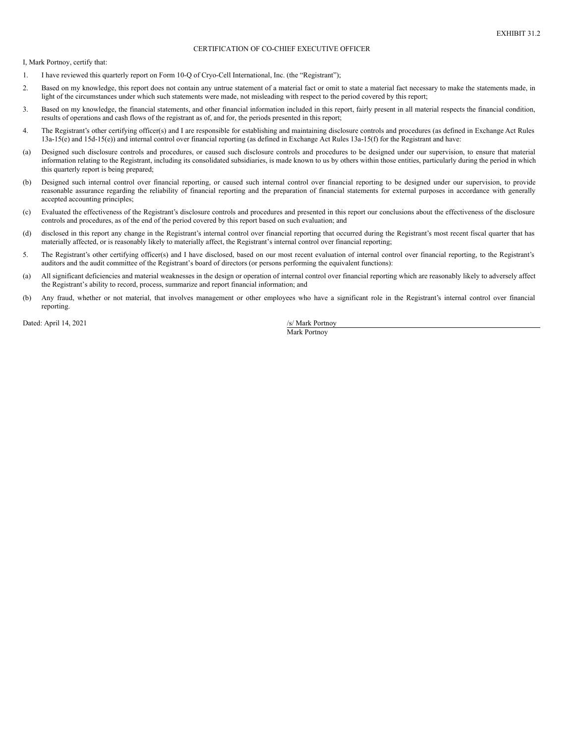#### CERTIFICATION OF CO-CHIEF EXECUTIVE OFFICER

I, Mark Portnoy, certify that:

- 1. I have reviewed this quarterly report on Form 10-Q of Cryo-Cell International, Inc. (the "Registrant");
- 2. Based on my knowledge, this report does not contain any untrue statement of a material fact or omit to state a material fact necessary to make the statements made, in light of the circumstances under which such statements were made, not misleading with respect to the period covered by this report;
- 3. Based on my knowledge, the financial statements, and other financial information included in this report, fairly present in all material respects the financial condition, results of operations and cash flows of the registrant as of, and for, the periods presented in this report;
- 4. The Registrant's other certifying officer(s) and I are responsible for establishing and maintaining disclosure controls and procedures (as defined in Exchange Act Rules 13a-15(e) and 15d-15(e)) and internal control over financial reporting (as defined in Exchange Act Rules 13a-15(f) for the Registrant and have:
- (a) Designed such disclosure controls and procedures, or caused such disclosure controls and procedures to be designed under our supervision, to ensure that material information relating to the Registrant, including its consolidated subsidiaries, is made known to us by others within those entities, particularly during the period in which this quarterly report is being prepared;
- (b) Designed such internal control over financial reporting, or caused such internal control over financial reporting to be designed under our supervision, to provide reasonable assurance regarding the reliability of financial reporting and the preparation of financial statements for external purposes in accordance with generally accepted accounting principles;
- (c) Evaluated the effectiveness of the Registrant's disclosure controls and procedures and presented in this report our conclusions about the effectiveness of the disclosure controls and procedures, as of the end of the period covered by this report based on such evaluation; and
- (d) disclosed in this report any change in the Registrant's internal control over financial reporting that occurred during the Registrant's most recent fiscal quarter that has materially affected, or is reasonably likely to materially affect, the Registrant's internal control over financial reporting;
- 5. The Registrant's other certifying officer(s) and I have disclosed, based on our most recent evaluation of internal control over financial reporting, to the Registrant's auditors and the audit committee of the Registrant's board of directors (or persons performing the equivalent functions):
- (a) All significant deficiencies and material weaknesses in the design or operation of internal control over financial reporting which are reasonably likely to adversely affect the Registrant's ability to record, process, summarize and report financial information; and
- (b) Any fraud, whether or not material, that involves management or other employees who have a significant role in the Registrant's internal control over financial reporting.

Dated: April 14, 2021 /s/ Mark Portnoy

Mark Portnoy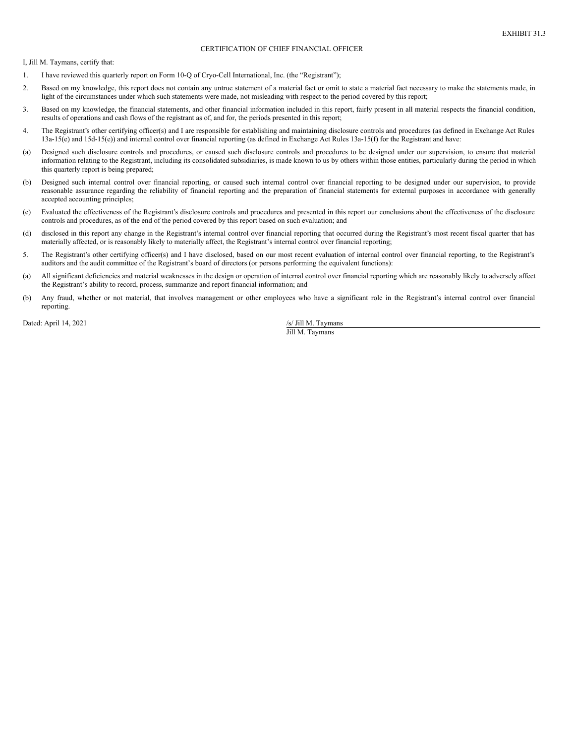#### CERTIFICATION OF CHIEF FINANCIAL OFFICER

I, Jill M. Taymans, certify that:

- 1. I have reviewed this quarterly report on Form 10-Q of Cryo-Cell International, Inc. (the "Registrant");
- 2. Based on my knowledge, this report does not contain any untrue statement of a material fact or omit to state a material fact necessary to make the statements made, in light of the circumstances under which such statements were made, not misleading with respect to the period covered by this report;
- 3. Based on my knowledge, the financial statements, and other financial information included in this report, fairly present in all material respects the financial condition, results of operations and cash flows of the registrant as of, and for, the periods presented in this report;
- 4. The Registrant's other certifying officer(s) and I are responsible for establishing and maintaining disclosure controls and procedures (as defined in Exchange Act Rules 13a-15(e) and 15d-15(e)) and internal control over financial reporting (as defined in Exchange Act Rules 13a-15(f) for the Registrant and have:
- (a) Designed such disclosure controls and procedures, or caused such disclosure controls and procedures to be designed under our supervision, to ensure that material information relating to the Registrant, including its consolidated subsidiaries, is made known to us by others within those entities, particularly during the period in which this quarterly report is being prepared;
- (b) Designed such internal control over financial reporting, or caused such internal control over financial reporting to be designed under our supervision, to provide reasonable assurance regarding the reliability of financial reporting and the preparation of financial statements for external purposes in accordance with generally accepted accounting principles;
- (c) Evaluated the effectiveness of the Registrant's disclosure controls and procedures and presented in this report our conclusions about the effectiveness of the disclosure controls and procedures, as of the end of the period covered by this report based on such evaluation; and
- (d) disclosed in this report any change in the Registrant's internal control over financial reporting that occurred during the Registrant's most recent fiscal quarter that has materially affected, or is reasonably likely to materially affect, the Registrant's internal control over financial reporting;
- 5. The Registrant's other certifying officer(s) and I have disclosed, based on our most recent evaluation of internal control over financial reporting, to the Registrant's auditors and the audit committee of the Registrant's board of directors (or persons performing the equivalent functions):
- (a) All significant deficiencies and material weaknesses in the design or operation of internal control over financial reporting which are reasonably likely to adversely affect the Registrant's ability to record, process, summarize and report financial information; and
- (b) Any fraud, whether or not material, that involves management or other employees who have a significant role in the Registrant's internal control over financial reporting.

Dated: April 14, 2021 /s/ Jill M. Taymans

Jill M. Taymans